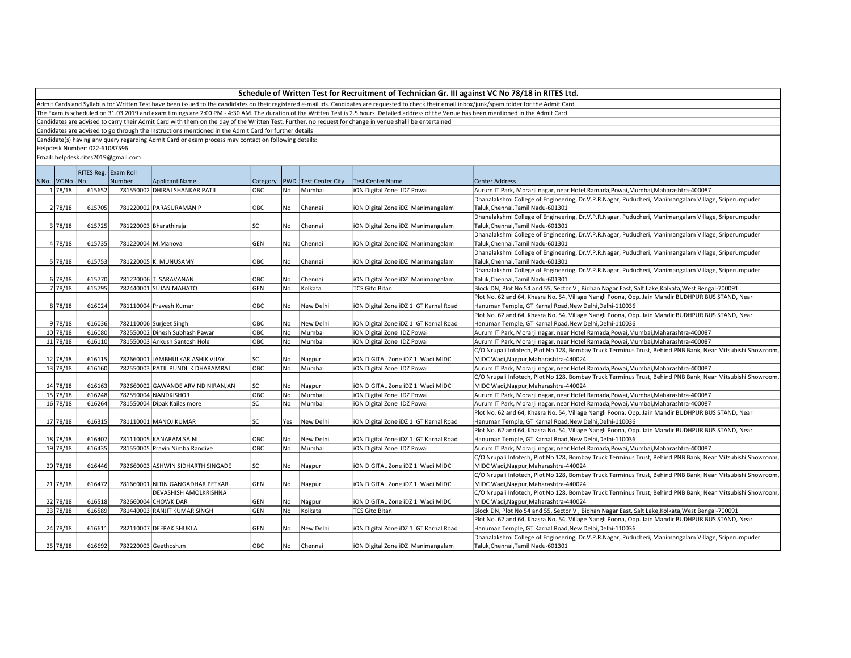Admit Cards and Syllabus for Written Test have been issued to the candidates on their registered e-mail ids. Candidates are requested to check their email inbox/junk/spam folder for the Admit Card

The Exam is scheduled on 31.03.2019 and exam timings are 2:00 PM - 4:30 AM. The duration of the Written Test is 2.5 hours. Detailed address of the Venue has been mentioned in the Admit Card

Candidates are advised to carry their Admit Card with them on the day of the Written Test. Further, no request for change in venue shalll be entertained

Candidates are advised to go through the Instructions mentioned in the Admit Card for further details

Candidate(s) having any query regarding Admit Card or exam process may contact on following details:

Helpdesk Number: 022-61087596

|             | RITES Reg. Exam Roll |                    |                                   |                |           |                         |                                       |                                                                                                            |  |
|-------------|----------------------|--------------------|-----------------------------------|----------------|-----------|-------------------------|---------------------------------------|------------------------------------------------------------------------------------------------------------|--|
| SNo VCNo No |                      | Number             | <b>Applicant Name</b>             | Category   PWD |           | <b>Test Center City</b> | Test Center Name                      | Center Address                                                                                             |  |
| 1 78/18     | 615652               |                    | 781550002 DHIRAJ SHANKAR PATIL    | OBC            | No        | Mumbai                  | ION Digital Zone IDZ Powai            | Aurum IT Park, Morarji nagar, near Hotel Ramada, Powai, Mumbai, Maharashtra-400087                         |  |
|             |                      |                    |                                   |                |           |                         |                                       | Dhanalakshmi College of Engineering, Dr.V.P.R.Nagar, Puducheri, Manimangalam Village, Sriperumpuder        |  |
| 2 78/18     | 615705               |                    | 781220002 PARASURAMAN P           | OBC            | No        | Chennai                 | iON Digital Zone iDZ Manimangalam     | Taluk, Chennai, Tamil Nadu-601301                                                                          |  |
|             |                      |                    |                                   |                |           |                         |                                       | Dhanalakshmi College of Engineering, Dr.V.P.R.Nagar, Puducheri, Manimangalam Village, Sriperumpuder        |  |
| 3 78/18     | 615725               |                    | 781220003 Bharathiraja            | SC             | No        | Chennai                 | iON Digital Zone iDZ Manimangalam     | Taluk, Chennai, Tamil Nadu-601301                                                                          |  |
|             |                      |                    |                                   |                |           |                         |                                       | Dhanalakshmi College of Engineering, Dr.V.P.R.Nagar, Puducheri, Manimangalam Village, Sriperumpuder        |  |
| 4 78/18     | 615735               | 781220004 M.Manova |                                   | GEN            | No        | Chennai                 | ION Digital Zone IDZ Manimangalam     | Taluk, Chennai, Tamil Nadu-601301                                                                          |  |
|             |                      |                    |                                   |                |           |                         |                                       | Dhanalakshmi College of Engineering, Dr.V.P.R.Nagar, Puducheri, Manimangalam Village, Sriperumpuder        |  |
| 5 78/18     | 615753               |                    | 781220005 K. MUNUSAMY             | OBC            | No        | Chennai                 | ION Digital Zone IDZ Manimangalam     | Taluk, Chennai, Tamil Nadu-601301                                                                          |  |
|             |                      |                    |                                   |                |           |                         |                                       | Dhanalakshmi College of Engineering, Dr.V.P.R.Nagar, Puducheri, Manimangalam Village, Sriperumpuder        |  |
| 6 78/18     | 615770               |                    | 781220006 T. SARAVANAN            | OBC            | No        | Chennai                 | ION Digital Zone IDZ Manimangalam     | Taluk, Chennai, Tamil Nadu-601301                                                                          |  |
| 7 78/18     | 615795               |                    | 782440001 SUJAN MAHATO            | GEN            | <b>No</b> | Kolkata                 | <b>TCS Gito Bitan</b>                 | Block DN, Plot No 54 and 55, Sector V, Bidhan Nagar East, Salt Lake, Kolkata, West Bengal-700091           |  |
|             |                      |                    |                                   |                |           |                         |                                       | Plot No. 62 and 64, Khasra No. 54, Village Nangli Poona, Opp. Jain Mandir BUDHPUR BUS STAND, Near          |  |
| 8 78/18     | 616024               |                    | 781110004 Pravesh Kumar           | OBC            | No        | New Delhi               | ION Digital Zone IDZ 1 GT Karnal Road | Hanuman Temple, GT Karnal Road, New Delhi, Delhi-110036                                                    |  |
|             |                      |                    |                                   |                |           |                         |                                       | Plot No. 62 and 64, Khasra No. 54, Village Nangli Poona, Opp. Jain Mandir BUDHPUR BUS STAND, Near          |  |
| 9 78/18     | 616036               |                    | 782110006 Surjeet Singh           | OBC            | No        | New Delhi               | ION Digital Zone IDZ 1 GT Karnal Road | Hanuman Temple, GT Karnal Road, New Delhi, Delhi-110036                                                    |  |
| 10 78/18    | 616080               |                    | 782550002 Dinesh Subhash Pawar    | OBC            | No        | Mumbai                  | ION Digital Zone IDZ Powai            | Aurum IT Park, Morarji nagar, near Hotel Ramada, Powai, Mumbai, Maharashtra-400087                         |  |
| 11 78/18    | 616110               |                    | 781550003 Ankush Santosh Hole     | OBC            | <b>No</b> | Mumbai                  | ION Digital Zone IDZ Powai            | Aurum IT Park, Morarji nagar, near Hotel Ramada, Powai, Mumbai, Maharashtra-400087                         |  |
|             |                      |                    |                                   |                |           |                         |                                       | C/O Nrupali Infotech, Plot No 128, Bombay Truck Terminus Trust, Behind PNB Bank, Near Mitsubishi Showroom, |  |
| 12 78/18    | 616115               |                    | 782660001 JAMBHULKAR ASHIK VIJAY  | SC             | No        | Nagpur                  | ION DIGITAL Zone IDZ 1 Wadi MIDC      | MIDC Wadi, Nagpur, Maharashtra-440024                                                                      |  |
| 13 78/18    | 616160               |                    | 782550003 PATIL PUNDLIK DHARAMRAJ | OBC            | No        | Mumbai                  | ION Digital Zone IDZ Powai            | Aurum IT Park, Morarji nagar, near Hotel Ramada, Powai, Mumbai, Maharashtra-400087                         |  |
|             |                      |                    |                                   |                |           |                         |                                       | C/O Nrupali Infotech, Plot No 128, Bombay Truck Terminus Trust, Behind PNB Bank, Near Mitsubishi Showroom, |  |
| 14 78/18    | 616163               |                    | 782660002 GAWANDE ARVIND NIRANJAN | SC             | No        | Nagpur                  | ION DIGITAL Zone IDZ 1 Wadi MIDC      | MIDC Wadi, Nagpur, Maharashtra-440024                                                                      |  |
| 15 78/18    | 616248               |                    | 782550004 NANDKISHOR              | овс            | No        | Mumbai                  | ION Digital Zone IDZ Powai            | Aurum IT Park, Morarji nagar, near Hotel Ramada, Powai, Mumbai, Maharashtra-400087                         |  |
| 16 78/18    | 616264               |                    | 781550004 Dipak Kailas more       | SC             | No        | Mumbai                  | ION Digital Zone IDZ Powai            | Aurum IT Park, Morarji nagar, near Hotel Ramada, Powai, Mumbai, Maharashtra-400087                         |  |
|             |                      |                    |                                   |                |           |                         |                                       | Plot No. 62 and 64, Khasra No. 54, Village Nangli Poona, Opp. Jain Mandir BUDHPUR BUS STAND, Near          |  |
| 17 78/18    | 616315               |                    | 781110001 MANOJ KUMAR             | SC             | Yes       | New Delhi               | iON Digital Zone iDZ 1 GT Karnal Road | Hanuman Temple, GT Karnal Road, New Delhi, Delhi-110036                                                    |  |
|             |                      |                    |                                   |                |           |                         |                                       | Plot No. 62 and 64, Khasra No. 54, Village Nangli Poona, Opp. Jain Mandir BUDHPUR BUS STAND, Near          |  |
| 18 78/18    | 616407               |                    | 781110005 KANARAM SAINI           | OBC            | No        | New Delhi               | ION Digital Zone IDZ 1 GT Karnal Road | Hanuman Temple, GT Karnal Road, New Delhi, Delhi-110036                                                    |  |
| 19 78/18    | 616435               |                    | 781550005 Pravin Nimba Randive    | OBC            | No        | Mumbai                  | ION Digital Zone IDZ Powai            | Aurum IT Park, Morarji nagar, near Hotel Ramada, Powai, Mumbai, Maharashtra-400087                         |  |
|             |                      |                    |                                   |                |           |                         |                                       | C/O Nrupali Infotech, Plot No 128, Bombay Truck Terminus Trust, Behind PNB Bank, Near Mitsubishi Showroom, |  |
| 20 78/18    | 616446               |                    | 782660003 ASHWIN SIDHARTH SINGADE | SC             | No        | Nagpur                  | ION DIGITAL Zone IDZ 1 Wadi MIDC      | MIDC Wadi, Nagpur, Maharashtra-440024                                                                      |  |
|             |                      |                    |                                   |                |           |                         |                                       | C/O Nrupali Infotech, Plot No 128, Bombay Truck Terminus Trust, Behind PNB Bank, Near Mitsubishi Showroom, |  |
| 21 78/18    | 616472               |                    | 781660001 NITIN GANGADHAR PETKAR  | GEN            | No        | Nagpur                  | iON DIGITAL Zone iDZ 1 Wadi MIDC      | MIDC Wadi, Nagpur, Maharashtra-440024                                                                      |  |
|             |                      |                    | DEVASHISH AMOLKRISHNA             |                |           |                         |                                       | C/O Nrupali Infotech, Plot No 128, Bombay Truck Terminus Trust, Behind PNB Bank, Near Mitsubishi Showroom, |  |
| 22 78/18    | 616518               |                    | 782660004 CHOWKIDAR               | GEN            | No        | Nagpur                  | ION DIGITAL Zone IDZ 1 Wadi MIDC      | MIDC Wadi, Nagpur, Maharashtra-440024                                                                      |  |
| 23 78/18    | 616589               |                    | 781440003 RANJIT KUMAR SINGH      | GEN            | No        | Kolkata                 | <b>TCS Gito Bitan</b>                 | Block DN, Plot No 54 and 55, Sector V, Bidhan Nagar East, Salt Lake, Kolkata, West Bengal-700091           |  |
|             |                      |                    |                                   |                |           |                         |                                       | Plot No. 62 and 64, Khasra No. 54, Village Nangli Poona, Opp. Jain Mandir BUDHPUR BUS STAND, Near          |  |
| 24 78/18    | 616611               |                    | 782110007 DEEPAK SHUKLA           | GEN            | No        | New Delhi               | ION Digital Zone IDZ 1 GT Karnal Road | Hanuman Temple, GT Karnal Road, New Delhi, Delhi-110036                                                    |  |
|             |                      |                    |                                   |                |           |                         |                                       | Dhanalakshmi College of Engineering, Dr.V.P.R.Nagar, Puducheri, Manimangalam Village, Sriperumpuder        |  |
| 25 78/18    | 616692               |                    | 782220003 Geethosh.m              | OBC            | No.       | Chennai                 | ION Digital Zone IDZ Manimangalam     | Taluk, Chennai, Tamil Nadu-601301                                                                          |  |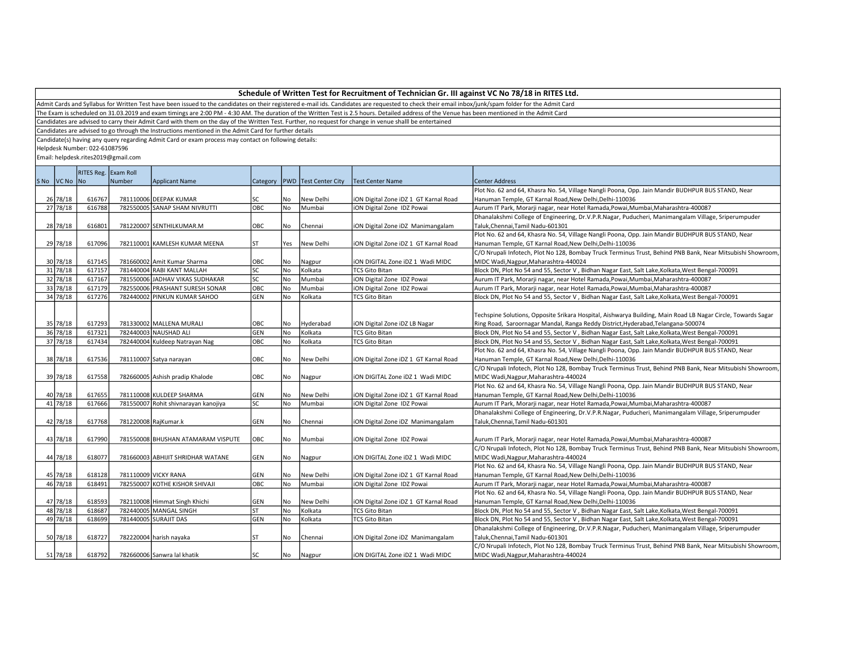Admit Cards and Syllabus for Written Test have been issued to the candidates on their registered e-mail ids. Candidates are requested to check their email inbox/junk/spam folder for the Admit Card

The Exam is scheduled on 31.03.2019 and exam timings are 2:00 PM - 4:30 AM. The duration of the Written Test is 2.5 hours. Detailed address of the Venue has been mentioned in the Admit Card

Candidates are advised to carry their Admit Card with them on the day of the Written Test. Further, no request for change in venue shalll be entertained

Candidates are advised to go through the Instructions mentioned in the Admit Card for further details

Candidate(s) having any query regarding Admit Card or exam process may contact on following details:

Helpdesk Number: 022-61087596

|             | RITES Reg. Exam Roll |        |                                      |            |           |                                   |                                       |                                                                                                              |  |
|-------------|----------------------|--------|--------------------------------------|------------|-----------|-----------------------------------|---------------------------------------|--------------------------------------------------------------------------------------------------------------|--|
| SNo VCNo No |                      | Number | <b>Applicant Name</b>                |            |           | Category   PWD   Test Center City | <b>Test Center Name</b>               | Center Address                                                                                               |  |
|             |                      |        |                                      |            |           |                                   |                                       | Plot No. 62 and 64, Khasra No. 54, Village Nangli Poona, Opp. Jain Mandir BUDHPUR BUS STAND, Near            |  |
| 26 78/18    | 616767               |        | 781110006 DEEPAK KUMAR               | SC         | No        | New Delhi                         | ION Digital Zone IDZ 1 GT Karnal Road | Hanuman Temple, GT Karnal Road, New Delhi, Delhi-110036                                                      |  |
| 27 78/18    | 616788               |        | 782550005 SANAP SHAM NIVRUTTI        | OBC        | No.       | Mumbai                            | ION Digital Zone IDZ Powai            | Aurum IT Park, Morarji nagar, near Hotel Ramada, Powai, Mumbai, Maharashtra-400087                           |  |
|             |                      |        |                                      |            |           |                                   |                                       | Dhanalakshmi College of Engineering, Dr.V.P.R.Nagar, Puducheri, Manimangalam Village, Sriperumpuder          |  |
| 28 78/18    | 616801               |        | 781220007 SENTHILKUMAR.M             | OBC        | No        | Chennai                           | iON Digital Zone iDZ Manimangalam     | Taluk, Chennai, Tamil Nadu-601301                                                                            |  |
|             |                      |        |                                      |            |           |                                   |                                       | Plot No. 62 and 64, Khasra No. 54, Village Nangli Poona, Opp. Jain Mandir BUDHPUR BUS STAND, Near            |  |
| 29 78/18    | 617096               |        | 782110001 KAMLESH KUMAR MEENA        | ST         | Yes       | New Delhi                         | ION Digital Zone IDZ 1 GT Karnal Road | Hanuman Temple, GT Karnal Road, New Delhi, Delhi-110036                                                      |  |
|             |                      |        |                                      |            |           |                                   |                                       | C/O Nrupali Infotech, Plot No 128, Bombay Truck Terminus Trust, Behind PNB Bank, Near Mitsubishi Showroom,   |  |
| 30 78/18    | 617145               |        | 781660002 Amit Kumar Sharma          | OBC        | No        | Nagpur                            | ION DIGITAL Zone IDZ 1 Wadi MIDC      | MIDC Wadi, Nagpur, Maharashtra-440024                                                                        |  |
| 31 78/18    | 617157               |        | 781440004 RABI KANT MALLAH           | SC         | No        | Kolkata                           | <b>TCS Gito Bitan</b>                 | Block DN, Plot No 54 and 55, Sector V, Bidhan Nagar East, Salt Lake, Kolkata, West Bengal-700091             |  |
| 32 78/18    | 617167               |        | 781550006 JADHAV VIKAS SUDHAKAR      | lsc        | No        | Mumbai                            | ION Digital Zone IDZ Powai            | Aurum IT Park, Morarji nagar, near Hotel Ramada, Powai, Mumbai, Maharashtra-400087                           |  |
| 33 78/18    | 617179               |        | 782550006 PRASHANT SURESH SONAR      | OBC        | <b>No</b> | Mumbai                            | ION Digital Zone IDZ Powai            | Aurum IT Park, Morarji nagar, near Hotel Ramada, Powai, Mumbai, Maharashtra-400087                           |  |
| 34 78/18    | 617276               |        | 782440002 PINKUN KUMAR SAHOO         | <b>GEN</b> | No        | Kolkata                           | <b>TCS Gito Bitan</b>                 | Block DN, Plot No 54 and 55, Sector V, Bidhan Nagar East, Salt Lake, Kolkata, West Bengal-700091             |  |
|             |                      |        |                                      |            |           |                                   |                                       |                                                                                                              |  |
|             |                      |        |                                      |            |           |                                   |                                       | Techspine Solutions, Opposite Srikara Hospital, Aishwarya Building, Main Road LB Nagar Circle, Towards Sagar |  |
| 35 78/18    | 617293               |        | 781330002 MALLENA MURALI             | OBC        | No        | Hyderabad                         | ION Digital Zone IDZ LB Nagar         | Ring Road, Saroornagar Mandal, Ranga Reddy District, Hyderabad, Telangana-500074                             |  |
| 36 78/18    | 617321               |        | 782440003 NAUSHAD ALI                | <b>GEN</b> | No        | Kolkata                           | <b>TCS Gito Bitan</b>                 | Block DN, Plot No 54 and 55, Sector V, Bidhan Nagar East, Salt Lake, Kolkata, West Bengal-700091             |  |
| 37 78/18    | 617434               |        | 782440004 Kuldeep Natrayan Nag       | OBC        | No        | Kolkata                           | <b>TCS Gito Bitan</b>                 | Block DN, Plot No 54 and 55, Sector V, Bidhan Nagar East, Salt Lake, Kolkata, West Bengal-700091             |  |
|             |                      |        |                                      |            |           |                                   |                                       | Plot No. 62 and 64, Khasra No. 54, Village Nangli Poona, Opp. Jain Mandir BUDHPUR BUS STAND, Near            |  |
| 38 78/18    | 617536               |        | 781110007 Satya narayan              | OBC        | No        | New Delhi                         | ION Digital Zone IDZ 1 GT Karnal Road | Hanuman Temple, GT Karnal Road, New Delhi, Delhi-110036                                                      |  |
|             |                      |        |                                      |            |           |                                   |                                       | C/O Nrupali Infotech, Plot No 128, Bombay Truck Terminus Trust, Behind PNB Bank, Near Mitsubishi Showroom,   |  |
| 39 78/18    | 617558               |        | 782660005 Ashish pradip Khalode      | OBC        | No        | Nagpur                            | ION DIGITAL Zone IDZ 1 Wadi MIDC      | MIDC Wadi, Nagpur, Maharashtra-440024                                                                        |  |
|             |                      |        |                                      |            |           |                                   |                                       | Plot No. 62 and 64, Khasra No. 54, Village Nangli Poona, Opp. Jain Mandir BUDHPUR BUS STAND, Near            |  |
| 40 78/18    | 617655               |        | 781110008 KULDEEP SHARMA             | GEN        | No        | New Delhi                         | ION Digital Zone IDZ 1 GT Karnal Road | Hanuman Temple, GT Karnal Road, New Delhi, Delhi-110036                                                      |  |
| 41 78/18    | 617666               |        | 781550007 Rohit shivnarayan kanojiya | SC         | No        | Mumbai                            | ION Digital Zone IDZ Powai            | Aurum IT Park, Morarji nagar, near Hotel Ramada, Powai, Mumbai, Maharashtra-400087                           |  |
|             |                      |        |                                      |            |           |                                   |                                       | Dhanalakshmi College of Engineering, Dr.V.P.R.Nagar, Puducheri, Manimangalam Village, Sriperumpuder          |  |
| 42 78/18    | 617768               |        | 781220008 RajKumar.k                 | <b>GEN</b> | No        | Chennai                           | ION Digital Zone IDZ Manimangalam     | Taluk, Chennai, Tamil Nadu-601301                                                                            |  |
|             |                      |        |                                      |            |           |                                   |                                       |                                                                                                              |  |
| 43 78/18    | 617990               |        | 781550008 BHUSHAN ATAMARAM VISPUTE   | OBC        | No        | Mumbai                            | iON Digital Zone IDZ Powai            | Aurum IT Park, Morarji nagar, near Hotel Ramada, Powai, Mumbai, Maharashtra-400087                           |  |
|             |                      |        |                                      |            |           |                                   |                                       | C/O Nrupali Infotech, Plot No 128, Bombay Truck Terminus Trust, Behind PNB Bank, Near Mitsubishi Showroom,   |  |
| 44 78/18    | 618077               |        | 781660003 ABHIJIT SHRIDHAR WATANE    | GEN        | No        | Nagpur                            | ION DIGITAL Zone IDZ 1 Wadi MIDC      | MIDC Wadi, Nagpur, Maharashtra-440024                                                                        |  |
|             |                      |        |                                      |            |           |                                   |                                       | Plot No. 62 and 64, Khasra No. 54, Village Nangli Poona, Opp. Jain Mandir BUDHPUR BUS STAND, Near            |  |
| 45 78/18    | 618128               |        | 781110009 VICKY RANA                 | GEN        | No        | New Delhi                         | ION Digital Zone IDZ 1 GT Karnal Road | Hanuman Temple, GT Karnal Road, New Delhi, Delhi-110036                                                      |  |
| 46 78/18    | 618491               |        | 782550007 KOTHE KISHOR SHIVAJI       | OBC        | No        | Mumbai                            | ION Digital Zone IDZ Powai            | Aurum IT Park, Morarji nagar, near Hotel Ramada, Powai, Mumbai, Maharashtra-400087                           |  |
|             |                      |        |                                      |            |           |                                   |                                       | Plot No. 62 and 64, Khasra No. 54, Village Nangli Poona, Opp. Jain Mandir BUDHPUR BUS STAND, Near            |  |
| 47 78/18    | 618593               |        | 782110008 Himmat Singh Khichi        | <b>GEN</b> | No        | New Delhi                         | ION Digital Zone IDZ 1 GT Karnal Road | Hanuman Temple, GT Karnal Road, New Delhi, Delhi-110036                                                      |  |
| 48 78/18    | 618687               |        | 782440005 MANGAL SINGH               | ST         | No        | Kolkata                           | <b>TCS Gito Bitan</b>                 | Block DN, Plot No 54 and 55, Sector V, Bidhan Nagar East, Salt Lake, Kolkata, West Bengal-700091             |  |
| 49 78/18    | 618699               |        | 781440005 SURAJIT DAS                | GEN        | <b>No</b> | Kolkata                           | <b>TCS Gito Bitan</b>                 | Block DN, Plot No 54 and 55, Sector V, Bidhan Nagar East, Salt Lake, Kolkata, West Bengal-700091             |  |
|             |                      |        |                                      |            |           |                                   |                                       | Dhanalakshmi College of Engineering, Dr.V.P.R.Nagar, Puducheri, Manimangalam Village, Sriperumpuder          |  |
| 50 78/18    | 618727               |        | 782220004 harish nayaka              | ST         | No        | Chennai                           | ION Digital Zone IDZ Manimangalam     | Taluk, Chennai, Tamil Nadu-601301                                                                            |  |
|             |                      |        |                                      |            |           |                                   |                                       | C/O Nrupali Infotech, Plot No 128, Bombay Truck Terminus Trust, Behind PNB Bank, Near Mitsubishi Showroom,   |  |
| 51 78/18    | 618792               |        | 782660006 Sanwra Jal khatik          | SC         | No        | Nagpur                            | liON DIGITAL Zone iDZ 1 Wadi MIDC     | MIDC Wadi, Nagpur, Maharashtra-440024                                                                        |  |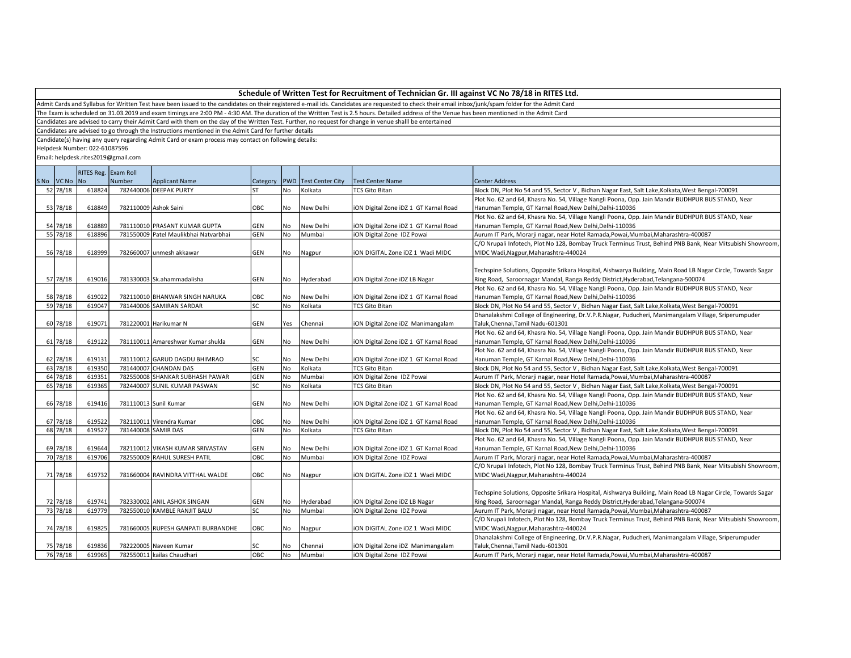Admit Cards and Syllabus for Written Test have been issued to the candidates on their registered e-mail ids. Candidates are requested to check their email inbox/junk/spam folder for the Admit Card

The Exam is scheduled on 31.03.2019 and exam timings are 2:00 PM - 4:30 AM. The duration of the Written Test is 2.5 hours. Detailed address of the Venue has been mentioned in the Admit Card

Candidates are advised to carry their Admit Card with them on the day of the Written Test. Further, no request for change in venue shalll be entertained

Candidates are advised to go through the Instructions mentioned in the Admit Card for further details

Candidate(s) having any query regarding Admit Card or exam process may contact on following details:

Helpdesk Number: 022-61087596

|      |          | RITES Reg. Exam Roll |        |                                       |              |     |                         |                                       |                                                                                                              |  |
|------|----------|----------------------|--------|---------------------------------------|--------------|-----|-------------------------|---------------------------------------|--------------------------------------------------------------------------------------------------------------|--|
| S No | VC No No |                      | Number | <b>Applicant Name</b>                 | Category PWD |     | <b>Test Center City</b> | Test Center Name                      | <b>Center Address</b>                                                                                        |  |
|      | 52 78/18 | 618824               |        | 782440006 DEEPAK PURTY                |              | No  | Kolkata                 | <b>TCS Gito Bitan</b>                 | Block DN, Plot No 54 and 55, Sector V, Bidhan Nagar East, Salt Lake, Kolkata, West Bengal-700091             |  |
|      |          |                      |        |                                       |              |     |                         |                                       | Plot No. 62 and 64, Khasra No. 54, Village Nangli Poona, Opp. Jain Mandir BUDHPUR BUS STAND, Near            |  |
|      | 53 78/18 | 618849               |        | 782110009 Ashok Saini                 | OBC          | No  | New Delhi               | iON Digital Zone iDZ 1 GT Karnal Road | Hanuman Temple, GT Karnal Road, New Delhi, Delhi-110036                                                      |  |
|      |          |                      |        |                                       |              |     |                         |                                       | Plot No. 62 and 64, Khasra No. 54, Village Nangli Poona, Opp. Jain Mandir BUDHPUR BUS STAND, Near            |  |
|      | 54 78/18 | 618889               |        | 781110010 PRASANT KUMAR GUPTA         | GEN          | No  | New Delhi               | iON Digital Zone iDZ 1 GT Karnal Road | Hanuman Temple, GT Karnal Road, New Delhi, Delhi-110036                                                      |  |
|      | 55 78/18 | 618896               |        | 781550009 Patel Maulikbhai Natvarbhai | GEN          | No  | Mumbai                  | iON Digital Zone IDZ Powai            | Aurum IT Park, Morarji nagar, near Hotel Ramada, Powai, Mumbai, Maharashtra-400087                           |  |
|      |          |                      |        |                                       |              |     |                         |                                       | C/O Nrupali Infotech, Plot No 128, Bombay Truck Terminus Trust, Behind PNB Bank, Near Mitsubishi Showroom,   |  |
|      | 56 78/18 | 618999               |        | 782660007 unmesh akkawar              | GEN          | No  | Nagpur                  | ION DIGITAL Zone IDZ 1 Wadi MIDC      | MIDC Wadi, Nagpur, Maharashtra-440024                                                                        |  |
|      |          |                      |        |                                       |              |     |                         |                                       |                                                                                                              |  |
|      |          |                      |        |                                       |              |     |                         |                                       | Techspine Solutions, Opposite Srikara Hospital, Aishwarya Building, Main Road LB Nagar Circle, Towards Sagar |  |
|      | 57 78/18 | 619016               |        | 781330003 Sk.ahammadalisha            | GEN          | No  | Hyderabad               | iON Digital Zone iDZ LB Nagar         | Ring Road, Saroornagar Mandal, Ranga Reddy District, Hyderabad, Telangana-500074                             |  |
|      |          |                      |        |                                       |              |     |                         |                                       | Plot No. 62 and 64, Khasra No. 54, Village Nangli Poona, Opp. Jain Mandir BUDHPUR BUS STAND, Near            |  |
|      | 58 78/18 | 619022               |        | 782110010 BHANWAR SINGH NARUKA        | OBC          | No  | New Delhi               | iON Digital Zone iDZ 1 GT Karnal Road | Hanuman Temple, GT Karnal Road, New Delhi, Delhi-110036                                                      |  |
|      | 59 78/18 | 619047               |        | 781440006 SAMIRAN SARDAR              | lsc          | No  | Kolkata                 | <b>TCS Gito Bitan</b>                 | Block DN, Plot No 54 and 55, Sector V, Bidhan Nagar East, Salt Lake, Kolkata, West Bengal-700091             |  |
|      |          |                      |        |                                       |              |     |                         |                                       | Dhanalakshmi College of Engineering, Dr.V.P.R.Nagar, Puducheri, Manimangalam Village, Sriperumpuder          |  |
|      | 60 78/18 | 619071               |        | 781220001 Harikumar N                 | <b>GEN</b>   | Yes | Chennai                 | iON Digital Zone iDZ Manimangalam     | Taluk, Chennai, Tamil Nadu-601301                                                                            |  |
|      |          |                      |        |                                       |              |     |                         |                                       | Plot No. 62 and 64, Khasra No. 54, Village Nangli Poona, Opp. Jain Mandir BUDHPUR BUS STAND, Near            |  |
|      | 61 78/18 | 619122               |        | 781110011 Amareshwar Kumar shukla     | GEN          | No  | New Delhi               | iON Digital Zone iDZ 1 GT Karnal Road | Hanuman Temple, GT Karnal Road, New Delhi, Delhi-110036                                                      |  |
|      |          |                      |        |                                       |              |     |                         |                                       | Plot No. 62 and 64, Khasra No. 54, Village Nangli Poona, Opp. Jain Mandir BUDHPUR BUS STAND, Near            |  |
|      | 62 78/18 | 619131               |        | 781110012 GARUD DAGDU BHIMRAO         | lsc          | No  | New Delhi               | iON Digital Zone iDZ 1 GT Karnal Road | Hanuman Temple, GT Karnal Road, New Delhi, Delhi-110036                                                      |  |
|      | 63 78/18 | 619350               |        | 781440007 CHANDAN DAS                 | GEN          | No  | Kolkata                 | <b>TCS Gito Bitan</b>                 | Block DN, Plot No 54 and 55, Sector V, Bidhan Nagar East, Salt Lake, Kolkata, West Bengal-700091             |  |
|      | 64 78/18 | 619351               |        | 782550008 SHANKAR SUBHASH PAWAR       | GEN          | No  | Mumbai                  | iON Digital Zone IDZ Powai            | Aurum IT Park, Morarji nagar, near Hotel Ramada, Powai, Mumbai, Maharashtra-400087                           |  |
|      | 65 78/18 | 619365               |        | 782440007 SUNIL KUMAR PASWAN          | lsc          | No  | Kolkata                 | <b>TCS Gito Bitan</b>                 | Block DN, Plot No 54 and 55, Sector V, Bidhan Nagar East, Salt Lake, Kolkata, West Bengal-700091             |  |
|      |          |                      |        |                                       |              |     |                         |                                       | Plot No. 62 and 64, Khasra No. 54, Village Nangli Poona, Opp. Jain Mandir BUDHPUR BUS STAND, Near            |  |
|      | 66 78/18 | 619416               |        | 781110013 Sunil Kumar                 | <b>GEN</b>   | No  | New Delhi               | iON Digital Zone iDZ 1 GT Karnal Road | Hanuman Temple, GT Karnal Road, New Delhi, Delhi-110036                                                      |  |
|      |          |                      |        |                                       |              |     |                         |                                       | Plot No. 62 and 64, Khasra No. 54, Village Nangli Poona, Opp. Jain Mandir BUDHPUR BUS STAND, Near            |  |
|      | 67 78/18 | 619522               |        | 782110011 Virendra Kumar              | OBC          | No  | New Delhi               | iON Digital Zone iDZ 1 GT Karnal Road | Hanuman Temple, GT Karnal Road, New Delhi, Delhi-110036                                                      |  |
|      | 68 78/18 | 619527               |        | 781440008 SAMIR DAS                   | GEN          | No  | Kolkata                 | <b>TCS Gito Bitan</b>                 | Block DN, Plot No 54 and 55, Sector V, Bidhan Nagar East, Salt Lake, Kolkata, West Bengal-700091             |  |
|      |          |                      |        |                                       |              |     |                         |                                       | Plot No. 62 and 64, Khasra No. 54, Village Nangli Poona, Opp. Jain Mandir BUDHPUR BUS STAND, Near            |  |
|      | 69 78/18 | 619644               |        | 782110012 VIKASH KUMAR SRIVASTAV      | GEN          | No  | New Delhi               | iON Digital Zone iDZ 1 GT Karnal Road | Hanuman Temple, GT Karnal Road, New Delhi, Delhi-110036                                                      |  |
|      | 70 78/18 | 619706               |        | 782550009 RAHUL SURESH PATIL          | OBC          | No  | Mumbai                  | iON Digital Zone IDZ Powai            | Aurum IT Park, Morarji nagar, near Hotel Ramada, Powai, Mumbai, Maharashtra-400087                           |  |
|      |          |                      |        |                                       |              |     |                         |                                       | C/O Nrupali Infotech, Plot No 128, Bombay Truck Terminus Trust, Behind PNB Bank, Near Mitsubishi Showroom,   |  |
|      | 71 78/18 | 619732               |        | 781660004 RAVINDRA VITTHAL WALDE      | OBC          | No  | Nagpur                  | ION DIGITAL Zone IDZ 1 Wadi MIDC      | MIDC Wadi, Nagpur, Maharashtra-440024                                                                        |  |
|      |          |                      |        |                                       |              |     |                         |                                       |                                                                                                              |  |
|      |          |                      |        |                                       |              |     |                         |                                       | Techspine Solutions, Opposite Srikara Hospital, Aishwarya Building, Main Road LB Nagar Circle, Towards Sagar |  |
|      | 72 78/18 | 619741               |        | 782330002 ANIL ASHOK SINGAN           | GEN          | No  | Hyderabad               | iON Digital Zone iDZ LB Nagar         | Ring Road, Saroornagar Mandal, Ranga Reddy District, Hyderabad, Telangana-500074                             |  |
|      | 73 78/18 | 619779               |        | 782550010 KAMBLE RANJIT BALU          | lsc          | No. | Mumbai                  | ION Digital Zone IDZ Powai            | Aurum IT Park, Morarji nagar, near Hotel Ramada, Powai, Mumbai, Maharashtra-400087                           |  |
|      |          |                      |        |                                       |              |     |                         |                                       | C/O Nrupali Infotech, Plot No 128, Bombay Truck Terminus Trust, Behind PNB Bank, Near Mitsubishi Showroom,   |  |
|      | 74 78/18 | 619825               |        | 781660005 RUPESH GANPATI BURBANDHE    | OBC          | No  | Nagpur                  | ION DIGITAL Zone IDZ 1 Wadi MIDC      | MIDC Wadi, Nagpur, Maharashtra-440024                                                                        |  |
|      |          |                      |        |                                       |              |     |                         |                                       | Dhanalakshmi College of Engineering, Dr.V.P.R.Nagar, Puducheri, Manimangalam Village, Sriperumpuder          |  |
|      | 75 78/18 | 619836               |        | 782220005 Naveen Kumar                | lsc          | No  | Chennai                 | iON Digital Zone iDZ Manimangalam     | Taluk, Chennai, Tamil Nadu-601301                                                                            |  |
|      | 76 78/18 | 619965               |        | 782550011 kailas Chaudhari            | ОВС          | No  | Mumbai                  | iON Digital Zone IDZ Powai            | Aurum IT Park, Morarji nagar, near Hotel Ramada, Powai, Mumbai, Maharashtra-400087                           |  |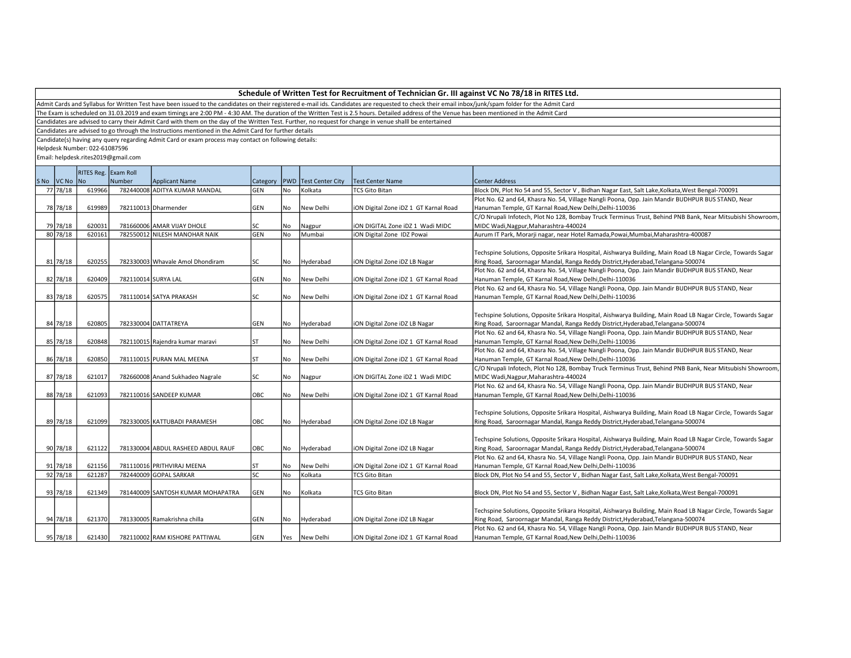Admit Cards and Syllabus for Written Test have been issued to the candidates on their registered e-mail ids. Candidates are requested to check their email inbox/junk/spam folder for the Admit Card

The Exam is scheduled on 31.03.2019 and exam timings are 2:00 PM - 4:30 AM. The duration of the Written Test is 2.5 hours. Detailed address of the Venue has been mentioned in the Admit Card

Candidates are advised to carry their Admit Card with them on the day of the Written Test. Further, no request for change in venue shalll be entertained

Candidates are advised to go through the Instructions mentioned in the Admit Card for further details

Candidate(s) having any query regarding Admit Card or exam process may contact on following details:

Helpdesk Number: 022-61087596

|             | RITES Reg. Exam Roll |                     |                                    |              |           |                         |                                       |                                                                                                              |  |  |
|-------------|----------------------|---------------------|------------------------------------|--------------|-----------|-------------------------|---------------------------------------|--------------------------------------------------------------------------------------------------------------|--|--|
| SNo VCNo No |                      | Number              | <b>Applicant Name</b>              | Category PWD |           | <b>Test Center City</b> | Test Center Name                      | Center Address                                                                                               |  |  |
| 77 78/18    | 619966               |                     | 782440008 ADITYA KUMAR MANDAL      | <b>GEN</b>   | No        | Kolkata                 | <b>TCS Gito Bitan</b>                 | Block DN, Plot No 54 and 55, Sector V, Bidhan Nagar East, Salt Lake, Kolkata, West Bengal-700091             |  |  |
|             |                      |                     |                                    |              |           |                         |                                       | Plot No. 62 and 64, Khasra No. 54, Village Nangli Poona, Opp. Jain Mandir BUDHPUR BUS STAND, Near            |  |  |
| 78 78/18    | 619989               |                     | 782110013 Dharmender               | GEN          | No.       | New Delhi               | iON Digital Zone iDZ 1 GT Karnal Road | Hanuman Temple, GT Karnal Road, New Delhi, Delhi-110036                                                      |  |  |
|             |                      |                     |                                    |              |           |                         |                                       | C/O Nrupali Infotech, Plot No 128, Bombay Truck Terminus Trust, Behind PNB Bank, Near Mitsubishi Showroom    |  |  |
| 79 78/18    | 620031               |                     | 781660006 AMAR VIJAY DHOLE         | lsc          | No.       | Nagpur                  | ION DIGITAL Zone IDZ 1 Wadi MIDC      | MIDC Wadi, Nagpur, Maharashtra-440024                                                                        |  |  |
| 80 78/18    | 620161               |                     | 782550012 NILESH MANOHAR NAIK      | GEN          | No.       | Mumbai                  | iON Digital Zone IDZ Powai            | Aurum IT Park, Morarji nagar, near Hotel Ramada, Powai, Mumbai, Maharashtra-400087                           |  |  |
|             |                      |                     |                                    |              |           |                         |                                       |                                                                                                              |  |  |
|             |                      |                     |                                    |              |           |                         |                                       | Techspine Solutions, Opposite Srikara Hospital, Aishwarya Building, Main Road LB Nagar Circle, Towards Sagar |  |  |
| 81 78/18    | 620255               |                     | 782330003 Whavale Amol Dhondiram   | lsc          | No        | Hyderabad               | iON Digital Zone iDZ LB Nagar         | Ring Road, Saroornagar Mandal, Ranga Reddy District, Hyderabad, Telangana-500074                             |  |  |
|             |                      |                     |                                    |              |           |                         |                                       | Plot No. 62 and 64, Khasra No. 54, Village Nangli Poona, Opp. Jain Mandir BUDHPUR BUS STAND, Near            |  |  |
| 82 78/18    | 620409               | 782110014 SURYA LAL |                                    | GEN          | No        | New Delhi               | iON Digital Zone iDZ 1 GT Karnal Road | Hanuman Temple, GT Karnal Road, New Delhi, Delhi-110036                                                      |  |  |
|             |                      |                     |                                    |              |           |                         |                                       | Plot No. 62 and 64, Khasra No. 54, Village Nangli Poona, Opp. Jain Mandir BUDHPUR BUS STAND, Near            |  |  |
| 83 78/18    | 620575               |                     | 781110014 SATYA PRAKASH            | SC           | No        | New Delhi               | iON Digital Zone iDZ 1 GT Karnal Road | Hanuman Temple, GT Karnal Road, New Delhi, Delhi-110036                                                      |  |  |
|             |                      |                     |                                    |              |           |                         |                                       |                                                                                                              |  |  |
|             |                      |                     |                                    |              |           |                         |                                       | Techspine Solutions, Opposite Srikara Hospital, Aishwarya Building, Main Road LB Nagar Circle, Towards Sagar |  |  |
| 84 78/18    | 620805               |                     | 782330004 DATTATREYA               | GEN          | No        | Hyderabad               | ION Digital Zone IDZ LB Nagar         | Ring Road, Saroornagar Mandal, Ranga Reddy District, Hyderabad, Telangana-500074                             |  |  |
|             |                      |                     |                                    |              |           |                         |                                       | Plot No. 62 and 64, Khasra No. 54, Village Nangli Poona, Opp. Jain Mandir BUDHPUR BUS STAND, Near            |  |  |
| 85 78/18    | 620848               |                     | 782110015 Rajendra kumar maravi    | ST           | No        | New Delhi               | iON Digital Zone iDZ 1 GT Karnal Road | Hanuman Temple, GT Karnal Road, New Delhi, Delhi-110036                                                      |  |  |
|             |                      |                     |                                    |              |           |                         |                                       | Plot No. 62 and 64, Khasra No. 54, Village Nangli Poona, Opp. Jain Mandir BUDHPUR BUS STAND, Near            |  |  |
| 86 78/18    | 620850               |                     | 781110015 PURAN MAL MEENA          | ST           | No        | New Delhi               | iON Digital Zone iDZ 1 GT Karnal Road | Hanuman Temple, GT Karnal Road, New Delhi, Delhi-110036                                                      |  |  |
|             |                      |                     |                                    |              |           |                         |                                       | C/O Nrupali Infotech, Plot No 128, Bombay Truck Terminus Trust, Behind PNB Bank, Near Mitsubishi Showroom    |  |  |
| 87 78/18    | 621017               |                     | 782660008 Anand Sukhadeo Nagrale   | lsc          | No        | Nagpur                  | ION DIGITAL Zone IDZ 1 Wadi MIDC      | MIDC Wadi, Nagpur, Maharashtra-440024                                                                        |  |  |
|             |                      |                     |                                    |              |           |                         |                                       | Plot No. 62 and 64, Khasra No. 54, Village Nangli Poona, Opp. Jain Mandir BUDHPUR BUS STAND, Near            |  |  |
| 88 78/18    | 621093               |                     | 782110016 SANDEEP KUMAR            | OBC          | No        | New Delhi               | iON Digital Zone iDZ 1 GT Karnal Road | Hanuman Temple, GT Karnal Road, New Delhi, Delhi-110036                                                      |  |  |
|             |                      |                     |                                    |              |           |                         |                                       |                                                                                                              |  |  |
|             |                      |                     |                                    |              |           |                         |                                       | Techspine Solutions, Opposite Srikara Hospital, Aishwarya Building, Main Road LB Nagar Circle, Towards Sagar |  |  |
| 89 78/18    | 621099               |                     | 782330005 KATTUBADI PARAMESH       | OBC          | No        | Hyderabad               | iON Digital Zone iDZ LB Nagar         | Ring Road, Saroornagar Mandal, Ranga Reddy District, Hyderabad, Telangana-500074                             |  |  |
|             |                      |                     |                                    |              |           |                         |                                       |                                                                                                              |  |  |
|             |                      |                     |                                    |              |           |                         |                                       | Techspine Solutions, Opposite Srikara Hospital, Aishwarya Building, Main Road LB Nagar Circle, Towards Sagar |  |  |
| 90 78/18    | 621122               |                     | 781330004 ABDUL RASHEED ABDUL RAUF | OBC          | No        | Hyderabad               | iON Digital Zone iDZ LB Nagar         | Ring Road, Saroornagar Mandal, Ranga Reddy District, Hyderabad, Telangana-500074                             |  |  |
|             |                      |                     |                                    |              |           |                         |                                       | Plot No. 62 and 64, Khasra No. 54, Village Nangli Poona, Opp. Jain Mandir BUDHPUR BUS STAND, Near            |  |  |
| 91 78/18    |                      |                     | 781110016 PRITHVIRAJ MEENA         |              |           |                         |                                       | Hanuman Temple, GT Karnal Road, New Delhi, Delhi-110036                                                      |  |  |
| 92 78/18    | 621156               |                     | 782440009 GOPAL SARKAR             | ST<br>lsc    | No.<br>No | New Delhi               | iON Digital Zone iDZ 1 GT Karnal Road |                                                                                                              |  |  |
|             | 621287               |                     |                                    |              |           | Kolkata                 | <b>TCS Gito Bitan</b>                 | Block DN, Plot No 54 and 55, Sector V, Bidhan Nagar East, Salt Lake, Kolkata, West Bengal-700091             |  |  |
|             |                      |                     |                                    |              |           |                         |                                       |                                                                                                              |  |  |
| 93 78/18    | 621349               |                     | 781440009 SANTOSH KUMAR MOHAPATRA  | GEN          | No        | Kolkata                 | <b>TCS Gito Bitan</b>                 | Block DN, Plot No 54 and 55, Sector V, Bidhan Nagar East, Salt Lake, Kolkata, West Bengal-700091             |  |  |
|             |                      |                     |                                    |              |           |                         |                                       |                                                                                                              |  |  |
|             |                      |                     |                                    |              |           |                         |                                       | Techspine Solutions, Opposite Srikara Hospital, Aishwarya Building, Main Road LB Nagar Circle, Towards Sagar |  |  |
| 94 78/18    | 621370               |                     | 781330005 Ramakrishna chilla       | GEN          | No        | Hyderabad               | ION Digital Zone IDZ LB Nagar         | Ring Road, Saroornagar Mandal, Ranga Reddy District, Hyderabad, Telangana-500074                             |  |  |
|             |                      |                     |                                    |              |           |                         |                                       | Plot No. 62 and 64, Khasra No. 54, Village Nangli Poona, Opp. Jain Mandir BUDHPUR BUS STAND, Near            |  |  |
| 95 78/18    | 621430               |                     | 782110002 RAM KISHORE PATTIWAL     | GEN          | Yes       | New Delhi               | iON Digital Zone iDZ 1 GT Karnal Road | Hanuman Temple, GT Karnal Road, New Delhi, Delhi-110036                                                      |  |  |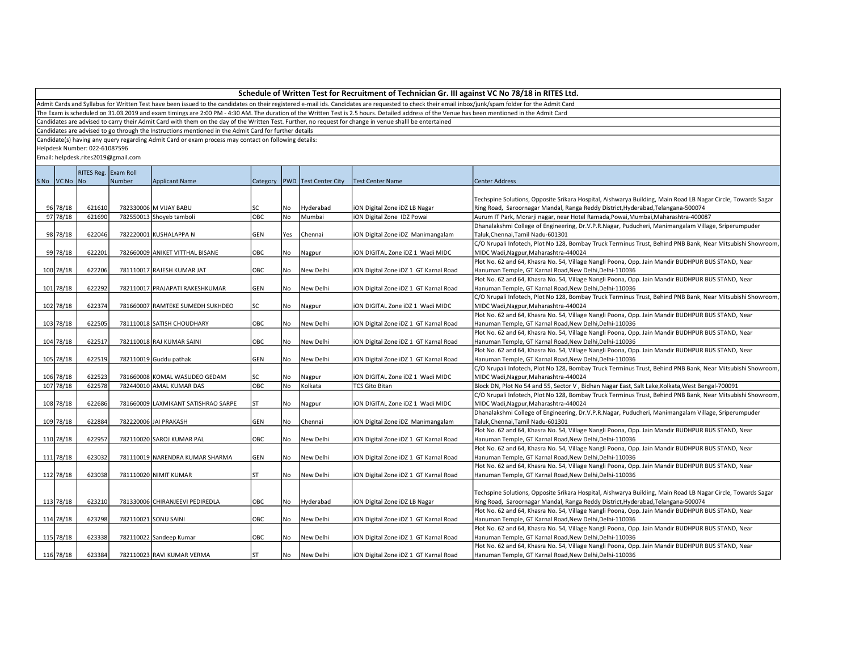Admit Cards and Syllabus for Written Test have been issued to the candidates on their registered e-mail ids. Candidates are requested to check their email inbox/junk/spam folder for the Admit Card

The Exam is scheduled on 31.03.2019 and exam timings are 2:00 PM - 4:30 AM. The duration of the Written Test is 2.5 hours. Detailed address of the Venue has been mentioned in the Admit Card

Candidates are advised to carry their Admit Card with them on the day of the Written Test. Further, no request for change in venue shalll be entertained

Candidates are advised to go through the Instructions mentioned in the Admit Card for further details

Candidate(s) having any query regarding Admit Card or exam process may contact on following details:

Helpdesk Number: 022-61087596

|             | RITES Reg. Exam Roll |        |                                     |            |     |                                   |                                       |                                                                                                              |  |
|-------------|----------------------|--------|-------------------------------------|------------|-----|-----------------------------------|---------------------------------------|--------------------------------------------------------------------------------------------------------------|--|
| SNo VCNo No |                      | Number | <b>Applicant Name</b>               |            |     | Category   PWD   Test Center City | <b>Test Center Name</b>               | <b>Center Address</b>                                                                                        |  |
|             |                      |        |                                     |            |     |                                   |                                       |                                                                                                              |  |
|             |                      |        |                                     |            |     |                                   |                                       | Techspine Solutions, Opposite Srikara Hospital, Aishwarya Building, Main Road LB Nagar Circle, Towards Sagar |  |
| 96 78/18    | 621610               |        | 782330006 M VIJAY BABU              | <b>SC</b>  | No. | Hyderabad                         | iON Digital Zone iDZ LB Nagar         | Ring Road, Saroornagar Mandal, Ranga Reddy District, Hyderabad, Telangana-500074                             |  |
| 97 78/18    | 621690               |        | 782550013 Shoyeb tamboli            | Іовс       | No. | Mumbai                            | <b>iON Digital Zone IDZ Powai</b>     | Aurum IT Park, Morarji nagar, near Hotel Ramada, Powai, Mumbai, Maharashtra-400087                           |  |
|             |                      |        |                                     |            |     |                                   |                                       | Dhanalakshmi College of Engineering, Dr.V.P.R.Nagar, Puducheri, Manimangalam Village, Sriperumpuder          |  |
| 98 78/18    | 622046               |        | 782220001 KUSHALAPPA N              | GEN        | Yes | Chennai                           | iON Digital Zone iDZ Manimangalam     | Taluk, Chennai, Tamil Nadu-601301                                                                            |  |
|             |                      |        |                                     |            |     |                                   |                                       | C/O Nrupali Infotech, Plot No 128, Bombay Truck Terminus Trust, Behind PNB Bank, Near Mitsubishi Showroom,   |  |
| 99 78/18    | 622201               |        | 782660009 ANIKET VITTHAL BISANE     | OBC        | No  | Nagpur                            | ION DIGITAL Zone IDZ 1 Wadi MIDC      | MIDC Wadi, Nagpur, Maharashtra-440024                                                                        |  |
|             |                      |        |                                     |            |     |                                   |                                       | Plot No. 62 and 64, Khasra No. 54, Village Nangli Poona, Opp. Jain Mandir BUDHPUR BUS STAND, Near            |  |
| 100 78/18   | 622206               |        | 781110017 RAJESH KUMAR JAT          | OBC        | No  | New Delhi                         | iON Digital Zone iDZ 1 GT Karnal Road | Hanuman Temple, GT Karnal Road, New Delhi, Delhi-110036                                                      |  |
|             |                      |        |                                     |            |     |                                   |                                       | Plot No. 62 and 64, Khasra No. 54, Village Nangli Poona, Opp. Jain Mandir BUDHPUR BUS STAND, Near            |  |
| 101 78/18   | 622292               |        | 782110017 PRAJAPATI RAKESHKUMAR     | <b>GEN</b> | No. | New Delhi                         | iON Digital Zone iDZ 1 GT Karnal Road | Hanuman Temple, GT Karnal Road, New Delhi, Delhi-110036                                                      |  |
|             |                      |        |                                     |            |     |                                   |                                       | C/O Nrupali Infotech, Plot No 128, Bombay Truck Terminus Trust, Behind PNB Bank, Near Mitsubishi Showroom,   |  |
| 102 78/18   | 622374               |        | 781660007 RAMTEKE SUMEDH SUKHDEO    | <b>SC</b>  | No  | Nagpur                            | ION DIGITAL Zone IDZ 1 Wadi MIDC      | MIDC Wadi, Nagpur, Maharashtra-440024                                                                        |  |
|             |                      |        |                                     |            |     |                                   |                                       | Plot No. 62 and 64, Khasra No. 54, Village Nangli Poona, Opp. Jain Mandir BUDHPUR BUS STAND, Near            |  |
| 103 78/18   | 622505               |        | 781110018 SATISH CHOUDHARY          | OBC        | No  | New Delhi                         | iON Digital Zone iDZ 1 GT Karnal Road | Hanuman Temple, GT Karnal Road, New Delhi, Delhi-110036                                                      |  |
|             |                      |        |                                     |            |     |                                   |                                       | Plot No. 62 and 64, Khasra No. 54, Village Nangli Poona, Opp. Jain Mandir BUDHPUR BUS STAND, Near            |  |
| 104 78/18   | 622517               |        | 782110018 RAJ KUMAR SAINI           | OBC        | No  | New Delhi                         | iON Digital Zone iDZ 1 GT Karnal Road | Hanuman Temple, GT Karnal Road, New Delhi, Delhi-110036                                                      |  |
|             |                      |        |                                     |            |     |                                   |                                       | Plot No. 62 and 64, Khasra No. 54, Village Nangli Poona, Opp. Jain Mandir BUDHPUR BUS STAND, Near            |  |
| 105 78/18   | 622519               |        | 782110019 Guddu pathak              | GEN        | No  | New Delhi                         | iON Digital Zone iDZ 1 GT Karnal Road | Hanuman Temple, GT Karnal Road, New Delhi, Delhi-110036                                                      |  |
|             |                      |        |                                     |            |     |                                   |                                       | C/O Nrupali Infotech, Plot No 128, Bombay Truck Terminus Trust, Behind PNB Bank, Near Mitsubishi Showroom,   |  |
| 106 78/18   | 622523               |        | 781660008 KOMAL WASUDEO GEDAM       | lsc        | No  | Nagpur                            | ION DIGITAL Zone IDZ 1 Wadi MIDC      | MIDC Wadi, Nagpur, Maharashtra-440024                                                                        |  |
| 107 78/18   | 622578               |        | 782440010 AMAL KUMAR DAS            | ОВС        | No. | Kolkata                           | <b>TCS Gito Bitan</b>                 | Block DN, Plot No 54 and 55, Sector V, Bidhan Nagar East, Salt Lake, Kolkata, West Bengal-700091             |  |
|             |                      |        |                                     |            |     |                                   |                                       | C/O Nrupali Infotech, Plot No 128, Bombay Truck Terminus Trust, Behind PNB Bank, Near Mitsubishi Showroom,   |  |
| 108 78/18   | 622686               |        | 781660009 LAXMIKANT SATISHRAO SARPE | ST         | No  | Nagpur                            | ION DIGITAL Zone IDZ 1 Wadi MIDC      | MIDC Wadi, Nagpur, Maharashtra-440024                                                                        |  |
|             |                      |        |                                     |            |     |                                   |                                       | Dhanalakshmi College of Engineering, Dr.V.P.R.Nagar, Puducheri, Manimangalam Village, Sriperumpuder          |  |
| 109 78/18   | 622884               |        | 782220006 JAI PRAKASH               | <b>GEN</b> | No  | Chennai                           | iON Digital Zone iDZ Manimangalam     | Taluk, Chennai, Tamil Nadu-601301                                                                            |  |
|             |                      |        |                                     |            |     |                                   |                                       | Plot No. 62 and 64, Khasra No. 54, Village Nangli Poona, Opp. Jain Mandir BUDHPUR BUS STAND, Near            |  |
| 110 78/18   | 622957               |        | 782110020 SAROJ KUMAR PAL           | OBC        | No  | New Delhi                         | iON Digital Zone iDZ 1 GT Karnal Road | Hanuman Temple, GT Karnal Road, New Delhi, Delhi-110036                                                      |  |
|             |                      |        |                                     |            |     |                                   |                                       | Plot No. 62 and 64, Khasra No. 54, Village Nangli Poona, Opp. Jain Mandir BUDHPUR BUS STAND, Near            |  |
| 111 78/18   | 623032               |        | 781110019 NARENDRA KUMAR SHARMA     | <b>GEN</b> | No. | New Delhi                         | iON Digital Zone iDZ 1 GT Karnal Road | Hanuman Temple, GT Karnal Road, New Delhi, Delhi-110036                                                      |  |
|             |                      |        |                                     |            |     |                                   |                                       | Plot No. 62 and 64, Khasra No. 54, Village Nangli Poona, Opp. Jain Mandir BUDHPUR BUS STAND, Near            |  |
| 112 78/18   | 623038               |        | 781110020 NIMIT KUMAR               | <b>ST</b>  | No. | New Delhi                         | iON Digital Zone iDZ 1 GT Karnal Road | Hanuman Temple, GT Karnal Road, New Delhi, Delhi-110036                                                      |  |
|             |                      |        |                                     |            |     |                                   |                                       |                                                                                                              |  |
|             |                      |        |                                     |            |     |                                   |                                       | Techspine Solutions, Opposite Srikara Hospital, Aishwarya Building, Main Road LB Nagar Circle, Towards Sagar |  |
| 113 78/18   | 623210               |        | 781330006 CHIRANJEEVI PEDIREDLA     | OBC        | No  | Hyderabad                         | iON Digital Zone iDZ LB Nagar         | Ring Road, Saroornagar Mandal, Ranga Reddy District, Hyderabad, Telangana-500074                             |  |
|             |                      |        |                                     |            |     |                                   |                                       | Plot No. 62 and 64, Khasra No. 54, Village Nangli Poona, Opp. Jain Mandir BUDHPUR BUS STAND, Near            |  |
| 114 78/18   | 623298               |        | 782110021 SONU SAINI                | OBC        | No  | New Delhi                         | iON Digital Zone iDZ 1 GT Karnal Road | Hanuman Temple, GT Karnal Road, New Delhi, Delhi-110036                                                      |  |
|             |                      |        |                                     |            |     |                                   |                                       | Plot No. 62 and 64, Khasra No. 54, Village Nangli Poona, Opp. Jain Mandir BUDHPUR BUS STAND, Near            |  |
| 115 78/18   | 623338               |        | 782110022 Sandeep Kumar             | OBC        | No  | New Delhi                         | iON Digital Zone iDZ 1 GT Karnal Road | Hanuman Temple, GT Karnal Road, New Delhi, Delhi-110036                                                      |  |
|             |                      |        |                                     |            |     |                                   |                                       | Plot No. 62 and 64, Khasra No. 54, Village Nangli Poona, Opp. Jain Mandir BUDHPUR BUS STAND, Near            |  |
| 116 78/18   | 623384               |        | 782110023 RAVI KUMAR VERMA          | ST         | No. | New Delhi                         | iON Digital Zone iDZ 1 GT Karnal Road | Hanuman Temple, GT Karnal Road, New Delhi, Delhi-110036                                                      |  |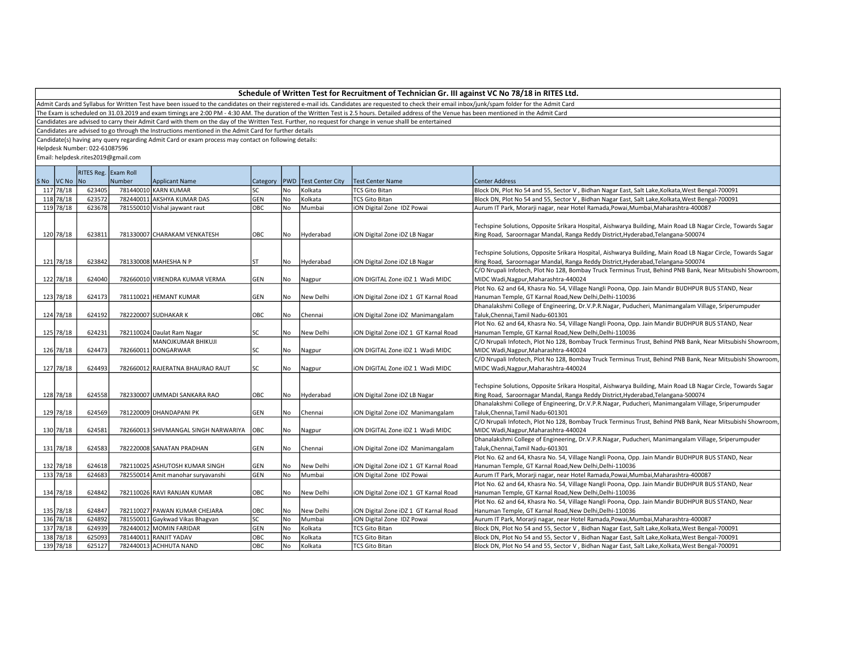Admit Cards and Syllabus for Written Test have been issued to the candidates on their registered e-mail ids. Candidates are requested to check their email inbox/junk/spam folder for the Admit Card

The Exam is scheduled on 31.03.2019 and exam timings are 2:00 PM - 4:30 AM. The duration of the Written Test is 2.5 hours. Detailed address of the Venue has been mentioned in the Admit Card

Candidates are advised to carry their Admit Card with them on the day of the Written Test. Further, no request for change in venue shalll be entertained

Candidates are advised to go through the Instructions mentioned in the Admit Card for further details

Candidate(s) having any query regarding Admit Card or exam process may contact on following details:

Helpdesk Number: 022-61087596

|                        | RITES Reg. Exam Roll |        |                                               |              |     |                         |                                       |                                                                                                              |  |
|------------------------|----------------------|--------|-----------------------------------------------|--------------|-----|-------------------------|---------------------------------------|--------------------------------------------------------------------------------------------------------------|--|
|                        |                      |        |                                               |              |     |                         |                                       |                                                                                                              |  |
| SNo VCNo No            |                      | Number | <b>Applicant Name</b><br>781440010 KARN KUMAR | Category PWD |     | <b>Test Center City</b> | <b>Test Center Name</b>               | Center Address                                                                                               |  |
| 117 78/18<br>118 78/18 | 623405               |        |                                               | lsc<br>GEN   | No  | Kolkata                 | <b>TCS Gito Bitan</b>                 | Block DN, Plot No 54 and 55, Sector V, Bidhan Nagar East, Salt Lake, Kolkata, West Bengal-700091             |  |
|                        | 623572               |        | 782440011 AKSHYA KUMAR DAS                    |              | No  | Kolkata                 | <b>TCS Gito Bitan</b>                 | Block DN, Plot No 54 and 55, Sector V, Bidhan Nagar East, Salt Lake, Kolkata, West Bengal-700091             |  |
| 119 78/18              | 623678               |        | 781550010 Vishal jaywant raut                 | овс          | No  | Mumbai                  | ION Digital Zone IDZ Powai            | Aurum IT Park, Morarji nagar, near Hotel Ramada, Powai, Mumbai, Maharashtra-400087                           |  |
|                        |                      |        |                                               |              |     |                         |                                       |                                                                                                              |  |
|                        |                      |        |                                               |              |     |                         |                                       | Techspine Solutions, Opposite Srikara Hospital, Aishwarya Building, Main Road LB Nagar Circle, Towards Sagar |  |
| 120 78/18              | 623811               |        | 781330007 CHARAKAM VENKATESH                  | OBC          | No  | Hyderabad               | iON Digital Zone iDZ LB Nagar         | Ring Road, Saroornagar Mandal, Ranga Reddy District, Hyderabad, Telangana-500074                             |  |
|                        |                      |        |                                               |              |     |                         |                                       |                                                                                                              |  |
|                        |                      |        |                                               |              |     |                         |                                       | Techspine Solutions, Opposite Srikara Hospital, Aishwarya Building, Main Road LB Nagar Circle, Towards Sagar |  |
| 121 78/18              | 623842               |        | 781330008 MAHESHA N P                         | <b>ST</b>    | No. | Hyderabad               | iON Digital Zone iDZ LB Nagar         | Ring Road, Saroornagar Mandal, Ranga Reddy District, Hyderabad, Telangana-500074                             |  |
|                        |                      |        |                                               |              |     |                         |                                       | C/O Nrupali Infotech, Plot No 128, Bombay Truck Terminus Trust, Behind PNB Bank, Near Mitsubishi Showroom    |  |
| 122 78/18              | 624040               |        | 782660010 VIRENDRA KUMAR VERMA                | <b>GEN</b>   | No  | Nagpur                  | ION DIGITAL Zone IDZ 1 Wadi MIDC      | MIDC Wadi, Nagpur, Maharashtra-440024                                                                        |  |
|                        |                      |        |                                               |              |     |                         |                                       | Plot No. 62 and 64, Khasra No. 54, Village Nangli Poona, Opp. Jain Mandir BUDHPUR BUS STAND, Near            |  |
| 123 78/18              | 624173               |        | 781110021 HEMANT KUMAR                        | GEN          | No  | New Delhi               | iON Digital Zone iDZ 1 GT Karnal Road | Hanuman Temple, GT Karnal Road, New Delhi, Delhi-110036                                                      |  |
|                        |                      |        |                                               |              |     |                         |                                       | Dhanalakshmi College of Engineering, Dr.V.P.R.Nagar, Puducheri, Manimangalam Village, Sriperumpuder          |  |
| 124 78/18              | 624192               |        | 782220007 SUDHAKAR K                          | OBC          | No  | Chennai                 | iON Digital Zone iDZ Manimangalam     | Taluk, Chennai, Tamil Nadu-601301                                                                            |  |
|                        |                      |        |                                               |              |     |                         |                                       | Plot No. 62 and 64, Khasra No. 54, Village Nangli Poona, Opp. Jain Mandir BUDHPUR BUS STAND, Near            |  |
| 125 78/18              | 624231               |        | 782110024 Daulat Ram Nagar                    | lsc          | No  | New Delhi               | iON Digital Zone iDZ 1 GT Karnal Road | Hanuman Temple, GT Karnal Road, New Delhi, Delhi-110036                                                      |  |
|                        |                      |        | MANOJKUMAR BHIKUJI                            |              |     |                         |                                       | C/O Nrupali Infotech, Plot No 128, Bombay Truck Terminus Trust, Behind PNB Bank, Near Mitsubishi Showroom    |  |
| 126 78/18              | 624473               |        | 782660011 DONGARWAR                           | lsc          | No  | Nagpur                  | ION DIGITAL Zone IDZ 1 Wadi MIDC      | MIDC Wadi, Nagpur, Maharashtra-440024                                                                        |  |
|                        |                      |        |                                               |              |     |                         |                                       | C/O Nrupali Infotech, Plot No 128, Bombay Truck Terminus Trust, Behind PNB Bank, Near Mitsubishi Showroom    |  |
| 127 78/18              | 624493               |        | 782660012 RAJERATNA BHAURAO RAUT              | lsc          | No  | Nagpur                  | ION DIGITAL Zone IDZ 1 Wadi MIDC      | MIDC Wadi, Nagpur, Maharashtra-440024                                                                        |  |
|                        |                      |        |                                               |              |     |                         |                                       |                                                                                                              |  |
|                        |                      |        |                                               |              |     |                         |                                       | Techspine Solutions, Opposite Srikara Hospital, Aishwarya Building, Main Road LB Nagar Circle, Towards Sagar |  |
| 128 78/18              | 624558               |        | 782330007 UMMADI SANKARA RAO                  | OBC          | No  | Hyderabad               | iON Digital Zone iDZ LB Nagar         | Ring Road, Saroornagar Mandal, Ranga Reddy District, Hyderabad, Telangana-500074                             |  |
|                        |                      |        |                                               |              |     |                         |                                       | Dhanalakshmi College of Engineering, Dr.V.P.R.Nagar, Puducheri, Manimangalam Village, Sriperumpuder          |  |
| 129 78/18              | 624569               |        | 781220009 DHANDAPANI PK                       | GEN          | No  | Chennai                 | iON Digital Zone iDZ Manimangalam     | Taluk, Chennai, Tamil Nadu-601301                                                                            |  |
|                        |                      |        |                                               |              |     |                         |                                       | C/O Nrupali Infotech, Plot No 128, Bombay Truck Terminus Trust, Behind PNB Bank, Near Mitsubishi Showroom    |  |
| 130 78/18              | 624581               |        | 782660013 SHIVMANGAL SINGH NARWARIYA          | OBC          | No  | Nagpur                  | ION DIGITAL Zone IDZ 1 Wadi MIDC      | MIDC Wadi, Nagpur, Maharashtra-440024                                                                        |  |
|                        |                      |        |                                               |              |     |                         |                                       | Dhanalakshmi College of Engineering, Dr.V.P.R.Nagar, Puducheri, Manimangalam Village, Sriperumpuder          |  |
| 131 78/18              | 624583               |        | 782220008 SANATAN PRADHAN                     | GEN          | No  | Chennai                 | iON Digital Zone iDZ Manimangalam     | Taluk, Chennai, Tamil Nadu-601301                                                                            |  |
|                        |                      |        |                                               |              |     |                         |                                       | Plot No. 62 and 64, Khasra No. 54, Village Nangli Poona, Opp. Jain Mandir BUDHPUR BUS STAND, Near            |  |
| 132 78/18              | 624618               |        | 782110025 ASHUTOSH KUMAR SINGH                | GEN          | No  | New Delhi               | ION Digital Zone IDZ 1 GT Karnal Road | Hanuman Temple, GT Karnal Road, New Delhi, Delhi-110036                                                      |  |
| 133 78/18              | 624683               |        | 782550014 Amit manohar suryavanshi            | GEN          | No  | Mumbai                  | iON Digital Zone IDZ Powai            | Aurum IT Park, Morarji nagar, near Hotel Ramada, Powai, Mumbai, Maharashtra-400087                           |  |
|                        |                      |        |                                               |              |     |                         |                                       | Plot No. 62 and 64, Khasra No. 54, Village Nangli Poona, Opp. Jain Mandir BUDHPUR BUS STAND, Near            |  |
| 134 78/18              | 624842               |        | 782110026 RAVI RANJAN KUMAR                   | OBC          | No  | New Delhi               | iON Digital Zone iDZ 1 GT Karnal Road | Hanuman Temple, GT Karnal Road, New Delhi, Delhi-110036                                                      |  |
|                        |                      |        |                                               |              |     |                         |                                       | Plot No. 62 and 64, Khasra No. 54, Village Nangli Poona, Opp. Jain Mandir BUDHPUR BUS STAND, Near            |  |
| 135 78/18              | 624847               |        | 782110027 PAWAN KUMAR CHEJARA                 | OBC          | No  | New Delhi               | iON Digital Zone iDZ 1 GT Karnal Road | Hanuman Temple, GT Karnal Road, New Delhi, Delhi-110036                                                      |  |
| 136 78/18              | 624892               |        | 781550011 Gaykwad Vikas Bhagvan               | <b>SC</b>    | No  | Mumbai                  | ION Digital Zone IDZ Powai            | Aurum IT Park, Morarji nagar, near Hotel Ramada, Powai, Mumbai, Maharashtra-400087                           |  |
| 137 78/18              | 624939               |        | 782440012 MOMIN FARIDAR                       | GEN          | No  | Kolkata                 | <b>TCS Gito Bitan</b>                 | Block DN, Plot No 54 and 55, Sector V, Bidhan Nagar East, Salt Lake, Kolkata, West Bengal-700091             |  |
| 138 78/18              | 625093               |        | 781440011 RANJIT YADAV                        | OBC          | No  | Kolkata                 | <b>TCS Gito Bitan</b>                 | Block DN, Plot No 54 and 55, Sector V, Bidhan Nagar East, Salt Lake, Kolkata, West Bengal-700091             |  |
| 139 78/18              | 625127               |        | 782440013 ACHHUTA NAND                        | овс          | No  | Kolkata                 | <b>TCS Gito Bitan</b>                 | Block DN, Plot No 54 and 55, Sector V, Bidhan Nagar East, Salt Lake, Kolkata, West Bengal-700091             |  |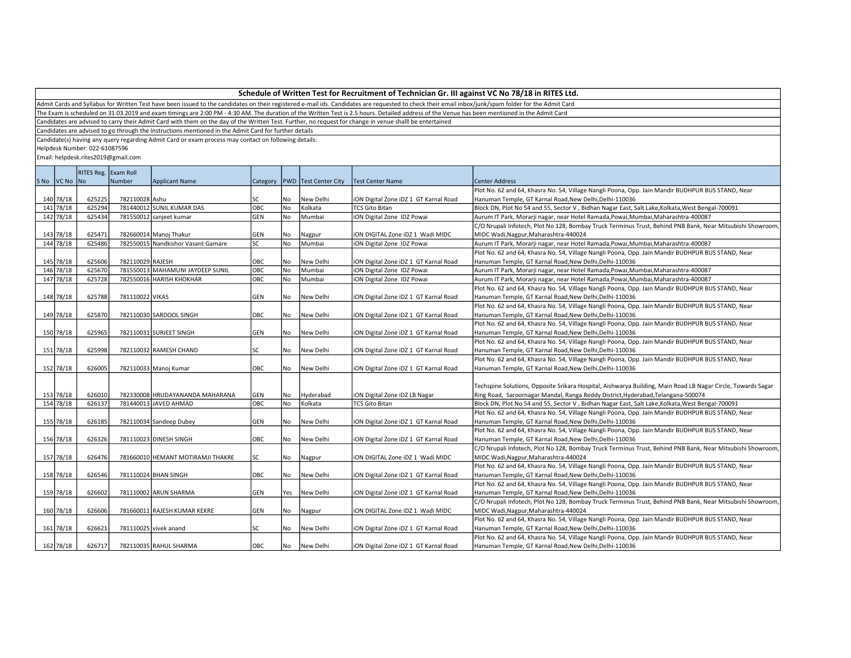Admit Cards and Syllabus for Written Test have been issued to the candidates on their registered e-mail ids. Candidates are requested to check their email inbox/junk/spam folder for the Admit Card

The Exam is scheduled on 31.03.2019 and exam timings are 2:00 PM - 4:30 AM. The duration of the Written Test is 2.5 hours. Detailed address of the Venue has been mentioned in the Admit Card

Candidates are advised to carry their Admit Card with them on the day of the Written Test. Further, no request for change in venue shalll be entertained

Candidates are advised to go through the Instructions mentioned in the Admit Card for further details

Candidate(s) having any query regarding Admit Card or exam process may contact on following details:

Helpdesk Number: 022-61087596

|             | RITES Reg. Exam Roll |                  |                                    |            |      |                                   |                                       |                                                                                                              |  |  |
|-------------|----------------------|------------------|------------------------------------|------------|------|-----------------------------------|---------------------------------------|--------------------------------------------------------------------------------------------------------------|--|--|
| SNo VCNo No |                      | Number           | <b>Applicant Name</b>              |            |      | Category   PWD   Test Center City | <b>Test Center Name</b>               | <b>Center Address</b>                                                                                        |  |  |
|             |                      |                  |                                    |            |      |                                   |                                       | Plot No. 62 and 64, Khasra No. 54, Village Nangli Poona, Opp. Jain Mandir BUDHPUR BUS STAND, Near            |  |  |
| 140 78/18   | 625225               | 782110028 Ashu   |                                    | <b>SC</b>  | l No | New Delhi                         | iON Digital Zone iDZ 1 GT Karnal Road | Hanuman Temple, GT Karnal Road, New Delhi, Delhi-110036                                                      |  |  |
| 141 78/18   | 625294               |                  | 781440012 SUNIL KUMAR DAS          | OBC        | No   | Kolkata                           | <b>TCS Gito Bitan</b>                 | Block DN, Plot No 54 and 55, Sector V, Bidhan Nagar East, Salt Lake, Kolkata, West Bengal-700091             |  |  |
| 142 78/18   | 625434               |                  | 781550012 sanjeet kumar            | <b>GEN</b> | l No | Mumbai                            | iON Digital Zone IDZ Powai            | Aurum IT Park, Morarji nagar, near Hotel Ramada, Powai, Mumbai, Maharashtra-400087                           |  |  |
|             |                      |                  |                                    |            |      |                                   |                                       | C/O Nrupali Infotech, Plot No 128, Bombay Truck Terminus Trust, Behind PNB Bank, Near Mitsubishi Showroom,   |  |  |
| 143 78/18   | 625471               |                  | 782660014 Manoj Thakur             | GEN        | No   | Nagpur                            | ION DIGITAL Zone IDZ 1 Wadi MIDC      | MIDC Wadi, Nagpur, Maharashtra-440024                                                                        |  |  |
| 144 78/18   | 625486               |                  | 782550015 Nandkishor Vasant Gamare | lsc        | l No | Mumbai                            | iON Digital Zone IDZ Powai            | Aurum IT Park, Morarji nagar, near Hotel Ramada, Powai, Mumbai, Maharashtra-400087                           |  |  |
|             |                      |                  |                                    |            |      |                                   |                                       | Plot No. 62 and 64, Khasra No. 54, Village Nangli Poona, Opp. Jain Mandir BUDHPUR BUS STAND, Near            |  |  |
| 145 78/18   | 625606               | 782110029 RAJESH |                                    | OBC        | No   | New Delhi                         | iON Digital Zone iDZ 1 GT Karnal Road | Hanuman Temple, GT Karnal Road, New Delhi, Delhi-110036                                                      |  |  |
| 146 78/18   | 625670               |                  | 781550013 MAHAMUNI JAYDEEP SUNIL   | OBC        | No   | Mumbai                            | iON Digital Zone IDZ Powai            | Aurum IT Park, Morarji nagar, near Hotel Ramada, Powai, Mumbai, Maharashtra-400087                           |  |  |
| 147 78/18   | 625728               |                  | 782550016 HARISH KHOKHAR           | OBC        | No   | Mumbai                            | iON Digital Zone IDZ Powai            | Aurum IT Park, Morarji nagar, near Hotel Ramada, Powai, Mumbai, Maharashtra-400087                           |  |  |
|             |                      |                  |                                    |            |      |                                   |                                       | Plot No. 62 and 64, Khasra No. 54, Village Nangli Poona, Opp. Jain Mandir BUDHPUR BUS STAND, Near            |  |  |
| 148 78/18   | 625788               | 781110022 VIKAS  |                                    | <b>GEN</b> | No   | New Delhi                         | iON Digital Zone iDZ 1 GT Karnal Road | Hanuman Temple, GT Karnal Road, New Delhi, Delhi-110036                                                      |  |  |
|             |                      |                  |                                    |            |      |                                   |                                       | Plot No. 62 and 64, Khasra No. 54, Village Nangli Poona, Opp. Jain Mandir BUDHPUR BUS STAND, Near            |  |  |
| 149 78/18   | 625870               |                  | 782110030 SARDOOL SINGH            | OBC        | No   | New Delhi                         | iON Digital Zone iDZ 1 GT Karnal Road | Hanuman Temple, GT Karnal Road, New Delhi, Delhi-110036                                                      |  |  |
|             |                      |                  |                                    |            |      |                                   |                                       | Plot No. 62 and 64, Khasra No. 54, Village Nangli Poona, Opp. Jain Mandir BUDHPUR BUS STAND, Near            |  |  |
| 150 78/18   | 625965               |                  | 782110031 SURJEET SINGH            | GEN        | No   | New Delhi                         | iON Digital Zone iDZ 1 GT Karnal Road | Hanuman Temple, GT Karnal Road, New Delhi, Delhi-110036                                                      |  |  |
|             |                      |                  |                                    |            |      |                                   |                                       | Plot No. 62 and 64, Khasra No. 54, Village Nangli Poona, Opp. Jain Mandir BUDHPUR BUS STAND, Near            |  |  |
| 151 78/18   | 625998               |                  | 782110032 RAMESH CHAND             | <b>SC</b>  | No   | New Delhi                         | iON Digital Zone iDZ 1 GT Karnal Road | Hanuman Temple, GT Karnal Road, New Delhi, Delhi-110036                                                      |  |  |
|             |                      |                  |                                    |            |      |                                   |                                       | Plot No. 62 and 64, Khasra No. 54, Village Nangli Poona, Opp. Jain Mandir BUDHPUR BUS STAND, Near            |  |  |
| 152 78/18   | 626005               |                  | 782110033 Manoj Kumar              | <b>OBC</b> | l No | New Delhi                         | iON Digital Zone iDZ 1 GT Karnal Road | Hanuman Temple, GT Karnal Road, New Delhi, Delhi-110036                                                      |  |  |
|             |                      |                  |                                    |            |      |                                   |                                       |                                                                                                              |  |  |
|             |                      |                  |                                    |            |      |                                   |                                       | Techspine Solutions, Opposite Srikara Hospital, Aishwarya Building, Main Road LB Nagar Circle, Towards Sagar |  |  |
| 153 78/18   | 626010               |                  | 782330008 HRUDAYANANDA MAHARANA    | <b>GEN</b> | No   | Hyderabad                         | iON Digital Zone iDZ LB Nagar         | Ring Road, Saroornagar Mandal, Ranga Reddy District, Hyderabad, Telangana-500074                             |  |  |
| 154 78/18   | 626137               |                  | 781440013 JAVED AHMAD              | OBC        | No   | Kolkata                           | <b>TCS Gito Bitan</b>                 | Block DN, Plot No 54 and 55, Sector V, Bidhan Nagar East, Salt Lake, Kolkata, West Bengal-700091             |  |  |
|             |                      |                  |                                    |            |      |                                   |                                       | Plot No. 62 and 64, Khasra No. 54, Village Nangli Poona, Opp. Jain Mandir BUDHPUR BUS STAND, Near            |  |  |
| 155 78/18   | 626185               |                  | 782110034 Sandeep Dubey            | GEN        | l No | New Delhi                         | iON Digital Zone iDZ 1 GT Karnal Road | Hanuman Temple, GT Karnal Road, New Delhi, Delhi-110036                                                      |  |  |
|             |                      |                  |                                    |            |      |                                   |                                       | Plot No. 62 and 64, Khasra No. 54, Village Nangli Poona, Opp. Jain Mandir BUDHPUR BUS STAND, Near            |  |  |
| 156 78/18   | 626326               |                  | 781110023 DINESH SINGH             | OBC        | No   | New Delhi                         | iON Digital Zone iDZ 1 GT Karnal Road | Hanuman Temple, GT Karnal Road, New Delhi, Delhi-110036                                                      |  |  |
|             |                      |                  |                                    |            |      |                                   |                                       | C/O Nrupali Infotech, Plot No 128, Bombay Truck Terminus Trust, Behind PNB Bank, Near Mitsubishi Showroom,   |  |  |
| 157 78/18   | 626476               |                  | 781660010 HEMANT MOTIRAMJI THAKRE  | SC         | No   | Nagpur                            | ION DIGITAL Zone IDZ 1 Wadi MIDC      | MIDC Wadi, Nagpur, Maharashtra-440024                                                                        |  |  |
|             |                      |                  |                                    |            |      |                                   |                                       | Plot No. 62 and 64, Khasra No. 54, Village Nangli Poona, Opp. Jain Mandir BUDHPUR BUS STAND, Near            |  |  |
| 158 78/18   | 626546               |                  | 781110024 BHAN SINGH               | OBC        | No   | New Delhi                         | iON Digital Zone iDZ 1 GT Karnal Road | Hanuman Temple, GT Karnal Road, New Delhi, Delhi-110036                                                      |  |  |
|             |                      |                  |                                    |            |      |                                   |                                       | Plot No. 62 and 64, Khasra No. 54, Village Nangli Poona, Opp. Jain Mandir BUDHPUR BUS STAND, Near            |  |  |
| 159 78/18   | 626602               |                  | 781110002 ARUN SHARMA              | GEN        | Yes  | New Delhi                         | iON Digital Zone iDZ 1 GT Karnal Road | Hanuman Temple, GT Karnal Road, New Delhi, Delhi-110036                                                      |  |  |
|             |                      |                  |                                    |            |      |                                   |                                       | C/O Nrupali Infotech, Plot No 128, Bombay Truck Terminus Trust, Behind PNB Bank, Near Mitsubishi Showroom,   |  |  |
| 160 78/18   | 626606               |                  | 781660011 RAJESH KUMAR KEKRE       | <b>GEN</b> | No   | Nagpur                            | ION DIGITAL Zone IDZ 1 Wadi MIDC      | MIDC Wadi, Nagpur, Maharashtra-440024                                                                        |  |  |
|             |                      |                  |                                    |            |      |                                   |                                       | Plot No. 62 and 64, Khasra No. 54, Village Nangli Poona, Opp. Jain Mandir BUDHPUR BUS STAND, Near            |  |  |
| 161 78/18   | 626621               |                  | 781110025 vivek anand              | <b>SC</b>  | No   | New Delhi                         | iON Digital Zone iDZ 1 GT Karnal Road | Hanuman Temple, GT Karnal Road, New Delhi, Delhi-110036                                                      |  |  |
|             |                      |                  |                                    |            |      |                                   |                                       | Plot No. 62 and 64, Khasra No. 54, Village Nangli Poona, Opp. Jain Mandir BUDHPUR BUS STAND, Near            |  |  |
| 162 78/18   | 626717               |                  | 782110035 RAHUL SHARMA             | OBC        | l No | New Delhi                         | iON Digital Zone iDZ 1 GT Karnal Road | Hanuman Temple, GT Karnal Road, New Delhi, Delhi-110036                                                      |  |  |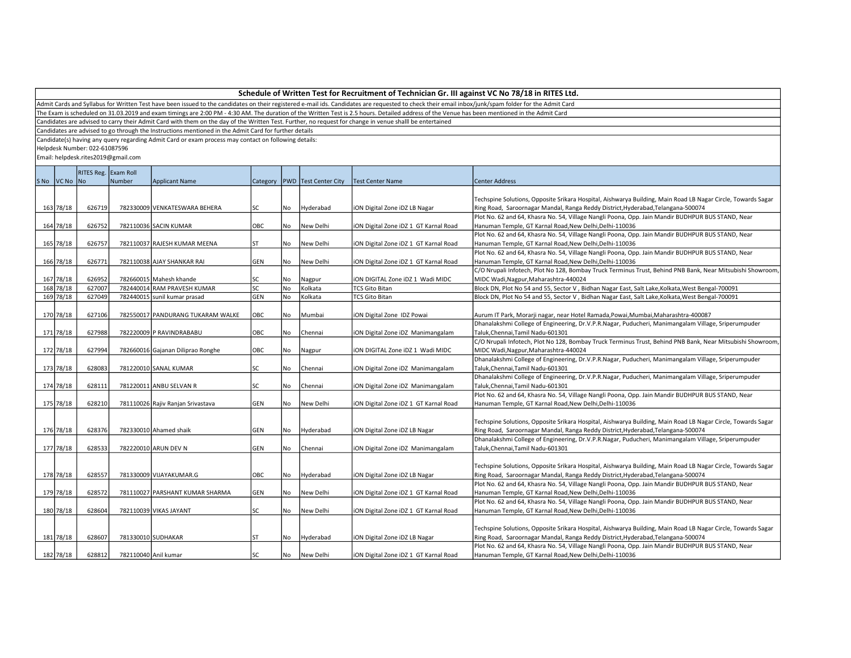Admit Cards and Syllabus for Written Test have been issued to the candidates on their registered e-mail ids. Candidates are requested to check their email inbox/junk/spam folder for the Admit Card

The Exam is scheduled on 31.03.2019 and exam timings are 2:00 PM - 4:30 AM. The duration of the Written Test is 2.5 hours. Detailed address of the Venue has been mentioned in the Admit Card

Candidates are advised to carry their Admit Card with them on the day of the Written Test. Further, no request for change in venue shalll be entertained

Candidates are advised to go through the Instructions mentioned in the Admit Card for further details

Candidate(s) having any query regarding Admit Card or exam process may contact on following details:

Helpdesk Number: 022-61087596

| RITES Reg. Exam Roll<br>SNo VCNo No<br>Number<br>Category   PWD   Test Center City<br>Center Address<br><b>Applicant Name</b><br>Test Center Name<br>163 78/18<br>782330009 VENKATESWARA BEHERA<br>lsc<br>ION Digital Zone IDZ LB Nagar<br>Ring Road, Saroornagar Mandal, Ranga Reddy District, Hyderabad, Telangana-500074<br>626719<br>No<br>Hyderabad<br>Plot No. 62 and 64, Khasra No. 54, Village Nangli Poona, Opp. Jain Mandir BUDHPUR BUS STAND, Near<br>164 78/18<br>626752<br>OBC<br>No<br>782110036 SACIN KUMAR<br>New Delhi<br>ION Digital Zone IDZ 1 GT Karnal Road<br>Hanuman Temple, GT Karnal Road, New Delhi, Delhi-110036<br>Plot No. 62 and 64, Khasra No. 54, Village Nangli Poona, Opp. Jain Mandir BUDHPUR BUS STAND, Near<br>165 78/18<br>626757<br>782110037 RAJESH KUMAR MEENA<br>No<br>New Delhi<br>Hanuman Temple, GT Karnal Road, New Delhi, Delhi-110036<br>ST<br>iON Digital Zone iDZ 1 GT Karnal Road<br>Plot No. 62 and 64, Khasra No. 54, Village Nangli Poona, Opp. Jain Mandir BUDHPUR BUS STAND, Near<br>166 78/18<br>626771<br>782110038 AJAY SHANKAR RAI<br><b>GEN</b><br>No<br>New Delhi<br>ION Digital Zone IDZ 1 GT Karnal Road<br>Hanuman Temple, GT Karnal Road, New Delhi, Delhi-110036<br>167 78/18<br>626952<br>782660015 Mahesh khande<br>No<br>SC<br>Nagpur<br>ION DIGITAL Zone IDZ 1 Wadi MIDC<br>MIDC Wadi, Nagpur, Maharashtra-440024<br>168 78/18<br>782440014 RAM PRAVESH KUMAR<br>lsc<br>Kolkata<br>Block DN, Plot No 54 and 55, Sector V, Bidhan Nagar East, Salt Lake, Kolkata, West Bengal-700091<br>627007<br>No.<br><b>TCS Gito Bitan</b><br>169 78/18<br>No<br>627049<br>782440015 sunil kumar prasad<br><b>GEN</b><br>Kolkata<br><b>TCS Gito Bitan</b><br>Block DN, Plot No 54 and 55, Sector V, Bidhan Nagar East, Salt Lake, Kolkata, West Bengal-700091<br>170 78/18<br>OBC<br>627106<br>782550017 PANDURANG TUKARAM WALKE<br>No<br>Aurum IT Park, Morarji nagar, near Hotel Ramada, Powai, Mumbai, Maharashtra-400087<br>Mumbai<br>iON Digital Zone IDZ Powai<br>Dhanalakshmi College of Engineering, Dr.V.P.R.Nagar, Puducheri, Manimangalam Village, Sriperumpuder<br>171 78/18<br>627988<br>782220009 P RAVINDRABABU<br>OBC<br>No<br>Chennai<br>iON Digital Zone iDZ Manimangalam<br>Taluk, Chennai, Tamil Nadu-601301<br>172 78/18<br>627994<br>782660016 Gajanan Diliprao Ronghe<br>OBC<br>No<br>MIDC Wadi, Nagpur, Maharashtra-440024<br>ION DIGITAL Zone IDZ 1 Wadi MIDC<br>Nagpur<br>Dhanalakshmi College of Engineering, Dr.V.P.R.Nagar, Puducheri, Manimangalam Village, Sriperumpuder<br>173 78/18<br>628083<br>SC<br>No<br>781220010 SANAL KUMAR<br>iON Digital Zone iDZ Manimangalam<br>Taluk, Chennai, Tamil Nadu-601301<br>Chennai<br>Dhanalakshmi College of Engineering, Dr.V.P.R.Nagar, Puducheri, Manimangalam Village, Sriperumpuder<br>174 78/18<br>781220011 ANBU SELVAN R<br>628111<br>SC<br>No<br>Taluk, Chennai, Tamil Nadu-601301<br>Chennai<br>iON Digital Zone iDZ Manimangalam<br>Plot No. 62 and 64, Khasra No. 54, Village Nangli Poona, Opp. Jain Mandir BUDHPUR BUS STAND, Near<br>175 78/18<br>628210<br>GEN<br>No<br>Hanuman Temple, GT Karnal Road, New Delhi, Delhi-110036<br>781110026 Rajiv Ranjan Srivastava<br>New Delhi<br>iON Digital Zone iDZ 1 GT Karnal Road<br>176 78/18<br>628376<br>782330010 Ahamed shaik<br><b>GEN</b><br>No<br>Hyderabad<br>iON Digital Zone iDZ LB Nagar<br>Ring Road, Saroornagar Mandal, Ranga Reddy District, Hyderabad, Telangana-500074 | Techspine Solutions, Opposite Srikara Hospital, Aishwarya Building, Main Road LB Nagar Circle, Towards Sagar<br>C/O Nrupali Infotech, Plot No 128, Bombay Truck Terminus Trust, Behind PNB Bank, Near Mitsubishi Showroom<br>Techspine Solutions, Opposite Srikara Hospital, Aishwarya Building, Main Road LB Nagar Circle, Towards Sagar<br>Dhanalakshmi College of Engineering, Dr.V.P.R.Nagar, Puducheri, Manimangalam Village, Sriperumpuder<br>177 78/18<br>628533<br>782220010 ARUN DEV N<br>GEN<br>No<br>Taluk, Chennai, Tamil Nadu-601301<br>Chennai<br>iON Digital Zone iDZ Manimangalam<br>Techspine Solutions, Opposite Srikara Hospital, Aishwarya Building, Main Road LB Nagar Circle, Towards Sagar<br>178 78/18<br>628557<br>781330009 VIJAYAKUMAR.G<br>OBC<br>Ring Road, Saroornagar Mandal, Ranga Reddy District, Hyderabad, Telangana-500074<br>No<br>Hyderabad<br>iON Digital Zone iDZ LB Nagar<br>Plot No. 62 and 64, Khasra No. 54, Village Nangli Poona, Opp. Jain Mandir BUDHPUR BUS STAND, Near<br>179 78/18<br>628572<br><b>No</b><br>781110027 PARSHANT KUMAR SHARMA<br>GEN<br>New Delhi<br>ION Digital Zone IDZ 1 GT Karnal Road<br>Hanuman Temple, GT Karnal Road, New Delhi, Delhi-110036<br>Plot No. 62 and 64, Khasra No. 54, Village Nangli Poona, Opp. Jain Mandir BUDHPUR BUS STAND, Near<br>180 78/18<br>628604<br>782110039 VIKAS JAYANT<br>SC<br>No<br>New Delhi<br>Hanuman Temple, GT Karnal Road, New Delhi, Delhi-110036<br>ION Digital Zone IDZ 1 GT Karnal Road<br>Techspine Solutions, Opposite Srikara Hospital, Aishwarya Building, Main Road LB Nagar Circle, Towards Sagar<br>181 78/18<br>781330010 SUDHAKAR<br>Ring Road, Saroornagar Mandal, Ranga Reddy District, Hyderabad, Telangana-500074<br>628607<br><b>ST</b><br>No<br>Hyderabad<br>ION Digital Zone IDZ LB Nagar<br>Plot No. 62 and 64, Khasra No. 54, Village Nangli Poona, Opp. Jain Mandir BUDHPUR BUS STAND, Near |  |        |  |     |     |  |                                                                                                           |  |
|------------------------------------------------------------------------------------------------------------------------------------------------------------------------------------------------------------------------------------------------------------------------------------------------------------------------------------------------------------------------------------------------------------------------------------------------------------------------------------------------------------------------------------------------------------------------------------------------------------------------------------------------------------------------------------------------------------------------------------------------------------------------------------------------------------------------------------------------------------------------------------------------------------------------------------------------------------------------------------------------------------------------------------------------------------------------------------------------------------------------------------------------------------------------------------------------------------------------------------------------------------------------------------------------------------------------------------------------------------------------------------------------------------------------------------------------------------------------------------------------------------------------------------------------------------------------------------------------------------------------------------------------------------------------------------------------------------------------------------------------------------------------------------------------------------------------------------------------------------------------------------------------------------------------------------------------------------------------------------------------------------------------------------------------------------------------------------------------------------------------------------------------------------------------------------------------------------------------------------------------------------------------------------------------------------------------------------------------------------------------------------------------------------------------------------------------------------------------------------------------------------------------------------------------------------------------------------------------------------------------------------------------------------------------------------------------------------------------------------------------------------------------------------------------------------------------------------------------------------------------------------------------------------------------------------------------------------------------------------------------------------------------------------------------------------------------------------------------------------------------------------------------------------------------------------------------------------------------------------------------------------------------------------------------------------------------------------------------------------------------------------------------------------------------------------------------------------------------------------|----------------------------------------------------------------------------------------------------------------------------------------------------------------------------------------------------------------------------------------------------------------------------------------------------------------------------------------------------------------------------------------------------------------------------------------------------------------------------------------------------------------------------------------------------------------------------------------------------------------------------------------------------------------------------------------------------------------------------------------------------------------------------------------------------------------------------------------------------------------------------------------------------------------------------------------------------------------------------------------------------------------------------------------------------------------------------------------------------------------------------------------------------------------------------------------------------------------------------------------------------------------------------------------------------------------------------------------------------------------------------------------------------------------------------------------------------------------------------------------------------------------------------------------------------------------------------------------------------------------------------------------------------------------------------------------------------------------------------------------------------------------------------------------------------------------------------------------------------------------------------------------------------------------------------------|--|--------|--|-----|-----|--|-----------------------------------------------------------------------------------------------------------|--|
|                                                                                                                                                                                                                                                                                                                                                                                                                                                                                                                                                                                                                                                                                                                                                                                                                                                                                                                                                                                                                                                                                                                                                                                                                                                                                                                                                                                                                                                                                                                                                                                                                                                                                                                                                                                                                                                                                                                                                                                                                                                                                                                                                                                                                                                                                                                                                                                                                                                                                                                                                                                                                                                                                                                                                                                                                                                                                                                                                                                                                                                                                                                                                                                                                                                                                                                                                                                                                                                                                    |                                                                                                                                                                                                                                                                                                                                                                                                                                                                                                                                                                                                                                                                                                                                                                                                                                                                                                                                                                                                                                                                                                                                                                                                                                                                                                                                                                                                                                                                                                                                                                                                                                                                                                                                                                                                                                                                                                                                  |  |        |  |     |     |  |                                                                                                           |  |
|                                                                                                                                                                                                                                                                                                                                                                                                                                                                                                                                                                                                                                                                                                                                                                                                                                                                                                                                                                                                                                                                                                                                                                                                                                                                                                                                                                                                                                                                                                                                                                                                                                                                                                                                                                                                                                                                                                                                                                                                                                                                                                                                                                                                                                                                                                                                                                                                                                                                                                                                                                                                                                                                                                                                                                                                                                                                                                                                                                                                                                                                                                                                                                                                                                                                                                                                                                                                                                                                                    |                                                                                                                                                                                                                                                                                                                                                                                                                                                                                                                                                                                                                                                                                                                                                                                                                                                                                                                                                                                                                                                                                                                                                                                                                                                                                                                                                                                                                                                                                                                                                                                                                                                                                                                                                                                                                                                                                                                                  |  |        |  |     |     |  |                                                                                                           |  |
|                                                                                                                                                                                                                                                                                                                                                                                                                                                                                                                                                                                                                                                                                                                                                                                                                                                                                                                                                                                                                                                                                                                                                                                                                                                                                                                                                                                                                                                                                                                                                                                                                                                                                                                                                                                                                                                                                                                                                                                                                                                                                                                                                                                                                                                                                                                                                                                                                                                                                                                                                                                                                                                                                                                                                                                                                                                                                                                                                                                                                                                                                                                                                                                                                                                                                                                                                                                                                                                                                    |                                                                                                                                                                                                                                                                                                                                                                                                                                                                                                                                                                                                                                                                                                                                                                                                                                                                                                                                                                                                                                                                                                                                                                                                                                                                                                                                                                                                                                                                                                                                                                                                                                                                                                                                                                                                                                                                                                                                  |  |        |  |     |     |  |                                                                                                           |  |
|                                                                                                                                                                                                                                                                                                                                                                                                                                                                                                                                                                                                                                                                                                                                                                                                                                                                                                                                                                                                                                                                                                                                                                                                                                                                                                                                                                                                                                                                                                                                                                                                                                                                                                                                                                                                                                                                                                                                                                                                                                                                                                                                                                                                                                                                                                                                                                                                                                                                                                                                                                                                                                                                                                                                                                                                                                                                                                                                                                                                                                                                                                                                                                                                                                                                                                                                                                                                                                                                                    |                                                                                                                                                                                                                                                                                                                                                                                                                                                                                                                                                                                                                                                                                                                                                                                                                                                                                                                                                                                                                                                                                                                                                                                                                                                                                                                                                                                                                                                                                                                                                                                                                                                                                                                                                                                                                                                                                                                                  |  |        |  |     |     |  |                                                                                                           |  |
|                                                                                                                                                                                                                                                                                                                                                                                                                                                                                                                                                                                                                                                                                                                                                                                                                                                                                                                                                                                                                                                                                                                                                                                                                                                                                                                                                                                                                                                                                                                                                                                                                                                                                                                                                                                                                                                                                                                                                                                                                                                                                                                                                                                                                                                                                                                                                                                                                                                                                                                                                                                                                                                                                                                                                                                                                                                                                                                                                                                                                                                                                                                                                                                                                                                                                                                                                                                                                                                                                    |                                                                                                                                                                                                                                                                                                                                                                                                                                                                                                                                                                                                                                                                                                                                                                                                                                                                                                                                                                                                                                                                                                                                                                                                                                                                                                                                                                                                                                                                                                                                                                                                                                                                                                                                                                                                                                                                                                                                  |  |        |  |     |     |  |                                                                                                           |  |
|                                                                                                                                                                                                                                                                                                                                                                                                                                                                                                                                                                                                                                                                                                                                                                                                                                                                                                                                                                                                                                                                                                                                                                                                                                                                                                                                                                                                                                                                                                                                                                                                                                                                                                                                                                                                                                                                                                                                                                                                                                                                                                                                                                                                                                                                                                                                                                                                                                                                                                                                                                                                                                                                                                                                                                                                                                                                                                                                                                                                                                                                                                                                                                                                                                                                                                                                                                                                                                                                                    |                                                                                                                                                                                                                                                                                                                                                                                                                                                                                                                                                                                                                                                                                                                                                                                                                                                                                                                                                                                                                                                                                                                                                                                                                                                                                                                                                                                                                                                                                                                                                                                                                                                                                                                                                                                                                                                                                                                                  |  |        |  |     |     |  |                                                                                                           |  |
|                                                                                                                                                                                                                                                                                                                                                                                                                                                                                                                                                                                                                                                                                                                                                                                                                                                                                                                                                                                                                                                                                                                                                                                                                                                                                                                                                                                                                                                                                                                                                                                                                                                                                                                                                                                                                                                                                                                                                                                                                                                                                                                                                                                                                                                                                                                                                                                                                                                                                                                                                                                                                                                                                                                                                                                                                                                                                                                                                                                                                                                                                                                                                                                                                                                                                                                                                                                                                                                                                    |                                                                                                                                                                                                                                                                                                                                                                                                                                                                                                                                                                                                                                                                                                                                                                                                                                                                                                                                                                                                                                                                                                                                                                                                                                                                                                                                                                                                                                                                                                                                                                                                                                                                                                                                                                                                                                                                                                                                  |  |        |  |     |     |  |                                                                                                           |  |
|                                                                                                                                                                                                                                                                                                                                                                                                                                                                                                                                                                                                                                                                                                                                                                                                                                                                                                                                                                                                                                                                                                                                                                                                                                                                                                                                                                                                                                                                                                                                                                                                                                                                                                                                                                                                                                                                                                                                                                                                                                                                                                                                                                                                                                                                                                                                                                                                                                                                                                                                                                                                                                                                                                                                                                                                                                                                                                                                                                                                                                                                                                                                                                                                                                                                                                                                                                                                                                                                                    |                                                                                                                                                                                                                                                                                                                                                                                                                                                                                                                                                                                                                                                                                                                                                                                                                                                                                                                                                                                                                                                                                                                                                                                                                                                                                                                                                                                                                                                                                                                                                                                                                                                                                                                                                                                                                                                                                                                                  |  |        |  |     |     |  |                                                                                                           |  |
|                                                                                                                                                                                                                                                                                                                                                                                                                                                                                                                                                                                                                                                                                                                                                                                                                                                                                                                                                                                                                                                                                                                                                                                                                                                                                                                                                                                                                                                                                                                                                                                                                                                                                                                                                                                                                                                                                                                                                                                                                                                                                                                                                                                                                                                                                                                                                                                                                                                                                                                                                                                                                                                                                                                                                                                                                                                                                                                                                                                                                                                                                                                                                                                                                                                                                                                                                                                                                                                                                    |                                                                                                                                                                                                                                                                                                                                                                                                                                                                                                                                                                                                                                                                                                                                                                                                                                                                                                                                                                                                                                                                                                                                                                                                                                                                                                                                                                                                                                                                                                                                                                                                                                                                                                                                                                                                                                                                                                                                  |  |        |  |     |     |  |                                                                                                           |  |
|                                                                                                                                                                                                                                                                                                                                                                                                                                                                                                                                                                                                                                                                                                                                                                                                                                                                                                                                                                                                                                                                                                                                                                                                                                                                                                                                                                                                                                                                                                                                                                                                                                                                                                                                                                                                                                                                                                                                                                                                                                                                                                                                                                                                                                                                                                                                                                                                                                                                                                                                                                                                                                                                                                                                                                                                                                                                                                                                                                                                                                                                                                                                                                                                                                                                                                                                                                                                                                                                                    |                                                                                                                                                                                                                                                                                                                                                                                                                                                                                                                                                                                                                                                                                                                                                                                                                                                                                                                                                                                                                                                                                                                                                                                                                                                                                                                                                                                                                                                                                                                                                                                                                                                                                                                                                                                                                                                                                                                                  |  |        |  |     |     |  |                                                                                                           |  |
|                                                                                                                                                                                                                                                                                                                                                                                                                                                                                                                                                                                                                                                                                                                                                                                                                                                                                                                                                                                                                                                                                                                                                                                                                                                                                                                                                                                                                                                                                                                                                                                                                                                                                                                                                                                                                                                                                                                                                                                                                                                                                                                                                                                                                                                                                                                                                                                                                                                                                                                                                                                                                                                                                                                                                                                                                                                                                                                                                                                                                                                                                                                                                                                                                                                                                                                                                                                                                                                                                    |                                                                                                                                                                                                                                                                                                                                                                                                                                                                                                                                                                                                                                                                                                                                                                                                                                                                                                                                                                                                                                                                                                                                                                                                                                                                                                                                                                                                                                                                                                                                                                                                                                                                                                                                                                                                                                                                                                                                  |  |        |  |     |     |  |                                                                                                           |  |
|                                                                                                                                                                                                                                                                                                                                                                                                                                                                                                                                                                                                                                                                                                                                                                                                                                                                                                                                                                                                                                                                                                                                                                                                                                                                                                                                                                                                                                                                                                                                                                                                                                                                                                                                                                                                                                                                                                                                                                                                                                                                                                                                                                                                                                                                                                                                                                                                                                                                                                                                                                                                                                                                                                                                                                                                                                                                                                                                                                                                                                                                                                                                                                                                                                                                                                                                                                                                                                                                                    |                                                                                                                                                                                                                                                                                                                                                                                                                                                                                                                                                                                                                                                                                                                                                                                                                                                                                                                                                                                                                                                                                                                                                                                                                                                                                                                                                                                                                                                                                                                                                                                                                                                                                                                                                                                                                                                                                                                                  |  |        |  |     |     |  | C/O Nrupali Infotech, Plot No 128, Bombay Truck Terminus Trust, Behind PNB Bank, Near Mitsubishi Showroom |  |
|                                                                                                                                                                                                                                                                                                                                                                                                                                                                                                                                                                                                                                                                                                                                                                                                                                                                                                                                                                                                                                                                                                                                                                                                                                                                                                                                                                                                                                                                                                                                                                                                                                                                                                                                                                                                                                                                                                                                                                                                                                                                                                                                                                                                                                                                                                                                                                                                                                                                                                                                                                                                                                                                                                                                                                                                                                                                                                                                                                                                                                                                                                                                                                                                                                                                                                                                                                                                                                                                                    |                                                                                                                                                                                                                                                                                                                                                                                                                                                                                                                                                                                                                                                                                                                                                                                                                                                                                                                                                                                                                                                                                                                                                                                                                                                                                                                                                                                                                                                                                                                                                                                                                                                                                                                                                                                                                                                                                                                                  |  |        |  |     |     |  |                                                                                                           |  |
|                                                                                                                                                                                                                                                                                                                                                                                                                                                                                                                                                                                                                                                                                                                                                                                                                                                                                                                                                                                                                                                                                                                                                                                                                                                                                                                                                                                                                                                                                                                                                                                                                                                                                                                                                                                                                                                                                                                                                                                                                                                                                                                                                                                                                                                                                                                                                                                                                                                                                                                                                                                                                                                                                                                                                                                                                                                                                                                                                                                                                                                                                                                                                                                                                                                                                                                                                                                                                                                                                    |                                                                                                                                                                                                                                                                                                                                                                                                                                                                                                                                                                                                                                                                                                                                                                                                                                                                                                                                                                                                                                                                                                                                                                                                                                                                                                                                                                                                                                                                                                                                                                                                                                                                                                                                                                                                                                                                                                                                  |  |        |  |     |     |  |                                                                                                           |  |
|                                                                                                                                                                                                                                                                                                                                                                                                                                                                                                                                                                                                                                                                                                                                                                                                                                                                                                                                                                                                                                                                                                                                                                                                                                                                                                                                                                                                                                                                                                                                                                                                                                                                                                                                                                                                                                                                                                                                                                                                                                                                                                                                                                                                                                                                                                                                                                                                                                                                                                                                                                                                                                                                                                                                                                                                                                                                                                                                                                                                                                                                                                                                                                                                                                                                                                                                                                                                                                                                                    |                                                                                                                                                                                                                                                                                                                                                                                                                                                                                                                                                                                                                                                                                                                                                                                                                                                                                                                                                                                                                                                                                                                                                                                                                                                                                                                                                                                                                                                                                                                                                                                                                                                                                                                                                                                                                                                                                                                                  |  |        |  |     |     |  |                                                                                                           |  |
|                                                                                                                                                                                                                                                                                                                                                                                                                                                                                                                                                                                                                                                                                                                                                                                                                                                                                                                                                                                                                                                                                                                                                                                                                                                                                                                                                                                                                                                                                                                                                                                                                                                                                                                                                                                                                                                                                                                                                                                                                                                                                                                                                                                                                                                                                                                                                                                                                                                                                                                                                                                                                                                                                                                                                                                                                                                                                                                                                                                                                                                                                                                                                                                                                                                                                                                                                                                                                                                                                    |                                                                                                                                                                                                                                                                                                                                                                                                                                                                                                                                                                                                                                                                                                                                                                                                                                                                                                                                                                                                                                                                                                                                                                                                                                                                                                                                                                                                                                                                                                                                                                                                                                                                                                                                                                                                                                                                                                                                  |  |        |  |     |     |  |                                                                                                           |  |
|                                                                                                                                                                                                                                                                                                                                                                                                                                                                                                                                                                                                                                                                                                                                                                                                                                                                                                                                                                                                                                                                                                                                                                                                                                                                                                                                                                                                                                                                                                                                                                                                                                                                                                                                                                                                                                                                                                                                                                                                                                                                                                                                                                                                                                                                                                                                                                                                                                                                                                                                                                                                                                                                                                                                                                                                                                                                                                                                                                                                                                                                                                                                                                                                                                                                                                                                                                                                                                                                                    |                                                                                                                                                                                                                                                                                                                                                                                                                                                                                                                                                                                                                                                                                                                                                                                                                                                                                                                                                                                                                                                                                                                                                                                                                                                                                                                                                                                                                                                                                                                                                                                                                                                                                                                                                                                                                                                                                                                                  |  |        |  |     |     |  |                                                                                                           |  |
|                                                                                                                                                                                                                                                                                                                                                                                                                                                                                                                                                                                                                                                                                                                                                                                                                                                                                                                                                                                                                                                                                                                                                                                                                                                                                                                                                                                                                                                                                                                                                                                                                                                                                                                                                                                                                                                                                                                                                                                                                                                                                                                                                                                                                                                                                                                                                                                                                                                                                                                                                                                                                                                                                                                                                                                                                                                                                                                                                                                                                                                                                                                                                                                                                                                                                                                                                                                                                                                                                    |                                                                                                                                                                                                                                                                                                                                                                                                                                                                                                                                                                                                                                                                                                                                                                                                                                                                                                                                                                                                                                                                                                                                                                                                                                                                                                                                                                                                                                                                                                                                                                                                                                                                                                                                                                                                                                                                                                                                  |  |        |  |     |     |  |                                                                                                           |  |
|                                                                                                                                                                                                                                                                                                                                                                                                                                                                                                                                                                                                                                                                                                                                                                                                                                                                                                                                                                                                                                                                                                                                                                                                                                                                                                                                                                                                                                                                                                                                                                                                                                                                                                                                                                                                                                                                                                                                                                                                                                                                                                                                                                                                                                                                                                                                                                                                                                                                                                                                                                                                                                                                                                                                                                                                                                                                                                                                                                                                                                                                                                                                                                                                                                                                                                                                                                                                                                                                                    |                                                                                                                                                                                                                                                                                                                                                                                                                                                                                                                                                                                                                                                                                                                                                                                                                                                                                                                                                                                                                                                                                                                                                                                                                                                                                                                                                                                                                                                                                                                                                                                                                                                                                                                                                                                                                                                                                                                                  |  |        |  |     |     |  |                                                                                                           |  |
|                                                                                                                                                                                                                                                                                                                                                                                                                                                                                                                                                                                                                                                                                                                                                                                                                                                                                                                                                                                                                                                                                                                                                                                                                                                                                                                                                                                                                                                                                                                                                                                                                                                                                                                                                                                                                                                                                                                                                                                                                                                                                                                                                                                                                                                                                                                                                                                                                                                                                                                                                                                                                                                                                                                                                                                                                                                                                                                                                                                                                                                                                                                                                                                                                                                                                                                                                                                                                                                                                    |                                                                                                                                                                                                                                                                                                                                                                                                                                                                                                                                                                                                                                                                                                                                                                                                                                                                                                                                                                                                                                                                                                                                                                                                                                                                                                                                                                                                                                                                                                                                                                                                                                                                                                                                                                                                                                                                                                                                  |  |        |  |     |     |  |                                                                                                           |  |
|                                                                                                                                                                                                                                                                                                                                                                                                                                                                                                                                                                                                                                                                                                                                                                                                                                                                                                                                                                                                                                                                                                                                                                                                                                                                                                                                                                                                                                                                                                                                                                                                                                                                                                                                                                                                                                                                                                                                                                                                                                                                                                                                                                                                                                                                                                                                                                                                                                                                                                                                                                                                                                                                                                                                                                                                                                                                                                                                                                                                                                                                                                                                                                                                                                                                                                                                                                                                                                                                                    |                                                                                                                                                                                                                                                                                                                                                                                                                                                                                                                                                                                                                                                                                                                                                                                                                                                                                                                                                                                                                                                                                                                                                                                                                                                                                                                                                                                                                                                                                                                                                                                                                                                                                                                                                                                                                                                                                                                                  |  |        |  |     |     |  |                                                                                                           |  |
|                                                                                                                                                                                                                                                                                                                                                                                                                                                                                                                                                                                                                                                                                                                                                                                                                                                                                                                                                                                                                                                                                                                                                                                                                                                                                                                                                                                                                                                                                                                                                                                                                                                                                                                                                                                                                                                                                                                                                                                                                                                                                                                                                                                                                                                                                                                                                                                                                                                                                                                                                                                                                                                                                                                                                                                                                                                                                                                                                                                                                                                                                                                                                                                                                                                                                                                                                                                                                                                                                    |                                                                                                                                                                                                                                                                                                                                                                                                                                                                                                                                                                                                                                                                                                                                                                                                                                                                                                                                                                                                                                                                                                                                                                                                                                                                                                                                                                                                                                                                                                                                                                                                                                                                                                                                                                                                                                                                                                                                  |  |        |  |     |     |  |                                                                                                           |  |
|                                                                                                                                                                                                                                                                                                                                                                                                                                                                                                                                                                                                                                                                                                                                                                                                                                                                                                                                                                                                                                                                                                                                                                                                                                                                                                                                                                                                                                                                                                                                                                                                                                                                                                                                                                                                                                                                                                                                                                                                                                                                                                                                                                                                                                                                                                                                                                                                                                                                                                                                                                                                                                                                                                                                                                                                                                                                                                                                                                                                                                                                                                                                                                                                                                                                                                                                                                                                                                                                                    |                                                                                                                                                                                                                                                                                                                                                                                                                                                                                                                                                                                                                                                                                                                                                                                                                                                                                                                                                                                                                                                                                                                                                                                                                                                                                                                                                                                                                                                                                                                                                                                                                                                                                                                                                                                                                                                                                                                                  |  |        |  |     |     |  |                                                                                                           |  |
|                                                                                                                                                                                                                                                                                                                                                                                                                                                                                                                                                                                                                                                                                                                                                                                                                                                                                                                                                                                                                                                                                                                                                                                                                                                                                                                                                                                                                                                                                                                                                                                                                                                                                                                                                                                                                                                                                                                                                                                                                                                                                                                                                                                                                                                                                                                                                                                                                                                                                                                                                                                                                                                                                                                                                                                                                                                                                                                                                                                                                                                                                                                                                                                                                                                                                                                                                                                                                                                                                    |                                                                                                                                                                                                                                                                                                                                                                                                                                                                                                                                                                                                                                                                                                                                                                                                                                                                                                                                                                                                                                                                                                                                                                                                                                                                                                                                                                                                                                                                                                                                                                                                                                                                                                                                                                                                                                                                                                                                  |  |        |  |     |     |  |                                                                                                           |  |
|                                                                                                                                                                                                                                                                                                                                                                                                                                                                                                                                                                                                                                                                                                                                                                                                                                                                                                                                                                                                                                                                                                                                                                                                                                                                                                                                                                                                                                                                                                                                                                                                                                                                                                                                                                                                                                                                                                                                                                                                                                                                                                                                                                                                                                                                                                                                                                                                                                                                                                                                                                                                                                                                                                                                                                                                                                                                                                                                                                                                                                                                                                                                                                                                                                                                                                                                                                                                                                                                                    |                                                                                                                                                                                                                                                                                                                                                                                                                                                                                                                                                                                                                                                                                                                                                                                                                                                                                                                                                                                                                                                                                                                                                                                                                                                                                                                                                                                                                                                                                                                                                                                                                                                                                                                                                                                                                                                                                                                                  |  |        |  |     |     |  |                                                                                                           |  |
|                                                                                                                                                                                                                                                                                                                                                                                                                                                                                                                                                                                                                                                                                                                                                                                                                                                                                                                                                                                                                                                                                                                                                                                                                                                                                                                                                                                                                                                                                                                                                                                                                                                                                                                                                                                                                                                                                                                                                                                                                                                                                                                                                                                                                                                                                                                                                                                                                                                                                                                                                                                                                                                                                                                                                                                                                                                                                                                                                                                                                                                                                                                                                                                                                                                                                                                                                                                                                                                                                    |                                                                                                                                                                                                                                                                                                                                                                                                                                                                                                                                                                                                                                                                                                                                                                                                                                                                                                                                                                                                                                                                                                                                                                                                                                                                                                                                                                                                                                                                                                                                                                                                                                                                                                                                                                                                                                                                                                                                  |  |        |  |     |     |  |                                                                                                           |  |
|                                                                                                                                                                                                                                                                                                                                                                                                                                                                                                                                                                                                                                                                                                                                                                                                                                                                                                                                                                                                                                                                                                                                                                                                                                                                                                                                                                                                                                                                                                                                                                                                                                                                                                                                                                                                                                                                                                                                                                                                                                                                                                                                                                                                                                                                                                                                                                                                                                                                                                                                                                                                                                                                                                                                                                                                                                                                                                                                                                                                                                                                                                                                                                                                                                                                                                                                                                                                                                                                                    |                                                                                                                                                                                                                                                                                                                                                                                                                                                                                                                                                                                                                                                                                                                                                                                                                                                                                                                                                                                                                                                                                                                                                                                                                                                                                                                                                                                                                                                                                                                                                                                                                                                                                                                                                                                                                                                                                                                                  |  |        |  |     |     |  |                                                                                                           |  |
|                                                                                                                                                                                                                                                                                                                                                                                                                                                                                                                                                                                                                                                                                                                                                                                                                                                                                                                                                                                                                                                                                                                                                                                                                                                                                                                                                                                                                                                                                                                                                                                                                                                                                                                                                                                                                                                                                                                                                                                                                                                                                                                                                                                                                                                                                                                                                                                                                                                                                                                                                                                                                                                                                                                                                                                                                                                                                                                                                                                                                                                                                                                                                                                                                                                                                                                                                                                                                                                                                    |                                                                                                                                                                                                                                                                                                                                                                                                                                                                                                                                                                                                                                                                                                                                                                                                                                                                                                                                                                                                                                                                                                                                                                                                                                                                                                                                                                                                                                                                                                                                                                                                                                                                                                                                                                                                                                                                                                                                  |  |        |  |     |     |  |                                                                                                           |  |
|                                                                                                                                                                                                                                                                                                                                                                                                                                                                                                                                                                                                                                                                                                                                                                                                                                                                                                                                                                                                                                                                                                                                                                                                                                                                                                                                                                                                                                                                                                                                                                                                                                                                                                                                                                                                                                                                                                                                                                                                                                                                                                                                                                                                                                                                                                                                                                                                                                                                                                                                                                                                                                                                                                                                                                                                                                                                                                                                                                                                                                                                                                                                                                                                                                                                                                                                                                                                                                                                                    |                                                                                                                                                                                                                                                                                                                                                                                                                                                                                                                                                                                                                                                                                                                                                                                                                                                                                                                                                                                                                                                                                                                                                                                                                                                                                                                                                                                                                                                                                                                                                                                                                                                                                                                                                                                                                                                                                                                                  |  |        |  |     |     |  |                                                                                                           |  |
|                                                                                                                                                                                                                                                                                                                                                                                                                                                                                                                                                                                                                                                                                                                                                                                                                                                                                                                                                                                                                                                                                                                                                                                                                                                                                                                                                                                                                                                                                                                                                                                                                                                                                                                                                                                                                                                                                                                                                                                                                                                                                                                                                                                                                                                                                                                                                                                                                                                                                                                                                                                                                                                                                                                                                                                                                                                                                                                                                                                                                                                                                                                                                                                                                                                                                                                                                                                                                                                                                    |                                                                                                                                                                                                                                                                                                                                                                                                                                                                                                                                                                                                                                                                                                                                                                                                                                                                                                                                                                                                                                                                                                                                                                                                                                                                                                                                                                                                                                                                                                                                                                                                                                                                                                                                                                                                                                                                                                                                  |  |        |  |     |     |  |                                                                                                           |  |
|                                                                                                                                                                                                                                                                                                                                                                                                                                                                                                                                                                                                                                                                                                                                                                                                                                                                                                                                                                                                                                                                                                                                                                                                                                                                                                                                                                                                                                                                                                                                                                                                                                                                                                                                                                                                                                                                                                                                                                                                                                                                                                                                                                                                                                                                                                                                                                                                                                                                                                                                                                                                                                                                                                                                                                                                                                                                                                                                                                                                                                                                                                                                                                                                                                                                                                                                                                                                                                                                                    |                                                                                                                                                                                                                                                                                                                                                                                                                                                                                                                                                                                                                                                                                                                                                                                                                                                                                                                                                                                                                                                                                                                                                                                                                                                                                                                                                                                                                                                                                                                                                                                                                                                                                                                                                                                                                                                                                                                                  |  |        |  |     |     |  |                                                                                                           |  |
|                                                                                                                                                                                                                                                                                                                                                                                                                                                                                                                                                                                                                                                                                                                                                                                                                                                                                                                                                                                                                                                                                                                                                                                                                                                                                                                                                                                                                                                                                                                                                                                                                                                                                                                                                                                                                                                                                                                                                                                                                                                                                                                                                                                                                                                                                                                                                                                                                                                                                                                                                                                                                                                                                                                                                                                                                                                                                                                                                                                                                                                                                                                                                                                                                                                                                                                                                                                                                                                                                    |                                                                                                                                                                                                                                                                                                                                                                                                                                                                                                                                                                                                                                                                                                                                                                                                                                                                                                                                                                                                                                                                                                                                                                                                                                                                                                                                                                                                                                                                                                                                                                                                                                                                                                                                                                                                                                                                                                                                  |  |        |  |     |     |  |                                                                                                           |  |
|                                                                                                                                                                                                                                                                                                                                                                                                                                                                                                                                                                                                                                                                                                                                                                                                                                                                                                                                                                                                                                                                                                                                                                                                                                                                                                                                                                                                                                                                                                                                                                                                                                                                                                                                                                                                                                                                                                                                                                                                                                                                                                                                                                                                                                                                                                                                                                                                                                                                                                                                                                                                                                                                                                                                                                                                                                                                                                                                                                                                                                                                                                                                                                                                                                                                                                                                                                                                                                                                                    |                                                                                                                                                                                                                                                                                                                                                                                                                                                                                                                                                                                                                                                                                                                                                                                                                                                                                                                                                                                                                                                                                                                                                                                                                                                                                                                                                                                                                                                                                                                                                                                                                                                                                                                                                                                                                                                                                                                                  |  |        |  |     |     |  |                                                                                                           |  |
|                                                                                                                                                                                                                                                                                                                                                                                                                                                                                                                                                                                                                                                                                                                                                                                                                                                                                                                                                                                                                                                                                                                                                                                                                                                                                                                                                                                                                                                                                                                                                                                                                                                                                                                                                                                                                                                                                                                                                                                                                                                                                                                                                                                                                                                                                                                                                                                                                                                                                                                                                                                                                                                                                                                                                                                                                                                                                                                                                                                                                                                                                                                                                                                                                                                                                                                                                                                                                                                                                    |                                                                                                                                                                                                                                                                                                                                                                                                                                                                                                                                                                                                                                                                                                                                                                                                                                                                                                                                                                                                                                                                                                                                                                                                                                                                                                                                                                                                                                                                                                                                                                                                                                                                                                                                                                                                                                                                                                                                  |  |        |  |     |     |  |                                                                                                           |  |
|                                                                                                                                                                                                                                                                                                                                                                                                                                                                                                                                                                                                                                                                                                                                                                                                                                                                                                                                                                                                                                                                                                                                                                                                                                                                                                                                                                                                                                                                                                                                                                                                                                                                                                                                                                                                                                                                                                                                                                                                                                                                                                                                                                                                                                                                                                                                                                                                                                                                                                                                                                                                                                                                                                                                                                                                                                                                                                                                                                                                                                                                                                                                                                                                                                                                                                                                                                                                                                                                                    |                                                                                                                                                                                                                                                                                                                                                                                                                                                                                                                                                                                                                                                                                                                                                                                                                                                                                                                                                                                                                                                                                                                                                                                                                                                                                                                                                                                                                                                                                                                                                                                                                                                                                                                                                                                                                                                                                                                                  |  |        |  |     |     |  |                                                                                                           |  |
|                                                                                                                                                                                                                                                                                                                                                                                                                                                                                                                                                                                                                                                                                                                                                                                                                                                                                                                                                                                                                                                                                                                                                                                                                                                                                                                                                                                                                                                                                                                                                                                                                                                                                                                                                                                                                                                                                                                                                                                                                                                                                                                                                                                                                                                                                                                                                                                                                                                                                                                                                                                                                                                                                                                                                                                                                                                                                                                                                                                                                                                                                                                                                                                                                                                                                                                                                                                                                                                                                    |                                                                                                                                                                                                                                                                                                                                                                                                                                                                                                                                                                                                                                                                                                                                                                                                                                                                                                                                                                                                                                                                                                                                                                                                                                                                                                                                                                                                                                                                                                                                                                                                                                                                                                                                                                                                                                                                                                                                  |  |        |  |     |     |  |                                                                                                           |  |
|                                                                                                                                                                                                                                                                                                                                                                                                                                                                                                                                                                                                                                                                                                                                                                                                                                                                                                                                                                                                                                                                                                                                                                                                                                                                                                                                                                                                                                                                                                                                                                                                                                                                                                                                                                                                                                                                                                                                                                                                                                                                                                                                                                                                                                                                                                                                                                                                                                                                                                                                                                                                                                                                                                                                                                                                                                                                                                                                                                                                                                                                                                                                                                                                                                                                                                                                                                                                                                                                                    |                                                                                                                                                                                                                                                                                                                                                                                                                                                                                                                                                                                                                                                                                                                                                                                                                                                                                                                                                                                                                                                                                                                                                                                                                                                                                                                                                                                                                                                                                                                                                                                                                                                                                                                                                                                                                                                                                                                                  |  |        |  |     |     |  |                                                                                                           |  |
|                                                                                                                                                                                                                                                                                                                                                                                                                                                                                                                                                                                                                                                                                                                                                                                                                                                                                                                                                                                                                                                                                                                                                                                                                                                                                                                                                                                                                                                                                                                                                                                                                                                                                                                                                                                                                                                                                                                                                                                                                                                                                                                                                                                                                                                                                                                                                                                                                                                                                                                                                                                                                                                                                                                                                                                                                                                                                                                                                                                                                                                                                                                                                                                                                                                                                                                                                                                                                                                                                    |                                                                                                                                                                                                                                                                                                                                                                                                                                                                                                                                                                                                                                                                                                                                                                                                                                                                                                                                                                                                                                                                                                                                                                                                                                                                                                                                                                                                                                                                                                                                                                                                                                                                                                                                                                                                                                                                                                                                  |  |        |  |     |     |  |                                                                                                           |  |
|                                                                                                                                                                                                                                                                                                                                                                                                                                                                                                                                                                                                                                                                                                                                                                                                                                                                                                                                                                                                                                                                                                                                                                                                                                                                                                                                                                                                                                                                                                                                                                                                                                                                                                                                                                                                                                                                                                                                                                                                                                                                                                                                                                                                                                                                                                                                                                                                                                                                                                                                                                                                                                                                                                                                                                                                                                                                                                                                                                                                                                                                                                                                                                                                                                                                                                                                                                                                                                                                                    |                                                                                                                                                                                                                                                                                                                                                                                                                                                                                                                                                                                                                                                                                                                                                                                                                                                                                                                                                                                                                                                                                                                                                                                                                                                                                                                                                                                                                                                                                                                                                                                                                                                                                                                                                                                                                                                                                                                                  |  |        |  |     |     |  |                                                                                                           |  |
|                                                                                                                                                                                                                                                                                                                                                                                                                                                                                                                                                                                                                                                                                                                                                                                                                                                                                                                                                                                                                                                                                                                                                                                                                                                                                                                                                                                                                                                                                                                                                                                                                                                                                                                                                                                                                                                                                                                                                                                                                                                                                                                                                                                                                                                                                                                                                                                                                                                                                                                                                                                                                                                                                                                                                                                                                                                                                                                                                                                                                                                                                                                                                                                                                                                                                                                                                                                                                                                                                    |                                                                                                                                                                                                                                                                                                                                                                                                                                                                                                                                                                                                                                                                                                                                                                                                                                                                                                                                                                                                                                                                                                                                                                                                                                                                                                                                                                                                                                                                                                                                                                                                                                                                                                                                                                                                                                                                                                                                  |  |        |  |     |     |  |                                                                                                           |  |
|                                                                                                                                                                                                                                                                                                                                                                                                                                                                                                                                                                                                                                                                                                                                                                                                                                                                                                                                                                                                                                                                                                                                                                                                                                                                                                                                                                                                                                                                                                                                                                                                                                                                                                                                                                                                                                                                                                                                                                                                                                                                                                                                                                                                                                                                                                                                                                                                                                                                                                                                                                                                                                                                                                                                                                                                                                                                                                                                                                                                                                                                                                                                                                                                                                                                                                                                                                                                                                                                                    |                                                                                                                                                                                                                                                                                                                                                                                                                                                                                                                                                                                                                                                                                                                                                                                                                                                                                                                                                                                                                                                                                                                                                                                                                                                                                                                                                                                                                                                                                                                                                                                                                                                                                                                                                                                                                                                                                                                                  |  |        |  |     |     |  |                                                                                                           |  |
|                                                                                                                                                                                                                                                                                                                                                                                                                                                                                                                                                                                                                                                                                                                                                                                                                                                                                                                                                                                                                                                                                                                                                                                                                                                                                                                                                                                                                                                                                                                                                                                                                                                                                                                                                                                                                                                                                                                                                                                                                                                                                                                                                                                                                                                                                                                                                                                                                                                                                                                                                                                                                                                                                                                                                                                                                                                                                                                                                                                                                                                                                                                                                                                                                                                                                                                                                                                                                                                                                    |                                                                                                                                                                                                                                                                                                                                                                                                                                                                                                                                                                                                                                                                                                                                                                                                                                                                                                                                                                                                                                                                                                                                                                                                                                                                                                                                                                                                                                                                                                                                                                                                                                                                                                                                                                                                                                                                                                                                  |  |        |  |     |     |  |                                                                                                           |  |
|                                                                                                                                                                                                                                                                                                                                                                                                                                                                                                                                                                                                                                                                                                                                                                                                                                                                                                                                                                                                                                                                                                                                                                                                                                                                                                                                                                                                                                                                                                                                                                                                                                                                                                                                                                                                                                                                                                                                                                                                                                                                                                                                                                                                                                                                                                                                                                                                                                                                                                                                                                                                                                                                                                                                                                                                                                                                                                                                                                                                                                                                                                                                                                                                                                                                                                                                                                                                                                                                                    |                                                                                                                                                                                                                                                                                                                                                                                                                                                                                                                                                                                                                                                                                                                                                                                                                                                                                                                                                                                                                                                                                                                                                                                                                                                                                                                                                                                                                                                                                                                                                                                                                                                                                                                                                                                                                                                                                                                                  |  |        |  |     |     |  |                                                                                                           |  |
|                                                                                                                                                                                                                                                                                                                                                                                                                                                                                                                                                                                                                                                                                                                                                                                                                                                                                                                                                                                                                                                                                                                                                                                                                                                                                                                                                                                                                                                                                                                                                                                                                                                                                                                                                                                                                                                                                                                                                                                                                                                                                                                                                                                                                                                                                                                                                                                                                                                                                                                                                                                                                                                                                                                                                                                                                                                                                                                                                                                                                                                                                                                                                                                                                                                                                                                                                                                                                                                                                    | 182 78/18<br>782110040 Anil kumar<br>New Delhi<br>ION Digital Zone IDZ 1 GT Karnal Road                                                                                                                                                                                                                                                                                                                                                                                                                                                                                                                                                                                                                                                                                                                                                                                                                                                                                                                                                                                                                                                                                                                                                                                                                                                                                                                                                                                                                                                                                                                                                                                                                                                                                                                                                                                                                                          |  | 628812 |  | lsc | No. |  | Hanuman Temple, GT Karnal Road, New Delhi, Delhi-110036                                                   |  |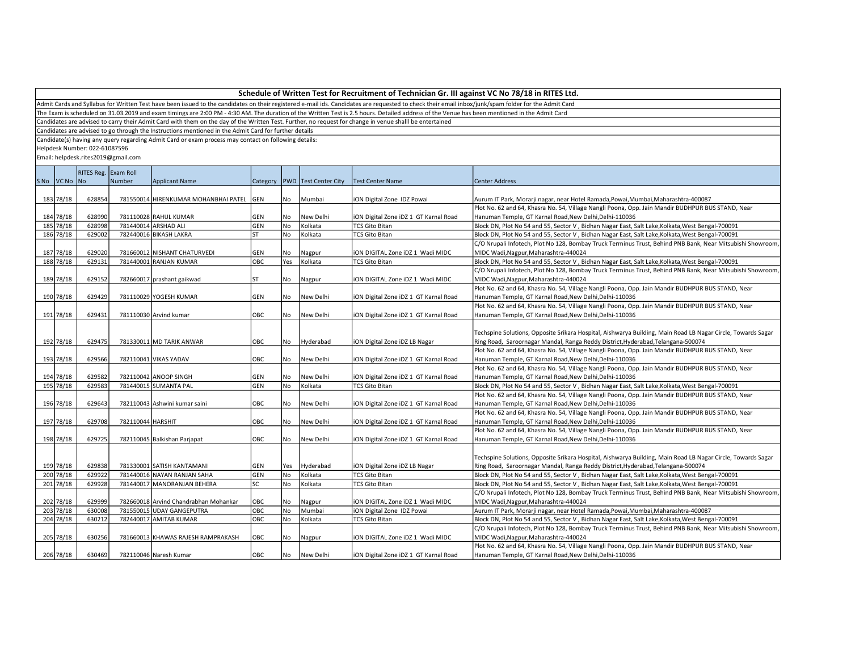Admit Cards and Syllabus for Written Test have been issued to the candidates on their registered e-mail ids. Candidates are requested to check their email inbox/junk/spam folder for the Admit Card

The Exam is scheduled on 31.03.2019 and exam timings are 2:00 PM - 4:30 AM. The duration of the Written Test is 2.5 hours. Detailed address of the Venue has been mentioned in the Admit Card

Candidates are advised to carry their Admit Card with them on the day of the Written Test. Further, no request for change in venue shalll be entertained

Candidates are advised to go through the Instructions mentioned in the Admit Card for further details

Candidate(s) having any query regarding Admit Card or exam process may contact on following details:

Helpdesk Number: 022-61087596

|             | RITES Reg. Exam Roll |                   |                                          |            |     |                                   |                                       |                                                                                                              |  |  |
|-------------|----------------------|-------------------|------------------------------------------|------------|-----|-----------------------------------|---------------------------------------|--------------------------------------------------------------------------------------------------------------|--|--|
| SNo VCNo No |                      | Number            | <b>Applicant Name</b>                    |            |     | Category   PWD   Test Center City | <b>Test Center Name</b>               | <b>Center Address</b>                                                                                        |  |  |
|             |                      |                   |                                          |            |     |                                   |                                       |                                                                                                              |  |  |
| 183 78/18   | 628854               |                   | 781550014 HIRENKUMAR MOHANBHAI PATEL GEN |            | No  | Mumbai                            | iON Digital Zone IDZ Powai            | Aurum IT Park, Morarji nagar, near Hotel Ramada, Powai, Mumbai, Maharashtra-400087                           |  |  |
|             |                      |                   |                                          |            |     |                                   |                                       | Plot No. 62 and 64, Khasra No. 54, Village Nangli Poona, Opp. Jain Mandir BUDHPUR BUS STAND, Near            |  |  |
| 184 78/18   | 628990               |                   | 781110028 RAHUL KUMAR                    | GEN        | No  | New Delhi                         | iON Digital Zone iDZ 1 GT Karnal Road | Hanuman Temple, GT Karnal Road, New Delhi, Delhi-110036                                                      |  |  |
| 185 78/18   | 628998               |                   | 781440014 ARSHAD ALI                     | GEN        | No  | Kolkata                           | <b>TCS Gito Bitan</b>                 | Block DN, Plot No 54 and 55, Sector V, Bidhan Nagar East, Salt Lake, Kolkata, West Bengal-700091             |  |  |
| 186 78/18   | 629002               |                   | 782440016 BIKASH LAKRA                   | ST         | No  | Kolkata                           | <b>TCS Gito Bitan</b>                 | Block DN, Plot No 54 and 55, Sector V, Bidhan Nagar East, Salt Lake, Kolkata, West Bengal-700091             |  |  |
|             |                      |                   |                                          |            |     |                                   |                                       | C/O Nrupali Infotech, Plot No 128, Bombay Truck Terminus Trust, Behind PNB Bank, Near Mitsubishi Showroom,   |  |  |
| 187 78/18   | 629020               |                   | 781660012 NISHANT CHATURVEDI             | GEN        | No  | Nagpur                            | iON DIGITAL Zone iDZ 1 Wadi MIDC      | MIDC Wadi, Nagpur, Maharashtra-440024                                                                        |  |  |
| 188 78/18   | 629131               |                   | 781440001 RANJAN KUMAR                   | <b>OBC</b> | Yes | Kolkata                           | <b>TCS Gito Bitan</b>                 | Block DN, Plot No 54 and 55, Sector V, Bidhan Nagar East, Salt Lake, Kolkata, West Bengal-700091             |  |  |
|             |                      |                   |                                          |            |     |                                   |                                       | C/O Nrupali Infotech, Plot No 128, Bombay Truck Terminus Trust, Behind PNB Bank, Near Mitsubishi Showroom,   |  |  |
| 189 78/18   | 629152               |                   | 782660017 prashant gaikwad               | ST         | No  | Nagpur                            | ION DIGITAL Zone IDZ 1 Wadi MIDC      | MIDC Wadi, Nagpur, Maharashtra-440024                                                                        |  |  |
|             |                      |                   |                                          |            |     |                                   |                                       | Plot No. 62 and 64, Khasra No. 54, Village Nangli Poona, Opp. Jain Mandir BUDHPUR BUS STAND, Near            |  |  |
| 190 78/18   | 629429               |                   | 781110029 YOGESH KUMAR                   | <b>GEN</b> | No. | New Delhi                         | iON Digital Zone iDZ 1 GT Karnal Road | Hanuman Temple, GT Karnal Road, New Delhi, Delhi-110036                                                      |  |  |
|             |                      |                   |                                          |            |     |                                   |                                       | Plot No. 62 and 64, Khasra No. 54, Village Nangli Poona, Opp. Jain Mandir BUDHPUR BUS STAND, Near            |  |  |
| 191 78/18   | 629431               |                   | 781110030 Arvind kumar                   | OBC        | No  | New Delhi                         | iON Digital Zone iDZ 1 GT Karnal Road | Hanuman Temple, GT Karnal Road, New Delhi, Delhi-110036                                                      |  |  |
|             |                      |                   |                                          |            |     |                                   |                                       |                                                                                                              |  |  |
|             |                      |                   |                                          |            |     |                                   |                                       | Techspine Solutions, Opposite Srikara Hospital, Aishwarya Building, Main Road LB Nagar Circle, Towards Sagar |  |  |
| 192 78/18   | 629475               |                   | 781330011 MD TARIK ANWAR                 | OBC        | No  | Hyderabad                         | iON Digital Zone iDZ LB Nagar         | Ring Road, Saroornagar Mandal, Ranga Reddy District, Hyderabad, Telangana-500074                             |  |  |
|             |                      |                   |                                          |            |     |                                   |                                       | Plot No. 62 and 64, Khasra No. 54, Village Nangli Poona, Opp. Jain Mandir BUDHPUR BUS STAND, Near            |  |  |
| 193 78/18   | 629566               |                   | 782110041 VIKAS YADAV                    | OBC        | No. | New Delhi                         | iON Digital Zone iDZ 1 GT Karnal Road | Hanuman Temple, GT Karnal Road, New Delhi, Delhi-110036                                                      |  |  |
|             |                      |                   |                                          |            |     |                                   |                                       | Plot No. 62 and 64, Khasra No. 54, Village Nangli Poona, Opp. Jain Mandir BUDHPUR BUS STAND, Near            |  |  |
| 194 78/18   | 629582               |                   | 782110042 ANOOP SINGH                    | GEN        | No  | New Delhi                         | iON Digital Zone iDZ 1 GT Karnal Road | Hanuman Temple, GT Karnal Road, New Delhi, Delhi-110036                                                      |  |  |
| 195 78/18   | 629583               |                   | 781440015 SUMANTA PAL                    | GEN        | No  | Kolkata                           | <b>TCS Gito Bitan</b>                 | Block DN, Plot No 54 and 55, Sector V, Bidhan Nagar East, Salt Lake, Kolkata, West Bengal-700091             |  |  |
|             |                      |                   |                                          |            |     |                                   |                                       | Plot No. 62 and 64, Khasra No. 54, Village Nangli Poona, Opp. Jain Mandir BUDHPUR BUS STAND, Near            |  |  |
| 196 78/18   | 629643               |                   | 782110043 Ashwini kumar saini            | OBC        | No  | New Delhi                         | iON Digital Zone iDZ 1 GT Karnal Road | Hanuman Temple, GT Karnal Road, New Delhi, Delhi-110036                                                      |  |  |
|             |                      |                   |                                          |            |     |                                   |                                       | Plot No. 62 and 64, Khasra No. 54, Village Nangli Poona, Opp. Jain Mandir BUDHPUR BUS STAND, Near            |  |  |
| 197 78/18   | 629708               | 782110044 HARSHIT |                                          | OBC        | No  | New Delhi                         | iON Digital Zone iDZ 1 GT Karnal Road | Hanuman Temple, GT Karnal Road, New Delhi, Delhi-110036                                                      |  |  |
|             |                      |                   |                                          |            |     |                                   |                                       | Plot No. 62 and 64, Khasra No. 54, Village Nangli Poona, Opp. Jain Mandir BUDHPUR BUS STAND, Near            |  |  |
| 198 78/18   | 629725               |                   | 782110045 Balkishan Parjapat             | OBC        | No  | New Delhi                         | iON Digital Zone iDZ 1 GT Karnal Road | Hanuman Temple, GT Karnal Road, New Delhi, Delhi-110036                                                      |  |  |
|             |                      |                   |                                          |            |     |                                   |                                       |                                                                                                              |  |  |
|             |                      |                   |                                          |            |     |                                   |                                       | Techspine Solutions, Opposite Srikara Hospital, Aishwarya Building, Main Road LB Nagar Circle, Towards Sagar |  |  |
| 199 78/18   | 629838               |                   | 781330001 SATISH KANTAMANI               | <b>GEN</b> | Yes | Hyderabad                         | iON Digital Zone iDZ LB Nagar         | Ring Road, Saroornagar Mandal, Ranga Reddy District, Hyderabad, Telangana-500074                             |  |  |
| 200 78/18   | 629922               |                   | 781440016 NAYAN RANJAN SAHA              | GEN        | No  | Kolkata                           | <b>TCS Gito Bitan</b>                 | Block DN, Plot No 54 and 55, Sector V, Bidhan Nagar East, Salt Lake, Kolkata, West Bengal-700091             |  |  |
| 201 78/18   | 629928               |                   | 781440017 MANORANJAN BEHERA              | lsc        | No  | Kolkata                           | <b>TCS Gito Bitan</b>                 | Block DN, Plot No 54 and 55, Sector V, Bidhan Nagar East, Salt Lake, Kolkata, West Bengal-700091             |  |  |
|             |                      |                   |                                          |            |     |                                   |                                       | C/O Nrupali Infotech, Plot No 128, Bombay Truck Terminus Trust, Behind PNB Bank, Near Mitsubishi Showroom,   |  |  |
| 202 78/18   | 629999               |                   | 782660018 Arvind Chandrabhan Mohankar    | OBC        | No  | Nagpur                            | ION DIGITAL Zone IDZ 1 Wadi MIDC      | MIDC Wadi, Nagpur, Maharashtra-440024                                                                        |  |  |
| 203 78/18   | 630008               |                   | 781550015 UDAY GANGEPUTRA                | OBC        | No  | Mumbai                            | iON Digital Zone IDZ Powai            | Aurum IT Park, Morarji nagar, near Hotel Ramada, Powai, Mumbai, Maharashtra-400087                           |  |  |
| 204 78/18   | 630212               |                   | 782440017 AMITAB KUMAR                   | овс        | No  | Kolkata                           | <b>TCS Gito Bitan</b>                 | Block DN, Plot No 54 and 55, Sector V, Bidhan Nagar East, Salt Lake, Kolkata, West Bengal-700091             |  |  |
|             |                      |                   |                                          |            |     |                                   |                                       | C/O Nrupali Infotech, Plot No 128, Bombay Truck Terminus Trust, Behind PNB Bank, Near Mitsubishi Showroom,   |  |  |
| 205 78/18   | 630256               |                   | 781660013 KHAWAS RAJESH RAMPRAKASH       | OBC        | No  | Nagpur                            | ION DIGITAL Zone IDZ 1 Wadi MIDC      | MIDC Wadi, Nagpur, Maharashtra-440024                                                                        |  |  |
|             |                      |                   |                                          |            |     |                                   |                                       | Plot No. 62 and 64, Khasra No. 54, Village Nangli Poona, Opp. Jain Mandir BUDHPUR BUS STAND, Near            |  |  |
| 206 78/18   | 630469               |                   | 782110046 Naresh Kumar                   | <b>OBC</b> | No. | New Delhi                         | iON Digital Zone iDZ 1 GT Karnal Road | Hanuman Temple, GT Karnal Road, New Delhi, Delhi-110036                                                      |  |  |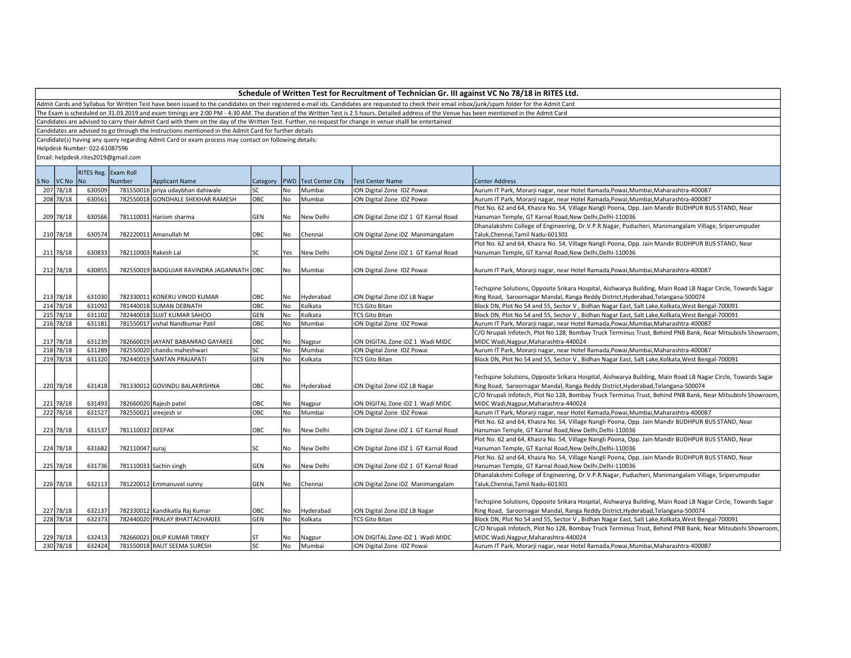Admit Cards and Syllabus for Written Test have been issued to the candidates on their registered e-mail ids. Candidates are requested to check their email inbox/junk/spam folder for the Admit Card

The Exam is scheduled on 31.03.2019 and exam timings are 2:00 PM - 4:30 AM. The duration of the Written Test is 2.5 hours. Detailed address of the Venue has been mentioned in the Admit Card

Candidates are advised to carry their Admit Card with them on the day of the Written Test. Further, no request for change in venue shalll be entertained

Candidates are advised to go through the Instructions mentioned in the Admit Card for further details

Candidate(s) having any query regarding Admit Card or exam process may contact on following details:

Helpdesk Number: 022-61087596

|      |           | RITES Reg. Exam Roll |                       |                                           |                |      |                         |                                       |                                                                                                              |  |  |
|------|-----------|----------------------|-----------------------|-------------------------------------------|----------------|------|-------------------------|---------------------------------------|--------------------------------------------------------------------------------------------------------------|--|--|
| S No | VC No No  |                      | Number                | Applicant Name                            | Category   PWD |      | <b>Test Center City</b> | <b>Test Center Name</b>               | Center Address                                                                                               |  |  |
|      | 207 78/18 | 630509               |                       | 781550016 priya udaybhan dahiwale         | lsc            | No   | Mumbai                  | iON Digital Zone IDZ Powai            | Aurum IT Park, Morarji nagar, near Hotel Ramada, Powai, Mumbai, Maharashtra-400087                           |  |  |
|      | 208 78/18 | 630561               |                       | 782550018 GONDHALE SHEKHAR RAMESH         | OBC            | No   | Mumbai                  | iON Digital Zone IDZ Powai            | Aurum IT Park, Morarji nagar, near Hotel Ramada, Powai, Mumbai, Maharashtra-400087                           |  |  |
|      |           |                      |                       |                                           |                |      |                         |                                       | Plot No. 62 and 64, Khasra No. 54, Village Nangli Poona, Opp. Jain Mandir BUDHPUR BUS STAND, Near            |  |  |
|      | 209 78/18 | 630566               |                       | 781110031 Hariom sharma                   | GEN            | l No | New Delhi               | iON Digital Zone iDZ 1 GT Karnal Road | Hanuman Temple, GT Karnal Road, New Delhi, Delhi-110036                                                      |  |  |
|      |           |                      |                       |                                           |                |      |                         |                                       | Dhanalakshmi College of Engineering, Dr.V.P.R.Nagar, Puducheri, Manimangalam Village, Sriperumpuder          |  |  |
|      | 210 78/18 | 630574               |                       | 782220011 Amanullah M                     | OBC            | No   | Chennai                 | iON Digital Zone iDZ Manimangalam     | Taluk, Chennai, Tamil Nadu-601301                                                                            |  |  |
|      |           |                      |                       |                                           |                |      |                         |                                       | Plot No. 62 and 64, Khasra No. 54, Village Nangli Poona, Opp. Jain Mandir BUDHPUR BUS STAND, Near            |  |  |
|      | 211 78/18 | 630833               | 782110003 Rakesh Lal  |                                           | lsc            | Yes  | New Delhi               | iON Digital Zone iDZ 1 GT Karnal Road | Hanuman Temple, GT Karnal Road, New Delhi, Delhi-110036                                                      |  |  |
|      |           |                      |                       |                                           |                |      |                         |                                       |                                                                                                              |  |  |
|      | 212 78/18 | 630855               |                       | 782550019 BADGUJAR RAVINDRA JAGANNATH OBC |                | No   | Mumbai                  | iON Digital Zone IDZ Powai            | Aurum IT Park, Morarji nagar, near Hotel Ramada, Powai, Mumbai, Maharashtra-400087                           |  |  |
|      |           |                      |                       |                                           |                |      |                         |                                       |                                                                                                              |  |  |
|      |           |                      |                       |                                           |                |      |                         |                                       | Techspine Solutions, Opposite Srikara Hospital, Aishwarya Building, Main Road LB Nagar Circle, Towards Sagar |  |  |
|      | 213 78/18 | 631030               |                       | 782330011 KONERU VINOD KUMAR              | OBC            | No   | Hyderabad               | iON Digital Zone iDZ LB Nagar         | Ring Road, Saroornagar Mandal, Ranga Reddy District, Hyderabad, Telangana-500074                             |  |  |
|      | 214 78/18 | 631092               |                       | 781440018 SUMAN DEBNATH                   | OBC            | No   | Kolkata                 | <b>TCS Gito Bitan</b>                 | Block DN, Plot No 54 and 55, Sector V, Bidhan Nagar East, Salt Lake, Kolkata, West Bengal-700091             |  |  |
|      | 215 78/18 | 631102               |                       | 782440018 SUJIT KUMAR SAHOO               | <b>GEN</b>     | No   | Kolkata                 | <b>TCS Gito Bitan</b>                 | Block DN, Plot No 54 and 55, Sector V, Bidhan Nagar East, Salt Lake, Kolkata, West Bengal-700091             |  |  |
|      | 216 78/18 | 631181               |                       | 781550017 vishal Nandkumar Patil          | OBC            | No   | Mumbai                  | iON Digital Zone IDZ Powai            | Aurum IT Park, Morarji nagar, near Hotel Ramada, Powai, Mumbai, Maharashtra-400087                           |  |  |
|      |           |                      |                       |                                           |                |      |                         |                                       | C/O Nrupali Infotech, Plot No 128, Bombay Truck Terminus Trust, Behind PNB Bank, Near Mitsubishi Showroom    |  |  |
|      | 217 78/18 | 631239               |                       | 782660019 JAYANT BABANRAO GAYAKEE         | OBC            | No   | Nagpur                  | ION DIGITAL Zone IDZ 1 Wadi MIDC      | MIDC Wadi, Nagpur, Maharashtra-440024                                                                        |  |  |
|      | 218 78/18 | 631289               |                       | 782550020 chandu maheshwari               | lsc            | No   | Mumbai                  | <b>ON Digital Zone IDZ Powai</b>      | Aurum IT Park, Morarji nagar, near Hotel Ramada, Powai, Mumbai, Maharashtra-400087                           |  |  |
|      | 219 78/18 | 631320               |                       | 782440019 SANTAN PRAJAPATI                | GEN            | l No | Kolkata                 | <b>TCS Gito Bitan</b>                 | Block DN, Plot No 54 and 55, Sector V, Bidhan Nagar East, Salt Lake, Kolkata, West Bengal-700091             |  |  |
|      |           |                      |                       |                                           |                |      |                         |                                       |                                                                                                              |  |  |
|      |           |                      |                       |                                           |                |      |                         |                                       | Techspine Solutions, Opposite Srikara Hospital, Aishwarya Building, Main Road LB Nagar Circle, Towards Sagar |  |  |
|      | 220 78/18 | 631418               |                       | 781330012 GOVINDU BALAKRISHNA             | OBC            | No   | Hyderabad               | iON Digital Zone iDZ LB Nagar         | Ring Road, Saroornagar Mandal, Ranga Reddy District, Hyderabad, Telangana-500074                             |  |  |
|      |           |                      |                       |                                           |                |      |                         |                                       | C/O Nrupali Infotech, Plot No 128, Bombay Truck Terminus Trust, Behind PNB Bank, Near Mitsubishi Showroom    |  |  |
|      | 221 78/18 | 631493               |                       | 782660020 Rajesh patel                    | OBC            | No   | Nagpur                  | ION DIGITAL Zone IDZ 1 Wadi MIDC      | MIDC Wadi, Nagpur, Maharashtra-440024                                                                        |  |  |
|      | 222 78/18 | 631527               | 782550021 sreejesh sr |                                           | ОВС            | No   | Mumbai                  | iON Digital Zone IDZ Powai            | Aurum IT Park, Morarji nagar, near Hotel Ramada, Powai, Mumbai, Maharashtra-400087                           |  |  |
|      |           |                      |                       |                                           |                |      |                         |                                       | Plot No. 62 and 64, Khasra No. 54, Village Nangli Poona, Opp. Jain Mandir BUDHPUR BUS STAND, Near            |  |  |
|      | 223 78/18 | 631537               | 781110032 DEEPAK      |                                           | OBC            | l No | New Delhi               | iON Digital Zone iDZ 1 GT Karnal Road | Hanuman Temple, GT Karnal Road, New Delhi, Delhi-110036                                                      |  |  |
|      |           |                      |                       |                                           |                |      |                         |                                       | Plot No. 62 and 64, Khasra No. 54, Village Nangli Poona, Opp. Jain Mandir BUDHPUR BUS STAND, Near            |  |  |
|      | 224 78/18 | 631682               | 782110047 suraj       |                                           | lsc            | No   | New Delhi               | iON Digital Zone iDZ 1 GT Karnal Road | Hanuman Temple, GT Karnal Road, New Delhi, Delhi-110036                                                      |  |  |
|      |           |                      |                       |                                           |                |      |                         |                                       | Plot No. 62 and 64, Khasra No. 54, Village Nangli Poona, Opp. Jain Mandir BUDHPUR BUS STAND, Near            |  |  |
|      | 225 78/18 | 631736               |                       | 781110033 Sachin singh                    | GEN            | No   | New Delhi               | iON Digital Zone iDZ 1 GT Karnal Road | Hanuman Temple, GT Karnal Road, New Delhi, Delhi-110036                                                      |  |  |
|      |           |                      |                       |                                           |                |      |                         |                                       | Dhanalakshmi College of Engineering, Dr.V.P.R.Nagar, Puducheri, Manimangalam Village, Sriperumpuder          |  |  |
|      | 226 78/18 | 632113               |                       | 781220012 Emmanuvel sunny                 | GEN            | No   | Chennai                 | iON Digital Zone iDZ Manimangalam     | Taluk, Chennai, Tamil Nadu-601301                                                                            |  |  |
|      |           |                      |                       |                                           |                |      |                         |                                       |                                                                                                              |  |  |
|      |           |                      |                       |                                           |                |      |                         |                                       | Techspine Solutions, Opposite Srikara Hospital, Aishwarya Building, Main Road LB Nagar Circle, Towards Sagar |  |  |
|      | 227 78/18 | 632137               |                       | 782330012 Kandikatla Raj Kumar            | OBC            | No   | Hyderabad               | iON Digital Zone iDZ LB Nagar         | Ring Road, Saroornagar Mandal, Ranga Reddy District, Hyderabad, Telangana-500074                             |  |  |
|      | 228 78/18 | 632373               |                       | 782440020 PRALAY BHATTACHARJEE            | GEN            | No   | Kolkata                 | <b>TCS Gito Bitan</b>                 | Block DN, Plot No 54 and 55, Sector V, Bidhan Nagar East, Salt Lake, Kolkata, West Bengal-700091             |  |  |
|      |           |                      |                       |                                           |                |      |                         |                                       | C/O Nrupali Infotech, Plot No 128, Bombay Truck Terminus Trust, Behind PNB Bank, Near Mitsubishi Showroom    |  |  |
|      | 229 78/18 | 632413               |                       | 782660021 DILIP KUMAR TIRKEY              | <b>ST</b>      | No   | Nagpur                  | ON DIGITAL Zone iDZ 1 Wadi MIDC       | MIDC Wadi, Nagpur, Maharashtra-440024                                                                        |  |  |
|      | 230 78/18 | 632424               |                       | 781550018 RAUT SEEMA SURESH               | lsc            | l No | Mumbai                  | <b>iON Digital Zone IDZ Powai</b>     | Aurum IT Park, Morarji nagar, near Hotel Ramada, Powai, Mumbai, Maharashtra-400087                           |  |  |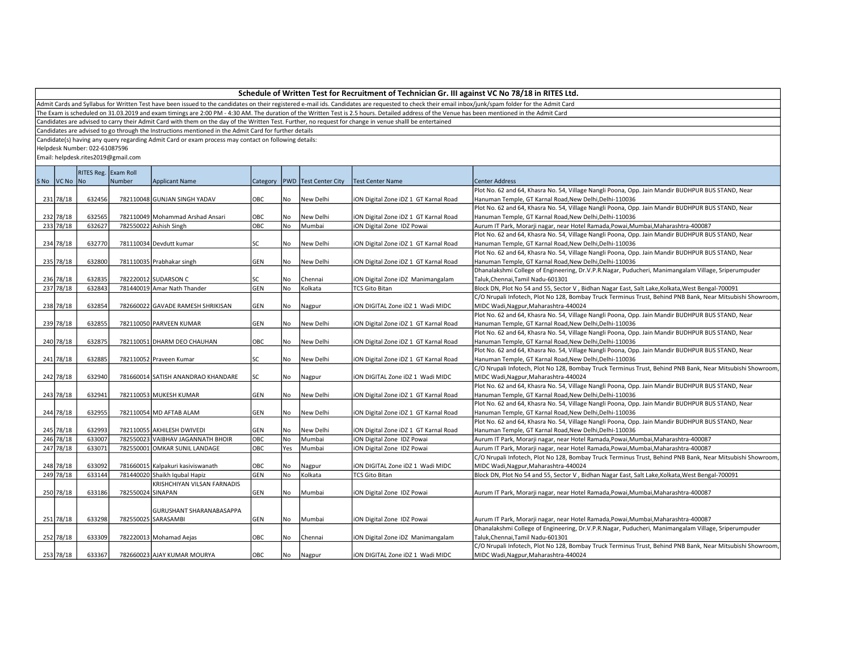Admit Cards and Syllabus for Written Test have been issued to the candidates on their registered e-mail ids. Candidates are requested to check their email inbox/junk/spam folder for the Admit Card

The Exam is scheduled on 31.03.2019 and exam timings are 2:00 PM - 4:30 AM. The duration of the Written Test is 2.5 hours. Detailed address of the Venue has been mentioned in the Admit Card

Candidates are advised to carry their Admit Card with them on the day of the Written Test. Further, no request for change in venue shalll be entertained

Candidates are advised to go through the Instructions mentioned in the Admit Card for further details

Candidate(s) having any query regarding Admit Card or exam process may contact on following details:

Helpdesk Number: 022-61087596

|             | RITES Reg. Exam Roll |                   |                                    |            |           |                                   |                                       |                                                                                                            |  |
|-------------|----------------------|-------------------|------------------------------------|------------|-----------|-----------------------------------|---------------------------------------|------------------------------------------------------------------------------------------------------------|--|
| SNo VCNo No |                      | Number            | <b>Applicant Name</b>              |            |           | Category   PWD   Test Center City | <b>Test Center Name</b>               | Center Address                                                                                             |  |
|             |                      |                   |                                    |            |           |                                   |                                       | Plot No. 62 and 64, Khasra No. 54, Village Nangli Poona, Opp. Jain Mandir BUDHPUR BUS STAND, Near          |  |
| 231 78/18   | 632456               |                   | 782110048 GUNJAN SINGH YADAV       | OBC        | No        | New Delhi                         | ION Digital Zone IDZ 1 GT Karnal Road | Hanuman Temple, GT Karnal Road, New Delhi, Delhi-110036                                                    |  |
|             |                      |                   |                                    |            |           |                                   |                                       | Plot No. 62 and 64, Khasra No. 54, Village Nangli Poona, Opp. Jain Mandir BUDHPUR BUS STAND, Near          |  |
| 232 78/18   | 632565               |                   | 782110049 Mohammad Arshad Ansari   | OBC        | <b>No</b> | New Delhi                         | ION Digital Zone IDZ 1 GT Karnal Road | Hanuman Temple, GT Karnal Road, New Delhi, Delhi-110036                                                    |  |
| 233 78/18   | 632627               |                   | 782550022 Ashish Singh             | OBC        | No        | Mumbai                            | ION Digital Zone IDZ Powai            | Aurum IT Park, Morarji nagar, near Hotel Ramada, Powai, Mumbai, Maharashtra-400087                         |  |
|             |                      |                   |                                    |            |           |                                   |                                       | Plot No. 62 and 64, Khasra No. 54, Village Nangli Poona, Opp. Jain Mandir BUDHPUR BUS STAND, Near          |  |
| 234 78/18   | 632770               |                   | 781110034 Devdutt kumar            | SC         | No        | New Delhi                         | ION Digital Zone IDZ 1 GT Karnal Road | Hanuman Temple, GT Karnal Road, New Delhi, Delhi-110036                                                    |  |
|             |                      |                   |                                    |            |           |                                   |                                       | Plot No. 62 and 64, Khasra No. 54, Village Nangli Poona, Opp. Jain Mandir BUDHPUR BUS STAND, Near          |  |
| 235 78/18   | 632800               |                   | 781110035 Prabhakar singh          | <b>GEN</b> | No        | New Delhi                         | ION Digital Zone IDZ 1 GT Karnal Road | Hanuman Temple, GT Karnal Road, New Delhi, Delhi-110036                                                    |  |
|             |                      |                   |                                    |            |           |                                   |                                       | Dhanalakshmi College of Engineering, Dr.V.P.R.Nagar, Puducheri, Manimangalam Village, Sriperumpuder        |  |
| 236 78/18   | 632835               |                   | 782220012 SUDARSON C               | SC         | No        | Chennai                           | iON Digital Zone iDZ Manimangalam     | Taluk, Chennai, Tamil Nadu-601301                                                                          |  |
| 237 78/18   | 632843               |                   | 781440019 Amar Nath Thander        | <b>GEN</b> | No.       | Kolkata                           | <b>TCS Gito Bitan</b>                 | Block DN, Plot No 54 and 55, Sector V, Bidhan Nagar East, Salt Lake, Kolkata, West Bengal-700091           |  |
|             |                      |                   |                                    |            |           |                                   |                                       | C/O Nrupali Infotech, Plot No 128, Bombay Truck Terminus Trust, Behind PNB Bank, Near Mitsubishi Showroom, |  |
| 238 78/18   | 632854               |                   | 782660022 GAVADE RAMESH SHRIKISAN  | GEN        | No        | Nagpur                            | iON DIGITAL Zone iDZ 1 Wadi MIDC      | MIDC Wadi, Nagpur, Maharashtra-440024                                                                      |  |
|             |                      |                   |                                    |            |           |                                   |                                       | Plot No. 62 and 64, Khasra No. 54, Village Nangli Poona, Opp. Jain Mandir BUDHPUR BUS STAND, Near          |  |
| 239 78/18   | 632855               |                   | 782110050 PARVEEN KUMAR            | GEN        | No        | New Delhi                         | ION Digital Zone IDZ 1 GT Karnal Road | Hanuman Temple, GT Karnal Road, New Delhi, Delhi-110036                                                    |  |
|             |                      |                   |                                    |            |           |                                   |                                       | Plot No. 62 and 64, Khasra No. 54, Village Nangli Poona, Opp. Jain Mandir BUDHPUR BUS STAND, Near          |  |
| 240 78/18   | 632875               |                   | 782110051 DHARM DEO CHAUHAN        | OBC        | No        | New Delhi                         | ION Digital Zone IDZ 1 GT Karnal Road | Hanuman Temple, GT Karnal Road, New Delhi, Delhi-110036                                                    |  |
|             |                      |                   |                                    |            |           |                                   |                                       | Plot No. 62 and 64, Khasra No. 54, Village Nangli Poona, Opp. Jain Mandir BUDHPUR BUS STAND, Near          |  |
| 241 78/18   | 632885               |                   | 782110052 Praveen Kumar            | lsc        | No        | New Delhi                         | ION Digital Zone IDZ 1 GT Karnal Road | Hanuman Temple, GT Karnal Road, New Delhi, Delhi-110036                                                    |  |
|             |                      |                   |                                    |            |           |                                   |                                       | C/O Nrupali Infotech, Plot No 128, Bombay Truck Terminus Trust, Behind PNB Bank, Near Mitsubishi Showroom, |  |
| 242 78/18   | 632940               |                   | 781660014 SATISH ANANDRAO KHANDARE | lsc        | No        | Nagpur                            | ION DIGITAL Zone IDZ 1 Wadi MIDC      | MIDC Wadi, Nagpur, Maharashtra-440024                                                                      |  |
|             |                      |                   |                                    |            |           |                                   |                                       | Plot No. 62 and 64, Khasra No. 54, Village Nangli Poona, Opp. Jain Mandir BUDHPUR BUS STAND, Near          |  |
| 243 78/18   | 632941               |                   | 782110053 MUKESH KUMAR             | GEN        | No        | New Delhi                         | ION Digital Zone IDZ 1 GT Karnal Road | Hanuman Temple, GT Karnal Road, New Delhi, Delhi-110036                                                    |  |
|             |                      |                   |                                    |            |           |                                   |                                       | Plot No. 62 and 64, Khasra No. 54, Village Nangli Poona, Opp. Jain Mandir BUDHPUR BUS STAND, Near          |  |
| 244 78/18   | 632955               |                   | 782110054 MD AFTAB ALAM            | GEN        | No        | New Delhi                         | ION Digital Zone IDZ 1 GT Karnal Road | Hanuman Temple, GT Karnal Road, New Delhi, Delhi-110036                                                    |  |
|             |                      |                   |                                    |            |           |                                   |                                       | Plot No. 62 and 64, Khasra No. 54, Village Nangli Poona, Opp. Jain Mandir BUDHPUR BUS STAND, Near          |  |
| 245 78/18   | 632993               |                   | 782110055 AKHILESH DWIVEDI         | <b>GEN</b> | No        | New Delhi                         | ION Digital Zone IDZ 1 GT Karnal Road | Hanuman Temple, GT Karnal Road, New Delhi, Delhi-110036                                                    |  |
| 246 78/18   | 633007               |                   | 782550023 VAIBHAV JAGANNATH BHOIR  | ОВС        | No        | Mumbai                            | ION Digital Zone IDZ Powai            | Aurum IT Park, Morarji nagar, near Hotel Ramada, Powai, Mumbai, Maharashtra-400087                         |  |
| 247 78/18   | 633071               |                   | 782550001 OMKAR SUNIL LANDAGE      | ОВС        | Yes       | Mumbai                            | ION Digital Zone IDZ Powai            | Aurum IT Park, Morarji nagar, near Hotel Ramada, Powai, Mumbai, Maharashtra-400087                         |  |
|             |                      |                   |                                    |            |           |                                   |                                       | C/O Nrupali Infotech, Plot No 128, Bombay Truck Terminus Trust, Behind PNB Bank, Near Mitsubishi Showroom, |  |
| 248 78/18   | 633092               |                   | 781660015 Kalpakuri kasiviswanath  | OBC        | No        | Nagpur                            | ION DIGITAL Zone IDZ 1 Wadi MIDC      | MIDC Wadi, Nagpur, Maharashtra-440024                                                                      |  |
| 249 78/18   | 633144               |                   | 781440020 Shaikh Iqubal Hapiz      | <b>GEN</b> | No        | Kolkata                           | <b>TCS Gito Bitan</b>                 | Block DN, Plot No 54 and 55, Sector V, Bidhan Nagar East, Salt Lake, Kolkata, West Bengal-700091           |  |
|             |                      |                   | KRISHCHIYAN VILSAN FARNADIS        |            |           |                                   |                                       |                                                                                                            |  |
| 250 78/18   | 633186               | 782550024 SINAPAN |                                    | GEN        | No        | Mumbai                            | ION Digital Zone IDZ Powai            | Aurum IT Park, Morarji nagar, near Hotel Ramada, Powai, Mumbai, Maharashtra-400087                         |  |
|             |                      |                   |                                    |            |           |                                   |                                       |                                                                                                            |  |
|             |                      |                   | GURUSHANT SHARANABASAPPA           |            |           |                                   |                                       |                                                                                                            |  |
| 251 78/18   | 633298               |                   | 782550025 SARASAMBI                | GEN        | No        | Mumbai                            | ION Digital Zone IDZ Powai            | Aurum IT Park, Morarji nagar, near Hotel Ramada, Powai, Mumbai, Maharashtra-400087                         |  |
|             |                      |                   |                                    |            |           |                                   |                                       | Dhanalakshmi College of Engineering, Dr.V.P.R.Nagar, Puducheri, Manimangalam Village, Sriperumpuder        |  |
| 252 78/18   | 633309               |                   | 782220013 Mohamad Aejas            | OBC        | No        | Chennai                           | ION Digital Zone IDZ Manimangalam     | Taluk, Chennai, Tamil Nadu-601301                                                                          |  |
|             |                      |                   |                                    |            |           |                                   |                                       | C/O Nrupali Infotech, Plot No 128, Bombay Truck Terminus Trust, Behind PNB Bank, Near Mitsubishi Showroom, |  |
| 253 78/18   | 633367               |                   | 782660023 AJAY KUMAR MOURYA        | Іовс       | No        |                                   |                                       | MIDC Wadi, Nagpur, Maharashtra-440024                                                                      |  |
|             |                      |                   |                                    |            |           | Nagpur                            | ION DIGITAL Zone IDZ 1 Wadi MIDC      |                                                                                                            |  |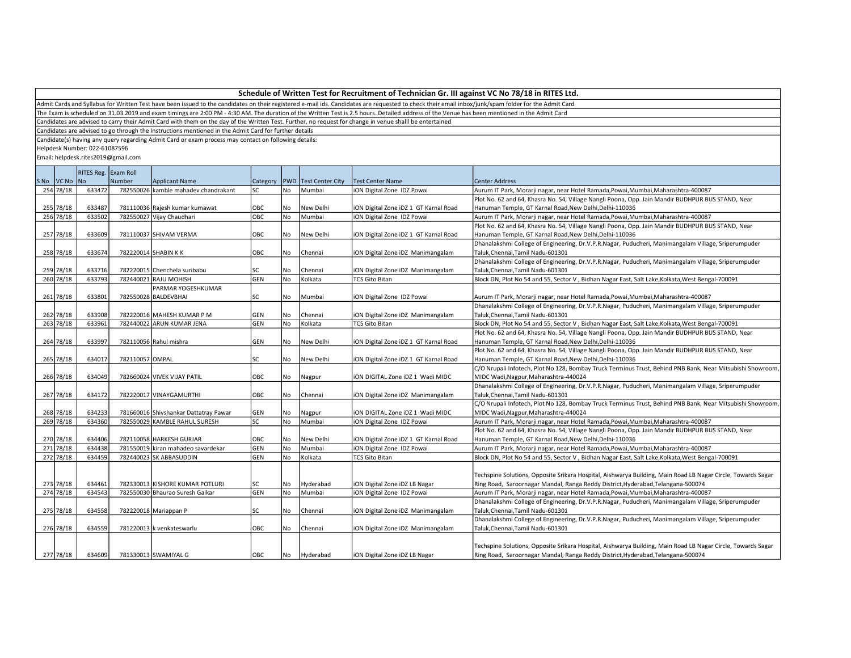|  | Schedule of Written Test for Recruitment of Technician Gr. III against VC No 78/18 in RITES Ltd. |  |  |  |
|--|--------------------------------------------------------------------------------------------------|--|--|--|
|--|--------------------------------------------------------------------------------------------------|--|--|--|

Admit Cards and Syllabus for Written Test have been issued to the candidates on their registered e-mail ids. Candidates are requested to check their email inbox/junk/spam folder for the Admit Card

The Exam is scheduled on 31.03.2019 and exam timings are 2:00 PM - 4:30 AM. The duration of the Written Test is 2.5 hours. Detailed address of the Venue has been mentioned in the Admit Card

Candidates are advised to carry their Admit Card with them on the day of the Written Test. Further, no request for change in venue shalll be entertained

Candidates are advised to go through the Instructions mentioned in the Admit Card for further details

Candidate(s) having any query regarding Admit Card or exam process may contact on following details:

Helpdesk Number: 022-61087596

|             |        | RITES Reg. Exam Roll |                                       |            |      |                                   |                                       |                                                                                                              |
|-------------|--------|----------------------|---------------------------------------|------------|------|-----------------------------------|---------------------------------------|--------------------------------------------------------------------------------------------------------------|
| SNo VCNo No |        | Number               | Applicant Name                        |            |      | Category   PWD   Test Center City | <b>Test Center Name</b>               | <b>Center Address</b>                                                                                        |
| 254 78/18   | 633472 |                      | 782550026 kamble mahadev chandrakant  | lsc        | l No | Mumbai                            | iON Digital Zone IDZ Powai            | Aurum IT Park, Morarji nagar, near Hotel Ramada, Powai, Mumbai, Maharashtra-400087                           |
|             |        |                      |                                       |            |      |                                   |                                       | Plot No. 62 and 64, Khasra No. 54, Village Nangli Poona, Opp. Jain Mandir BUDHPUR BUS STAND, Near            |
| 255 78/18   | 633487 |                      | 781110036 Rajesh kumar kumawat        | OBC        | No   | New Delhi                         | iON Digital Zone iDZ 1 GT Karnal Road | Hanuman Temple, GT Karnal Road, New Delhi, Delhi-110036                                                      |
| 256 78/18   | 633502 |                      | 782550027 Vijay Chaudhari             | Іовс       | l No | Mumbai                            | <b>ON Digital Zone IDZ Powai</b>      | Aurum IT Park, Morarji nagar, near Hotel Ramada, Powai, Mumbai, Maharashtra-400087                           |
|             |        |                      |                                       |            |      |                                   |                                       | Plot No. 62 and 64, Khasra No. 54, Village Nangli Poona, Opp. Jain Mandir BUDHPUR BUS STAND, Near            |
| 257 78/18   | 633609 |                      | 781110037 SHIVAM VERMA                | OBC        | No   | New Delhi                         | iON Digital Zone iDZ 1 GT Karnal Road | Hanuman Temple, GT Karnal Road, New Delhi, Delhi-110036                                                      |
|             |        |                      |                                       |            |      |                                   |                                       | Dhanalakshmi College of Engineering, Dr.V.P.R.Nagar, Puducheri, Manimangalam Village, Sriperumpuder          |
| 258 78/18   | 633674 |                      | 782220014 SHABIN K K                  | OBC        | No   | Chennai                           | iON Digital Zone iDZ Manimangalam     | Taluk, Chennai, Tamil Nadu-601301                                                                            |
|             |        |                      |                                       |            |      |                                   |                                       | Dhanalakshmi College of Engineering, Dr.V.P.R.Nagar, Puducheri, Manimangalam Village, Sriperumpuder          |
| 259 78/18   | 633716 |                      | 782220015 Chenchela suribabu          | lsc        | No   | Chennai                           | iON Digital Zone iDZ Manimangalam     | Taluk, Chennai, Tamil Nadu-601301                                                                            |
| 260 78/18   | 633793 |                      | 782440021 RAJU MOHISH                 | GEN        | l No | Kolkata                           | <b>TCS Gito Bitan</b>                 | Block DN, Plot No 54 and 55, Sector V, Bidhan Nagar East, Salt Lake, Kolkata, West Bengal-700091             |
|             |        |                      | PARMAR YOGESHKUMAR                    |            |      |                                   |                                       |                                                                                                              |
| 261 78/18   | 633801 |                      | 782550028 BALDEVBHAI                  | lsc        | No   | Mumbai                            | iON Digital Zone IDZ Powai            | Aurum IT Park, Morarji nagar, near Hotel Ramada, Powai, Mumbai, Maharashtra-400087                           |
|             |        |                      |                                       |            |      |                                   |                                       | Dhanalakshmi College of Engineering, Dr.V.P.R.Nagar, Puducheri, Manimangalam Village, Sriperumpuder          |
| 262 78/18   | 633908 |                      | 782220016 MAHESH KUMAR P M            | GEN        | No   | Chennai                           | iON Digital Zone iDZ Manimangalam     | Taluk, Chennai, Tamil Nadu-601301                                                                            |
| 263 78/18   | 633961 |                      | 782440022 ARUN KUMAR JENA             | GEN        | l No | Kolkata                           | <b>TCS Gito Bitan</b>                 | Block DN, Plot No 54 and 55, Sector V, Bidhan Nagar East, Salt Lake, Kolkata, West Bengal-700091             |
|             |        |                      |                                       |            |      |                                   |                                       | Plot No. 62 and 64, Khasra No. 54, Village Nangli Poona, Opp. Jain Mandir BUDHPUR BUS STAND, Near            |
| 264 78/18   | 633997 |                      | 782110056 Rahul mishra                | GEN        | No   | New Delhi                         | iON Digital Zone iDZ 1 GT Karnal Road | Hanuman Temple, GT Karnal Road, New Delhi, Delhi-110036                                                      |
|             |        |                      |                                       |            |      |                                   |                                       | Plot No. 62 and 64, Khasra No. 54, Village Nangli Poona, Opp. Jain Mandir BUDHPUR BUS STAND, Near            |
| 265 78/18   | 634017 | 782110057 OMPAL      |                                       | lsc        | No   | New Delhi                         | iON Digital Zone iDZ 1 GT Karnal Road | Hanuman Temple, GT Karnal Road, New Delhi, Delhi-110036                                                      |
|             |        |                      |                                       |            |      |                                   |                                       | C/O Nrupali Infotech, Plot No 128, Bombay Truck Terminus Trust, Behind PNB Bank, Near Mitsubishi Showroom    |
| 266 78/18   | 634049 |                      | 782660024 VIVEK VIJAY PATIL           | OBC        | No   | Nagpur                            | ION DIGITAL Zone IDZ 1 Wadi MIDC      | MIDC Wadi, Nagpur, Maharashtra-440024                                                                        |
|             |        |                      |                                       |            |      |                                   |                                       | Dhanalakshmi College of Engineering, Dr.V.P.R.Nagar, Puducheri, Manimangalam Village, Sriperumpuder          |
| 267 78/18   | 634172 |                      | 782220017 VINAYGAMURTHI               | OBC        | No   | Chennai                           | iON Digital Zone iDZ Manimangalam     | Taluk, Chennai, Tamil Nadu-601301                                                                            |
|             |        |                      |                                       |            |      |                                   |                                       | C/O Nrupali Infotech, Plot No 128, Bombay Truck Terminus Trust, Behind PNB Bank, Near Mitsubishi Showroom    |
| 268 78/18   | 634233 |                      | 781660016 Shivshankar Dattatray Pawar | GEN        | No   | Nagpur                            | ION DIGITAL Zone IDZ 1 Wadi MIDC      | MIDC Wadi, Nagpur, Maharashtra-440024                                                                        |
| 269 78/18   | 634360 |                      | 782550029 KAMBLE RAHUL SURESH         | lsc        | No   | Mumbai                            | ON Digital Zone IDZ Powai             | Aurum IT Park, Morarji nagar, near Hotel Ramada, Powai, Mumbai, Maharashtra-400087                           |
|             |        |                      |                                       |            |      |                                   |                                       | Plot No. 62 and 64, Khasra No. 54, Village Nangli Poona, Opp. Jain Mandir BUDHPUR BUS STAND, Near            |
| 270 78/18   | 634406 |                      | 782110058 HARKESH GURJAR              | OBC        | No   | New Delhi                         | ON Digital Zone iDZ 1 GT Karnal Road  | Hanuman Temple, GT Karnal Road, New Delhi, Delhi-110036                                                      |
| 271 78/18   | 634438 |                      | 781550019 kiran mahadeo savardekar    | <b>GEN</b> | No   | Mumbai                            | iON Digital Zone IDZ Powai            | Aurum IT Park, Morarji nagar, near Hotel Ramada, Powai, Mumbai, Maharashtra-400087                           |
| 272 78/18   | 634459 |                      | 782440023 SK ABBASUDDIN               | GEN        | No   | Kolkata                           | <b>TCS Gito Bitan</b>                 | Block DN, Plot No 54 and 55, Sector V, Bidhan Nagar East, Salt Lake, Kolkata, West Bengal-700091             |
|             |        |                      |                                       |            |      |                                   |                                       |                                                                                                              |
|             |        |                      |                                       |            |      |                                   |                                       | Techspine Solutions, Opposite Srikara Hospital, Aishwarya Building, Main Road LB Nagar Circle, Towards Sagar |
| 273 78/18   | 634461 |                      | 782330013 KISHORE KUMAR POTLURI       | <b>SC</b>  | No   | Hyderabad                         | iON Digital Zone iDZ LB Nagar         | Ring Road, Saroornagar Mandal, Ranga Reddy District, Hyderabad, Telangana-500074                             |
| 274 78/18   | 634543 |                      | 782550030 Bhaurao Suresh Gaikar       | GEN        | No   | Mumbai                            | iON Digital Zone IDZ Powai            | Aurum IT Park, Morarji nagar, near Hotel Ramada, Powai, Mumbai, Maharashtra-400087                           |
|             |        |                      |                                       |            |      |                                   |                                       | Dhanalakshmi College of Engineering, Dr.V.P.R.Nagar, Puducheri, Manimangalam Village, Sriperumpuder          |
| 275 78/18   | 634558 |                      | 782220018 Mariappan P                 | lsc        | No   | Chennai                           | iON Digital Zone iDZ Manimangalam     | Taluk, Chennai, Tamil Nadu-601301                                                                            |
|             |        |                      |                                       |            |      |                                   |                                       | Dhanalakshmi College of Engineering, Dr.V.P.R.Nagar, Puducheri, Manimangalam Village, Sriperumpuder          |
| 276 78/18   | 634559 |                      | 781220013 k venkateswarlu             | Іовс       | l No | Chennai                           | iON Digital Zone iDZ Manimangalam     | Taluk, Chennai, Tamil Nadu-601301                                                                            |
|             |        |                      |                                       |            |      |                                   |                                       |                                                                                                              |
|             |        |                      |                                       |            |      |                                   |                                       | Techspine Solutions, Opposite Srikara Hospital, Aishwarya Building, Main Road LB Nagar Circle, Towards Sagar |
| 277 78/18   | 634609 |                      | 781330013 SWAMIYAL G                  | Іовс       | No   | Hyderabad                         | iON Digital Zone iDZ LB Nagar         | Ring Road, Saroornagar Mandal, Ranga Reddy District, Hyderabad, Telangana-500074                             |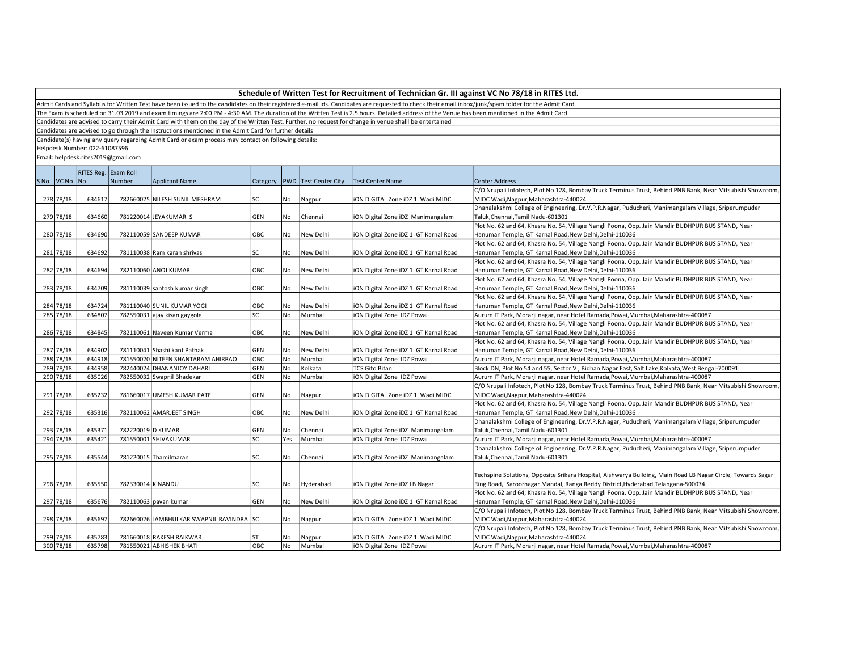Admit Cards and Syllabus for Written Test have been issued to the candidates on their registered e-mail ids. Candidates are requested to check their email inbox/junk/spam folder for the Admit Card

The Exam is scheduled on 31.03.2019 and exam timings are 2:00 PM - 4:30 AM. The duration of the Written Test is 2.5 hours. Detailed address of the Venue has been mentioned in the Admit Card

Candidates are advised to carry their Admit Card with them on the day of the Written Test. Further, no request for change in venue shalll be entertained

Candidates are advised to go through the Instructions mentioned in the Admit Card for further details

Candidate(s) having any query regarding Admit Card or exam process may contact on following details:

Helpdesk Number: 022-61087596

|             | RITES Reg. Exam Roll |                   |                                          |            |     |           |                                                      |                                                                                                              |
|-------------|----------------------|-------------------|------------------------------------------|------------|-----|-----------|------------------------------------------------------|--------------------------------------------------------------------------------------------------------------|
| SNo VCNo No |                      | Number            | <b>Applicant Name</b>                    |            |     |           | Category   PWD   Test Center City   Test Center Name | <b>Center Address</b>                                                                                        |
|             |                      |                   |                                          |            |     |           |                                                      | C/O Nrupali Infotech, Plot No 128, Bombay Truck Terminus Trust, Behind PNB Bank, Near Mitsubishi Showroom    |
| 278 78/18   | 634617               |                   | 782660025 NILESH SUNIL MESHRAM           | lsc        | No  | Nagpur    | ION DIGITAL Zone IDZ 1 Wadi MIDC                     | MIDC Wadi, Nagpur, Maharashtra-440024                                                                        |
|             |                      |                   |                                          |            |     |           |                                                      | Dhanalakshmi College of Engineering, Dr.V.P.R.Nagar, Puducheri, Manimangalam Village, Sriperumpuder          |
| 279 78/18   | 634660               |                   | 781220014 JEYAKUMAR. S                   | GEN        | No  | Chennai   | iON Digital Zone iDZ Manimangalam                    | Taluk, Chennai, Tamil Nadu-601301                                                                            |
|             |                      |                   |                                          |            |     |           |                                                      | Plot No. 62 and 64, Khasra No. 54, Village Nangli Poona, Opp. Jain Mandir BUDHPUR BUS STAND, Near            |
| 280 78/18   | 634690               |                   | 782110059 SANDEEP KUMAR                  | OBC        | No  | New Delhi | ION Digital Zone IDZ 1 GT Karnal Road                | Hanuman Temple, GT Karnal Road, New Delhi, Delhi-110036                                                      |
|             |                      |                   |                                          |            |     |           |                                                      | Plot No. 62 and 64, Khasra No. 54, Village Nangli Poona, Opp. Jain Mandir BUDHPUR BUS STAND, Near            |
| 281 78/18   | 634692               |                   | 781110038 Ram karan shrivas              | SC         | No  | New Delhi | iON Digital Zone iDZ 1 GT Karnal Road                | Hanuman Temple, GT Karnal Road, New Delhi, Delhi-110036                                                      |
|             |                      |                   |                                          |            |     |           |                                                      | Plot No. 62 and 64, Khasra No. 54, Village Nangli Poona, Opp. Jain Mandir BUDHPUR BUS STAND, Near            |
| 282 78/18   | 634694               |                   | 782110060 ANOJ KUMAR                     | OBC        | No  | New Delhi | iON Digital Zone iDZ 1 GT Karnal Road                | Hanuman Temple, GT Karnal Road, New Delhi, Delhi-110036                                                      |
|             |                      |                   |                                          |            |     |           |                                                      | Plot No. 62 and 64, Khasra No. 54, Village Nangli Poona, Opp. Jain Mandir BUDHPUR BUS STAND, Near            |
| 283 78/18   | 634709               |                   | 781110039 santosh kumar singh            | OBC        | No  | New Delhi | iON Digital Zone iDZ 1 GT Karnal Road                | Hanuman Temple, GT Karnal Road, New Delhi, Delhi-110036                                                      |
|             |                      |                   |                                          |            |     |           |                                                      | Plot No. 62 and 64, Khasra No. 54, Village Nangli Poona, Opp. Jain Mandir BUDHPUR BUS STAND, Near            |
| 284 78/18   | 634724               |                   | 781110040 SUNIL KUMAR YOGI               | OBC        | No  | New Delhi | ION Digital Zone IDZ 1 GT Karnal Road                | Hanuman Temple, GT Karnal Road, New Delhi, Delhi-110036                                                      |
| 285 78/18   | 634807               |                   | 782550031 ajay kisan gaygole             | SC         | No  | Mumbai    | iON Digital Zone IDZ Powai                           | Aurum IT Park, Morarji nagar, near Hotel Ramada, Powai, Mumbai, Maharashtra-400087                           |
|             |                      |                   |                                          |            |     |           |                                                      | Plot No. 62 and 64, Khasra No. 54, Village Nangli Poona, Opp. Jain Mandir BUDHPUR BUS STAND, Near            |
| 286 78/18   | 634845               |                   | 782110061 Naveen Kumar Verma             | OBC        | No  | New Delhi | ION Digital Zone IDZ 1 GT Karnal Road                | Hanuman Temple, GT Karnal Road, New Delhi, Delhi-110036                                                      |
|             |                      |                   |                                          |            |     |           |                                                      | Plot No. 62 and 64, Khasra No. 54, Village Nangli Poona, Opp. Jain Mandir BUDHPUR BUS STAND, Near            |
| 287 78/18   | 634902               |                   | 781110041 Shashi kant Pathak             | GEN        | No  | New Delhi | iON Digital Zone iDZ 1 GT Karnal Road                | Hanuman Temple, GT Karnal Road, New Delhi, Delhi-110036                                                      |
| 288 78/18   | 634918               |                   | 781550020 NITEEN SHANTARAM AHIRRAO       | OBC        | No  | Mumbai    | ION Digital Zone IDZ Powai                           | Aurum IT Park, Morarji nagar, near Hotel Ramada, Powai, Mumbai, Maharashtra-400087                           |
| 289 78/18   | 634958               |                   | 782440024 DHANANJOY DAHARI               | GEN        | No. | Kolkata   | <b>TCS Gito Bitan</b>                                | Block DN, Plot No 54 and 55, Sector V, Bidhan Nagar East, Salt Lake, Kolkata, West Bengal-700091             |
| 290 78/18   | 635026               |                   | 782550032 Swapnil Bhadekar               | <b>GEN</b> | No. | Mumbai    | ION Digital Zone IDZ Powai                           | Aurum IT Park, Morarji nagar, near Hotel Ramada, Powai, Mumbai, Maharashtra-400087                           |
|             |                      |                   |                                          |            |     |           |                                                      | C/O Nrupali Infotech, Plot No 128, Bombay Truck Terminus Trust, Behind PNB Bank, Near Mitsubishi Showroom    |
| 291 78/18   | 635232               |                   | 781660017 UMESH KUMAR PATEL              | GEN        | No  | Nagpur    | ION DIGITAL Zone IDZ 1 Wadi MIDC                     | MIDC Wadi, Nagpur, Maharashtra-440024                                                                        |
|             |                      |                   |                                          |            |     |           |                                                      | Plot No. 62 and 64, Khasra No. 54, Village Nangli Poona, Opp. Jain Mandir BUDHPUR BUS STAND, Near            |
| 292 78/18   | 635316               |                   | 782110062 AMARJEET SINGH                 | OBC        | No  | New Delhi | ION Digital Zone IDZ 1 GT Karnal Road                | Hanuman Temple, GT Karnal Road, New Delhi, Delhi-110036                                                      |
|             |                      |                   |                                          |            |     |           |                                                      | Dhanalakshmi College of Engineering, Dr.V.P.R.Nagar, Puducheri, Manimangalam Village, Sriperumpuder          |
| 293 78/18   | 635371               | 782220019 D KUMAR |                                          | GEN        | No  | Chennai   | iON Digital Zone iDZ Manimangalam                    | Taluk, Chennai, Tamil Nadu-601301                                                                            |
| 294 78/18   | 635421               |                   | 781550001 SHIVAKUMAR                     | SC         | Yes | Mumbai    | iON Digital Zone IDZ Powai                           | Aurum IT Park, Morarji nagar, near Hotel Ramada, Powai, Mumbai, Maharashtra-400087                           |
|             |                      |                   |                                          |            |     |           |                                                      | Dhanalakshmi College of Engineering, Dr.V.P.R.Nagar, Puducheri, Manimangalam Village, Sriperumpuder          |
| 295 78/18   | 635544               |                   | 781220015 Thamilmaran                    | SC         | No  | Chennai   | iON Digital Zone iDZ Manimangalam                    | Taluk, Chennai, Tamil Nadu-601301                                                                            |
|             |                      |                   |                                          |            |     |           |                                                      |                                                                                                              |
|             |                      |                   |                                          |            |     |           |                                                      | Techspine Solutions, Opposite Srikara Hospital, Aishwarya Building, Main Road LB Nagar Circle, Towards Sagar |
| 296 78/18   | 635550               | 782330014 K NANDU |                                          | SC         | No  | Hyderabad | iON Digital Zone iDZ LB Nagar                        | Ring Road, Saroornagar Mandal, Ranga Reddy District, Hyderabad, Telangana-500074                             |
|             |                      |                   |                                          |            |     |           |                                                      | Plot No. 62 and 64, Khasra No. 54, Village Nangli Poona, Opp. Jain Mandir BUDHPUR BUS STAND, Near            |
| 297 78/18   | 635676               |                   | 782110063 pavan kumar                    | GEN        | No. | New Delhi | iON Digital Zone iDZ 1 GT Karnal Road                | Hanuman Temple, GT Karnal Road, New Delhi, Delhi-110036                                                      |
|             |                      |                   |                                          |            |     |           |                                                      | C/O Nrupali Infotech, Plot No 128, Bombay Truck Terminus Trust, Behind PNB Bank, Near Mitsubishi Showroom    |
| 298 78/18   | 635697               |                   | 782660026 JAMBHULKAR SWAPNIL RAVINDRA SC |            | No  | Nagpur    | ION DIGITAL Zone IDZ 1 Wadi MIDC                     | MIDC Wadi, Nagpur, Maharashtra-440024                                                                        |
|             |                      |                   |                                          |            |     |           |                                                      | C/O Nrupali Infotech, Plot No 128, Bombay Truck Terminus Trust, Behind PNB Bank, Near Mitsubishi Showroom    |
| 299 78/18   | 635783               |                   | 781660018 RAKESH RAIKWAR                 | ST         | No  | Nagpur    | ION DIGITAL Zone IDZ 1 Wadi MIDC                     | MIDC Wadi, Nagpur, Maharashtra-440024                                                                        |
| 300 78/18   | 635798               |                   | 781550021 ABHISHEK BHATI                 | ОВС        | No. | Mumbai    | iON Digital Zone IDZ Powai                           | Aurum IT Park, Morarji nagar, near Hotel Ramada, Powai, Mumbai, Maharashtra-400087                           |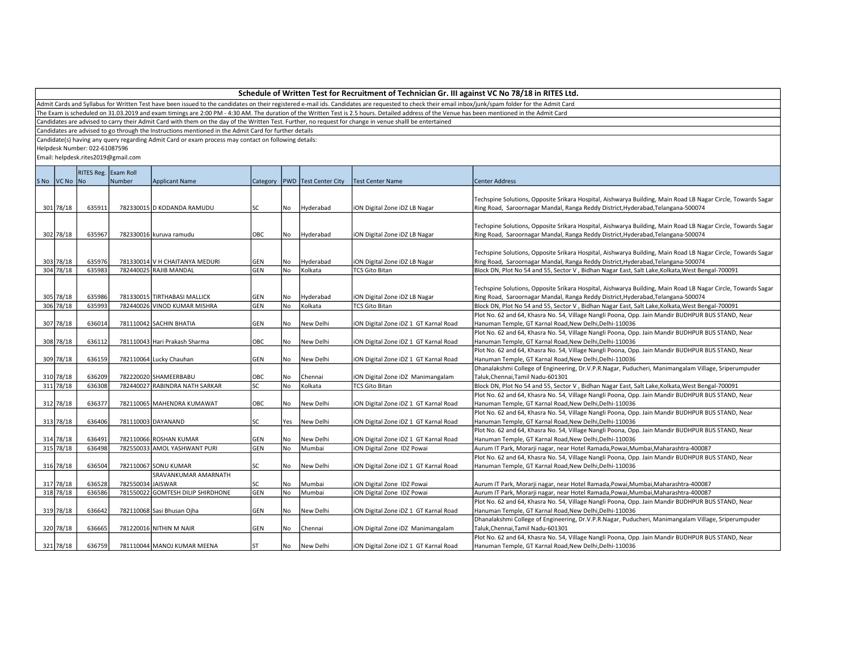Admit Cards and Syllabus for Written Test have been issued to the candidates on their registered e-mail ids. Candidates are requested to check their email inbox/junk/spam folder for the Admit Card

The Exam is scheduled on 31.03.2019 and exam timings are 2:00 PM - 4:30 AM. The duration of the Written Test is 2.5 hours. Detailed address of the Venue has been mentioned in the Admit Card

Candidates are advised to carry their Admit Card with them on the day of the Written Test. Further, no request for change in venue shalll be entertained

Candidates are advised to go through the Instructions mentioned in the Admit Card for further details

Candidate(s) having any query regarding Admit Card or exam process may contact on following details:

Helpdesk Number: 022-61087596

|             | RITES Reg. Exam Roll |                   |                                   |            |      |                                   |                                       |                                                                                                              |
|-------------|----------------------|-------------------|-----------------------------------|------------|------|-----------------------------------|---------------------------------------|--------------------------------------------------------------------------------------------------------------|
| SNo VCNo No |                      | Number            | <b>Applicant Name</b>             |            |      | Category   PWD   Test Center City | <b>Test Center Name</b>               | <b>Center Address</b>                                                                                        |
|             |                      |                   |                                   |            |      |                                   |                                       |                                                                                                              |
|             |                      |                   |                                   |            |      |                                   |                                       | Techspine Solutions, Opposite Srikara Hospital, Aishwarya Building, Main Road LB Nagar Circle, Towards Sagar |
| 301 78/18   | 635911               |                   | 782330015 D KODANDA RAMUDU        | lsc        | No   | Hyderabad                         | iON Digital Zone iDZ LB Nagar         | Ring Road, Saroornagar Mandal, Ranga Reddy District, Hyderabad, Telangana-500074                             |
|             |                      |                   |                                   |            |      |                                   |                                       |                                                                                                              |
|             |                      |                   |                                   |            |      |                                   |                                       | Techspine Solutions, Opposite Srikara Hospital, Aishwarya Building, Main Road LB Nagar Circle, Towards Sagar |
| 302 78/18   | 635967               |                   | 782330016 kuruva ramudu           | OBC        | No   | Hyderabad                         | iON Digital Zone iDZ LB Nagar         | Ring Road, Saroornagar Mandal, Ranga Reddy District, Hyderabad, Telangana-500074                             |
|             |                      |                   |                                   |            |      |                                   |                                       |                                                                                                              |
|             |                      |                   |                                   |            |      |                                   |                                       | Techspine Solutions, Opposite Srikara Hospital, Aishwarya Building, Main Road LB Nagar Circle, Towards Sagar |
| 303 78/18   | 635976               |                   | 781330014 V H CHAITANYA MEDURI    | GEN        | No   | Hyderabad                         | iON Digital Zone iDZ LB Nagar         | Ring Road, Saroornagar Mandal, Ranga Reddy District, Hyderabad, Telangana-500074                             |
| 304 78/18   | 635983               |                   | 782440025 RAJIB MANDAL            | GEN        | l No | Kolkata                           | <b>TCS Gito Bitan</b>                 | Block DN, Plot No 54 and 55, Sector V, Bidhan Nagar East, Salt Lake, Kolkata, West Bengal-700091             |
|             |                      |                   |                                   |            |      |                                   |                                       |                                                                                                              |
|             |                      |                   |                                   |            |      |                                   |                                       | Techspine Solutions, Opposite Srikara Hospital, Aishwarya Building, Main Road LB Nagar Circle, Towards Sagar |
| 305 78/18   | 635986               |                   | 781330015 TIRTHABASI MALLICK      | <b>GEN</b> | No   | Hyderabad                         | iON Digital Zone iDZ LB Nagar         | Ring Road, Saroornagar Mandal, Ranga Reddy District, Hyderabad, Telangana-500074                             |
| 306 78/18   | 635993               |                   | 782440026 VINOD KUMAR MISHRA      | <b>GEN</b> | No   | Kolkata                           | <b>TCS Gito Bitan</b>                 | Block DN, Plot No 54 and 55, Sector V, Bidhan Nagar East, Salt Lake, Kolkata, West Bengal-700091             |
|             |                      |                   |                                   |            |      |                                   |                                       | Plot No. 62 and 64, Khasra No. 54, Village Nangli Poona, Opp. Jain Mandir BUDHPUR BUS STAND, Near            |
| 307 78/18   | 636014               |                   | 781110042 SACHIN BHATIA           | <b>GEN</b> | l No | New Delhi                         | iON Digital Zone iDZ 1 GT Karnal Road | Hanuman Temple, GT Karnal Road, New Delhi, Delhi-110036                                                      |
|             |                      |                   |                                   |            |      |                                   |                                       | Plot No. 62 and 64, Khasra No. 54, Village Nangli Poona, Opp. Jain Mandir BUDHPUR BUS STAND, Near            |
| 308 78/18   | 636112               |                   | 781110043 Hari Prakash Sharma     | OBC        | No   | New Delhi                         | iON Digital Zone iDZ 1 GT Karnal Road | Hanuman Temple, GT Karnal Road, New Delhi, Delhi-110036                                                      |
|             |                      |                   |                                   |            |      |                                   |                                       | Plot No. 62 and 64, Khasra No. 54, Village Nangli Poona, Opp. Jain Mandir BUDHPUR BUS STAND, Near            |
| 309 78/18   | 636159               |                   | 782110064 Lucky Chauhan           | <b>GEN</b> | l No | New Delhi                         | iON Digital Zone iDZ 1 GT Karnal Road | Hanuman Temple, GT Karnal Road, New Delhi, Delhi-110036                                                      |
|             |                      |                   |                                   |            |      |                                   |                                       | Dhanalakshmi College of Engineering, Dr.V.P.R.Nagar, Puducheri, Manimangalam Village, Sriperumpuder          |
| 310 78/18   | 636209               |                   | 782220020 SHAMEERBABU             | OBC        | No   | Chennai                           | iON Digital Zone iDZ Manimangalam     | Taluk, Chennai, Tamil Nadu-601301                                                                            |
| 311 78/18   | 636308               |                   | 782440027 RABINDRA NATH SARKAR    | <b>SC</b>  | No   | Kolkata                           | <b>TCS Gito Bitan</b>                 | Block DN, Plot No 54 and 55, Sector V, Bidhan Nagar East, Salt Lake, Kolkata, West Bengal-700091             |
|             |                      |                   |                                   |            |      |                                   |                                       | Plot No. 62 and 64, Khasra No. 54, Village Nangli Poona, Opp. Jain Mandir BUDHPUR BUS STAND, Near            |
| 312 78/18   | 636377               |                   | 782110065 MAHENDRA KUMAWAT        | OBC        | l No | New Delhi                         | iON Digital Zone iDZ 1 GT Karnal Road | Hanuman Temple, GT Karnal Road, New Delhi, Delhi-110036                                                      |
|             |                      |                   |                                   |            |      |                                   |                                       | Plot No. 62 and 64, Khasra No. 54, Village Nangli Poona, Opp. Jain Mandir BUDHPUR BUS STAND, Near            |
| 313 78/18   | 636406               |                   | 781110003 DAYANAND                | lsc        | Yes  | New Delhi                         | iON Digital Zone iDZ 1 GT Karnal Road | Hanuman Temple, GT Karnal Road, New Delhi, Delhi-110036                                                      |
|             |                      |                   |                                   |            |      |                                   |                                       | Plot No. 62 and 64, Khasra No. 54, Village Nangli Poona, Opp. Jain Mandir BUDHPUR BUS STAND, Near            |
| 314 78/18   | 636491               |                   | 782110066 ROSHAN KUMAR            | GEN        | No   | New Delhi                         | iON Digital Zone iDZ 1 GT Karnal Road | Hanuman Temple, GT Karnal Road, New Delhi, Delhi-110036                                                      |
| 315 78/18   | 636498               |                   | 782550033 AMOL YASHWANT PURI      | <b>GEN</b> | No   | Mumbai                            | iON Digital Zone IDZ Powai            | Aurum IT Park, Morarji nagar, near Hotel Ramada, Powai, Mumbai, Maharashtra-400087                           |
|             |                      |                   |                                   |            |      |                                   |                                       | Plot No. 62 and 64, Khasra No. 54, Village Nangli Poona, Opp. Jain Mandir BUDHPUR BUS STAND, Near            |
| 316 78/18   | 636504               |                   | 782110067 SONU KUMAR              | <b>SC</b>  | No   | New Delhi                         | iON Digital Zone iDZ 1 GT Karnal Road | Hanuman Temple, GT Karnal Road, New Delhi, Delhi-110036                                                      |
|             |                      |                   | SRAVANKUMAR AMARNATH              |            |      |                                   |                                       |                                                                                                              |
| 317 78/18   | 636528               | 782550034 JAISWAR |                                   | SC         | l No | Mumbai                            | iON Digital Zone IDZ Powai            | Aurum IT Park, Morarji nagar, near Hotel Ramada, Powai, Mumbai, Maharashtra-400087                           |
| 318 78/18   | 636586               |                   | 781550022 GOMTESH DILIP SHIRDHONE | <b>GEN</b> | No   | Mumbai                            | iON Digital Zone IDZ Powai            | Aurum IT Park, Morarji nagar, near Hotel Ramada, Powai, Mumbai, Maharashtra-400087                           |
|             |                      |                   |                                   |            |      |                                   |                                       | Plot No. 62 and 64, Khasra No. 54, Village Nangli Poona, Opp. Jain Mandir BUDHPUR BUS STAND, Near            |
| 319 78/18   | 636642               |                   | 782110068 Sasi Bhusan Ojha        | GEN        | l No | New Delhi                         | iON Digital Zone iDZ 1 GT Karnal Road | Hanuman Temple, GT Karnal Road, New Delhi, Delhi-110036                                                      |
|             |                      |                   |                                   |            |      |                                   |                                       | Dhanalakshmi College of Engineering, Dr.V.P.R.Nagar, Puducheri, Manimangalam Village, Sriperumpuder          |
| 320 78/18   | 636665               |                   | 781220016 NITHIN M NAIR           | <b>GEN</b> |      |                                   |                                       |                                                                                                              |
|             |                      |                   |                                   |            | No   | Chennai                           | iON Digital Zone iDZ Manimangalam     | Taluk, Chennai, Tamil Nadu-601301                                                                            |
|             |                      |                   |                                   |            |      |                                   |                                       | Plot No. 62 and 64, Khasra No. 54, Village Nangli Poona, Opp. Jain Mandir BUDHPUR BUS STAND, Near            |
| 321 78/18   | 636759               |                   | 781110044 MANOJ KUMAR MEENA       | ST         | l No | New Delhi                         | iON Digital Zone iDZ 1 GT Karnal Road | Hanuman Temple, GT Karnal Road, New Delhi, Delhi-110036                                                      |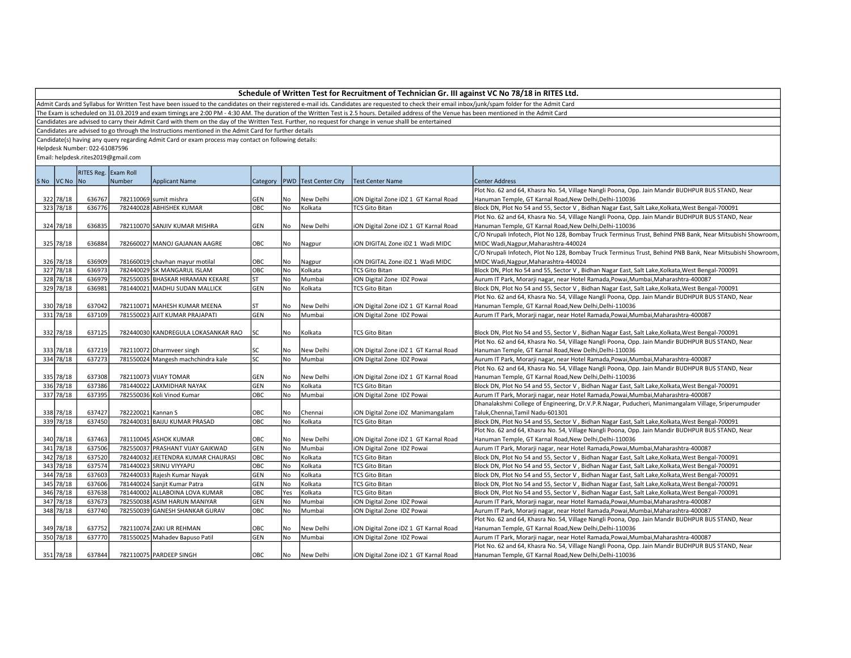Admit Cards and Syllabus for Written Test have been issued to the candidates on their registered e-mail ids. Candidates are requested to check their email inbox/junk/spam folder for the Admit Card

The Exam is scheduled on 31.03.2019 and exam timings are 2:00 PM - 4:30 AM. The duration of the Written Test is 2.5 hours. Detailed address of the Venue has been mentioned in the Admit Card

Candidates are advised to carry their Admit Card with them on the day of the Written Test. Further, no request for change in venue shalll be entertained

Candidates are advised to go through the Instructions mentioned in the Admit Card for further details

Candidate(s) having any query regarding Admit Card or exam process may contact on following details:

Helpdesk Number: 022-61087596

|             | RITES Reg. Exam Roll |                    |                                     |            |     |                                   |                                       |                                                                                                            |
|-------------|----------------------|--------------------|-------------------------------------|------------|-----|-----------------------------------|---------------------------------------|------------------------------------------------------------------------------------------------------------|
| SNo VCNo No |                      | Number             | <b>Applicant Name</b>               |            |     | Category   PWD   Test Center City | Test Center Name                      | <b>Center Address</b>                                                                                      |
|             |                      |                    |                                     |            |     |                                   |                                       | Plot No. 62 and 64, Khasra No. 54, Village Nangli Poona, Opp. Jain Mandir BUDHPUR BUS STAND, Near          |
| 322 78/18   | 636767               |                    | 782110069 sumit mishra              | <b>GEN</b> | No  | New Delhi                         | iON Digital Zone iDZ 1 GT Karnal Road | Hanuman Temple, GT Karnal Road, New Delhi, Delhi-110036                                                    |
| 323 78/18   | 636776               |                    | 782440028 ABHISHEK KUMAR            | OBC        | No  | Kolkata                           | <b>TCS Gito Bitan</b>                 | Block DN, Plot No 54 and 55, Sector V, Bidhan Nagar East, Salt Lake, Kolkata, West Bengal-700091           |
|             |                      |                    |                                     |            |     |                                   |                                       | Plot No. 62 and 64, Khasra No. 54, Village Nangli Poona, Opp. Jain Mandir BUDHPUR BUS STAND, Near          |
| 324 78/18   | 636835               |                    | 782110070 SANJIV KUMAR MISHRA       | <b>GEN</b> | No  | New Delhi                         | iON Digital Zone iDZ 1 GT Karnal Road | Hanuman Temple, GT Karnal Road, New Delhi, Delhi-110036                                                    |
|             |                      |                    |                                     |            |     |                                   |                                       | C/O Nrupali Infotech, Plot No 128, Bombay Truck Terminus Trust, Behind PNB Bank, Near Mitsubishi Showroom, |
| 325 78/18   | 636884               |                    | 782660027 MANOJ GAJANAN AAGRE       | OBC        | No  | Nagpur                            | iON DIGITAL Zone iDZ 1 Wadi MIDC      | MIDC Wadi, Nagpur, Maharashtra-440024                                                                      |
|             |                      |                    |                                     |            |     |                                   |                                       | C/O Nrupali Infotech, Plot No 128, Bombay Truck Terminus Trust, Behind PNB Bank, Near Mitsubishi Showroom, |
| 326 78/18   | 636909               |                    | 781660019 chavhan mayur motilal     | овс        | No  | Nagpur                            | ION DIGITAL Zone IDZ 1 Wadi MIDC      | MIDC Wadi, Nagpur, Maharashtra-440024                                                                      |
| 327 78/18   | 636973               |                    | 782440029 SK MANGARUL ISLAM         | OBC        | No  | Kolkata                           | <b>TCS Gito Bitan</b>                 | Block DN, Plot No 54 and 55, Sector V, Bidhan Nagar East, Salt Lake, Kolkata, West Bengal-700091           |
| 328 78/18   | 636979               |                    | 782550035 BHASKAR HIRAMAN KEKARE    | ST         | No  | Mumbai                            | iON Digital Zone IDZ Powai            | Aurum IT Park, Morarji nagar, near Hotel Ramada, Powai, Mumbai, Maharashtra-400087                         |
| 329 78/18   | 636981               |                    | 781440021 MADHU SUDAN MALLICK       | GEN        | No  | Kolkata                           | <b>TCS Gito Bitan</b>                 | Block DN, Plot No 54 and 55, Sector V, Bidhan Nagar East, Salt Lake, Kolkata, West Bengal-700091           |
|             |                      |                    |                                     |            |     |                                   |                                       | Plot No. 62 and 64, Khasra No. 54, Village Nangli Poona, Opp. Jain Mandir BUDHPUR BUS STAND, Near          |
| 330 78/18   | 637042               |                    | 782110071 MAHESH KUMAR MEENA        | ST         | No. | New Delhi                         | iON Digital Zone iDZ 1 GT Karnal Road | Hanuman Temple, GT Karnal Road, New Delhi, Delhi-110036                                                    |
| 331 78/18   | 637109               |                    | 781550023 AJIT KUMAR PRAJAPATI      | GEN        | No  | Mumbai                            | ON Digital Zone IDZ Powai             | Aurum IT Park, Morarji nagar, near Hotel Ramada, Powai, Mumbai, Maharashtra-400087                         |
|             |                      |                    |                                     |            |     |                                   |                                       |                                                                                                            |
| 332 78/18   | 637125               |                    | 782440030 KANDREGULA LOKASANKAR RAO | <b>SC</b>  | No  | Kolkata                           | <b>TCS Gito Bitan</b>                 | Block DN, Plot No 54 and 55, Sector V, Bidhan Nagar East, Salt Lake, Kolkata, West Bengal-700091           |
|             |                      |                    |                                     |            |     |                                   |                                       | Plot No. 62 and 64, Khasra No. 54, Village Nangli Poona, Opp. Jain Mandir BUDHPUR BUS STAND, Near          |
| 333 78/18   | 637219               |                    | 782110072 Dharmveer singh           | lsc        | No  | New Delhi                         | iON Digital Zone iDZ 1 GT Karnal Road | Hanuman Temple, GT Karnal Road, New Delhi, Delhi-110036                                                    |
| 334 78/18   | 637273               |                    | 781550024 Mangesh machchindra kale  | <b>SC</b>  | No  | Mumbai                            | iON Digital Zone IDZ Powai            | Aurum IT Park, Morarji nagar, near Hotel Ramada, Powai, Mumbai, Maharashtra-400087                         |
|             |                      |                    |                                     |            |     |                                   |                                       | Plot No. 62 and 64, Khasra No. 54, Village Nangli Poona, Opp. Jain Mandir BUDHPUR BUS STAND, Near          |
| 335 78/18   | 637308               |                    | 782110073 VIJAY TOMAR               | GEN        | No  | New Delhi                         | iON Digital Zone iDZ 1 GT Karnal Road | Hanuman Temple, GT Karnal Road, New Delhi, Delhi-110036                                                    |
| 336 78/18   | 637386               |                    | 781440022 LAXMIDHAR NAYAK           | GEN        | No  | Kolkata                           | <b>TCS Gito Bitan</b>                 | Block DN, Plot No 54 and 55, Sector V, Bidhan Nagar East, Salt Lake, Kolkata, West Bengal-700091           |
| 337 78/18   | 637395               |                    | 782550036 Koli Vinod Kumar          | OBC        | No  | Mumbai                            | iON Digital Zone IDZ Powai            | Aurum IT Park, Morarji nagar, near Hotel Ramada, Powai, Mumbai, Maharashtra-400087                         |
|             |                      |                    |                                     |            |     |                                   |                                       | Dhanalakshmi College of Engineering, Dr.V.P.R.Nagar, Puducheri, Manimangalam Village, Sriperumpuder        |
| 338 78/18   | 637427               | 782220021 Kannan S |                                     | OBC        | No  | Chennai                           | iON Digital Zone iDZ Manimangalam     | Taluk, Chennai, Tamil Nadu-601301                                                                          |
| 339 78/18   | 637450               |                    | 782440031 BAIJU KUMAR PRASAD        | OBC        | No  | Kolkata                           | <b>TCS Gito Bitan</b>                 | Block DN, Plot No 54 and 55, Sector V, Bidhan Nagar East, Salt Lake, Kolkata, West Bengal-700091           |
|             |                      |                    |                                     |            |     |                                   |                                       | Plot No. 62 and 64, Khasra No. 54, Village Nangli Poona, Opp. Jain Mandir BUDHPUR BUS STAND, Near          |
| 340 78/18   | 637463               |                    | 781110045 ASHOK KUMAR               | OBC        | No  | New Delhi                         | iON Digital Zone iDZ 1 GT Karnal Road | Hanuman Temple, GT Karnal Road, New Delhi, Delhi-110036                                                    |
| 341 78/18   | 637506               |                    | 782550037 PRASHANT VIJAY GAIKWAD    | GEN        | No  | Mumbai                            | iON Digital Zone IDZ Powai            | Aurum IT Park, Morarji nagar, near Hotel Ramada, Powai, Mumbai, Maharashtra-400087                         |
| 342 78/18   | 637520               |                    | 782440032 JEETENDRA KUMAR CHAURASI  | OBC        | No  | Kolkata                           | <b>TCS Gito Bitan</b>                 | Block DN, Plot No 54 and 55, Sector V, Bidhan Nagar East, Salt Lake, Kolkata, West Bengal-700091           |
| 343 78/18   | 637574               |                    | 781440023 SRINU VIYYAPU             | ОВС        | No  | Kolkata                           | <b>TCS Gito Bitan</b>                 | Block DN, Plot No 54 and 55, Sector V, Bidhan Nagar East, Salt Lake, Kolkata, West Bengal-700091           |
| 344 78/18   | 637603               |                    | 782440033 Rajesh Kumar Nayak        | GEN        | No  | Kolkata                           | <b>TCS Gito Bitan</b>                 | Block DN, Plot No 54 and 55, Sector V, Bidhan Nagar East, Salt Lake, Kolkata, West Bengal-700091           |
| 345 78/18   | 637606               |                    | 781440024 Sanjit Kumar Patra        | GEN        | No  | Kolkata                           | <b>TCS Gito Bitan</b>                 | Block DN, Plot No 54 and 55, Sector V, Bidhan Nagar East, Salt Lake, Kolkata, West Bengal-700091           |
| 346 78/18   | 637638               |                    | 781440002 ALLABOINA LOVA KUMAR      | овс        | Yes | Kolkata                           | <b>TCS Gito Bitan</b>                 | Block DN, Plot No 54 and 55, Sector V, Bidhan Nagar East, Salt Lake, Kolkata, West Bengal-700091           |
| 347 78/18   | 637673               |                    | 782550038 ASIM HARUN MANIYAR        | GEN        | No  | Mumbai                            | iON Digital Zone IDZ Powai            | Aurum IT Park, Morarji nagar, near Hotel Ramada, Powai, Mumbai, Maharashtra-400087                         |
| 348 78/18   | 637740               |                    | 782550039 GANESH SHANKAR GURAV      | OBC        | No  | Mumbai                            | iON Digital Zone IDZ Powai            | Aurum IT Park, Morarji nagar, near Hotel Ramada, Powai, Mumbai, Maharashtra-400087                         |
|             |                      |                    |                                     |            |     |                                   |                                       | Plot No. 62 and 64, Khasra No. 54, Village Nangli Poona, Opp. Jain Mandir BUDHPUR BUS STAND, Near          |
| 349 78/18   | 637752               |                    | 782110074 ZAKI UR REHMAN            | OBC        | No. | New Delhi                         | iON Digital Zone iDZ 1 GT Karnal Road | Hanuman Temple, GT Karnal Road, New Delhi, Delhi-110036                                                    |
| 350 78/18   | 637770               |                    | 781550025 Mahadev Bapuso Patil      | GEN        | No  | Mumbai                            | iON Digital Zone IDZ Powai            | Aurum IT Park, Morarji nagar, near Hotel Ramada, Powai, Mumbai, Maharashtra-400087                         |
|             |                      |                    |                                     |            |     |                                   |                                       | Plot No. 62 and 64, Khasra No. 54, Village Nangli Poona, Opp. Jain Mandir BUDHPUR BUS STAND, Near          |
| 351 78/18   | 637844               |                    | 782110075 PARDEEP SINGH             | OBC        | No. | New Delhi                         | iON Digital Zone iDZ 1 GT Karnal Road | Hanuman Temple, GT Karnal Road, New Delhi, Delhi-110036                                                    |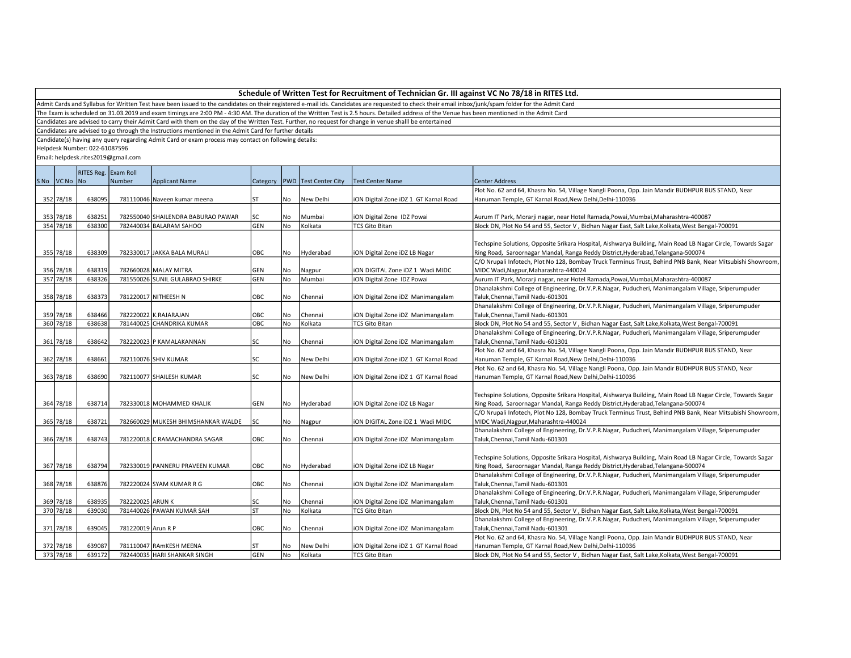Admit Cards and Syllabus for Written Test have been issued to the candidates on their registered e-mail ids. Candidates are requested to check their email inbox/junk/spam folder for the Admit Card

The Exam is scheduled on 31.03.2019 and exam timings are 2:00 PM - 4:30 AM. The duration of the Written Test is 2.5 hours. Detailed address of the Venue has been mentioned in the Admit Card

Candidates are advised to carry their Admit Card with them on the day of the Written Test. Further, no request for change in venue shalll be entertained

Candidates are advised to go through the Instructions mentioned in the Admit Card for further details

Candidate(s) having any query regarding Admit Card or exam process may contact on following details:

Helpdesk Number: 022-61087596

|             | RITES Reg. Exam Roll |                    |                                    |           |     |                                   |                                       |                                                                                                              |
|-------------|----------------------|--------------------|------------------------------------|-----------|-----|-----------------------------------|---------------------------------------|--------------------------------------------------------------------------------------------------------------|
| SNo VCNo No |                      | Number             | <b>Applicant Name</b>              |           |     | Category   PWD   Test Center City | Test Center Name                      | <b>Center Address</b>                                                                                        |
|             |                      |                    |                                    |           |     |                                   |                                       | Plot No. 62 and 64, Khasra No. 54, Village Nangli Poona, Opp. Jain Mandir BUDHPUR BUS STAND, Near            |
| 352 78/18   | 638095               |                    | 781110046 Naveen kumar meena       | ST        | No  | New Delhi                         | iON Digital Zone iDZ 1 GT Karnal Road | Hanuman Temple, GT Karnal Road, New Delhi, Delhi-110036                                                      |
|             |                      |                    |                                    |           |     |                                   |                                       |                                                                                                              |
| 353 78/18   | 638251               |                    | 782550040 SHAILENDRA BABURAO PAWAR | lsc       | No  | Mumbai                            | iON Digital Zone IDZ Powai            | Aurum IT Park, Morarji nagar, near Hotel Ramada, Powai, Mumbai, Maharashtra-400087                           |
| 354 78/18   | 638300               |                    | 782440034 BALARAM SAHOO            | GEN       | No  | Kolkata                           | <b>TCS Gito Bitan</b>                 | Block DN, Plot No 54 and 55, Sector V, Bidhan Nagar East, Salt Lake, Kolkata, West Bengal-700091             |
|             |                      |                    |                                    |           |     |                                   |                                       |                                                                                                              |
|             |                      |                    |                                    |           |     |                                   |                                       | Techspine Solutions, Opposite Srikara Hospital, Aishwarya Building, Main Road LB Nagar Circle, Towards Sagar |
| 355 78/18   | 638309               |                    | 782330017 JAKKA BALA MURALI        | OBC       | No  | Hyderabad                         | iON Digital Zone iDZ LB Nagar         | Ring Road, Saroornagar Mandal, Ranga Reddy District, Hyderabad, Telangana-500074                             |
|             |                      |                    |                                    |           |     |                                   |                                       | C/O Nrupali Infotech, Plot No 128, Bombay Truck Terminus Trust, Behind PNB Bank, Near Mitsubishi Showroom,   |
| 356 78/18   | 638319               |                    | 782660028 MALAY MITRA              | GEN       | No  | Nagpur                            | ION DIGITAL Zone IDZ 1 Wadi MIDC      | MIDC Wadi, Nagpur, Maharashtra-440024                                                                        |
| 357 78/18   | 638326               |                    | 781550026 SUNIL GULABRAO SHIRKE    | GEN       | No  | Mumbai                            | iON Digital Zone IDZ Powai            | Aurum IT Park, Morarji nagar, near Hotel Ramada, Powai, Mumbai, Maharashtra-400087                           |
|             |                      |                    |                                    |           |     |                                   |                                       | Dhanalakshmi College of Engineering, Dr.V.P.R.Nagar, Puducheri, Manimangalam Village, Sriperumpuder          |
| 358 78/18   | 638373               |                    | 781220017 NITHEESH N               | OBC       | No  | Chennai                           | iON Digital Zone iDZ Manimangalam     | Taluk, Chennai, Tamil Nadu-601301                                                                            |
|             |                      |                    |                                    |           |     |                                   |                                       | Dhanalakshmi College of Engineering, Dr.V.P.R.Nagar, Puducheri, Manimangalam Village, Sriperumpuder          |
| 359 78/18   | 638466               |                    | 782220022 K.RAJARAJAN              | OBC       | No  | Chennai                           | iON Digital Zone iDZ Manimangalam     | Taluk, Chennai, Tamil Nadu-601301                                                                            |
| 360 78/18   | 638638               |                    | 781440025 CHANDRIKA KUMAR          | OBC       | No  | Kolkata                           | <b>TCS Gito Bitan</b>                 | Block DN, Plot No 54 and 55, Sector V, Bidhan Nagar East, Salt Lake, Kolkata, West Bengal-700091             |
|             |                      |                    |                                    |           |     |                                   |                                       | Dhanalakshmi College of Engineering, Dr.V.P.R.Nagar, Puducheri, Manimangalam Village, Sriperumpuder          |
| 361 78/18   | 638642               |                    | 782220023 P KAMALAKANNAN           | <b>SC</b> | No  | Chennai                           | iON Digital Zone iDZ Manimangalam     | Taluk, Chennai, Tamil Nadu-601301                                                                            |
|             |                      |                    |                                    |           |     |                                   |                                       | Plot No. 62 and 64, Khasra No. 54, Village Nangli Poona, Opp. Jain Mandir BUDHPUR BUS STAND, Near            |
| 362 78/18   | 638661               |                    | 782110076 SHIV KUMAR               | lsc       | No  | New Delhi                         | iON Digital Zone iDZ 1 GT Karnal Road | Hanuman Temple, GT Karnal Road, New Delhi, Delhi-110036                                                      |
|             |                      |                    |                                    |           |     |                                   |                                       | Plot No. 62 and 64, Khasra No. 54, Village Nangli Poona, Opp. Jain Mandir BUDHPUR BUS STAND, Near            |
| 363 78/18   | 638690               |                    | 782110077 SHAILESH KUMAR           | lsc       | No. | New Delhi                         | iON Digital Zone iDZ 1 GT Karnal Road | Hanuman Temple, GT Karnal Road, New Delhi, Delhi-110036                                                      |
|             |                      |                    |                                    |           |     |                                   |                                       |                                                                                                              |
|             |                      |                    |                                    |           |     |                                   |                                       | Techspine Solutions, Opposite Srikara Hospital, Aishwarya Building, Main Road LB Nagar Circle, Towards Sagar |
| 364 78/18   | 638714               |                    | 782330018 MOHAMMED KHALIK          | GEN       | No  | Hyderabad                         | iON Digital Zone iDZ LB Nagar         | Ring Road, Saroornagar Mandal, Ranga Reddy District, Hyderabad, Telangana-500074                             |
|             |                      |                    |                                    |           |     |                                   |                                       | C/O Nrupali Infotech, Plot No 128, Bombay Truck Terminus Trust, Behind PNB Bank, Near Mitsubishi Showroom,   |
| 365 78/18   | 638721               |                    | 782660029 MUKESH BHIMSHANKAR WALDE | <b>SC</b> | No  | Nagpur                            | ION DIGITAL Zone IDZ 1 Wadi MIDC      | MIDC Wadi, Nagpur, Maharashtra-440024                                                                        |
|             |                      |                    |                                    |           |     |                                   |                                       | Dhanalakshmi College of Engineering, Dr.V.P.R.Nagar, Puducheri, Manimangalam Village, Sriperumpuder          |
| 366 78/18   | 638743               |                    | 781220018 C RAMACHANDRA SAGAR      | OBC       | No  | Chennai                           | iON Digital Zone iDZ Manimangalam     | Taluk, Chennai, Tamil Nadu-601301                                                                            |
|             |                      |                    |                                    |           |     |                                   |                                       |                                                                                                              |
|             |                      |                    |                                    |           |     |                                   |                                       | Techspine Solutions, Opposite Srikara Hospital, Aishwarya Building, Main Road LB Nagar Circle, Towards Sagar |
| 367 78/18   | 638794               |                    | 782330019 PANNERU PRAVEEN KUMAR    | OBC       | No  | Hyderabad                         | iON Digital Zone iDZ LB Nagar         | Ring Road, Saroornagar Mandal, Ranga Reddy District, Hyderabad, Telangana-500074                             |
|             |                      |                    |                                    |           |     |                                   |                                       | Dhanalakshmi College of Engineering, Dr.V.P.R.Nagar, Puducheri, Manimangalam Village, Sriperumpuder          |
| 368 78/18   | 638876               |                    | 782220024 SYAM KUMAR R G           | OBC       | No. | Chennai                           | iON Digital Zone iDZ Manimangalam     | Taluk, Chennai, Tamil Nadu-601301                                                                            |
|             |                      |                    |                                    |           |     |                                   |                                       | Dhanalakshmi College of Engineering, Dr.V.P.R.Nagar, Puducheri, Manimangalam Village, Sriperumpuder          |
| 369 78/18   | 638935               | 782220025 ARUN K   |                                    | <b>SC</b> | No  | Chennai                           | iON Digital Zone iDZ Manimangalam     | Taluk, Chennai, Tamil Nadu-601301                                                                            |
| 370 78/18   | 639030               |                    | 781440026 PAWAN KUMAR SAH          | ST        | No  | Kolkata                           | <b>TCS Gito Bitan</b>                 | Block DN, Plot No 54 and 55, Sector V, Bidhan Nagar East, Salt Lake, Kolkata, West Bengal-700091             |
|             |                      |                    |                                    |           |     |                                   |                                       | Dhanalakshmi College of Engineering, Dr.V.P.R.Nagar, Puducheri, Manimangalam Village, Sriperumpuder          |
| 371 78/18   | 639045               | 781220019 Arun R P |                                    | OBC       | No  | Chennai                           | iON Digital Zone iDZ Manimangalam     | Taluk, Chennai, Tamil Nadu-601301                                                                            |
|             |                      |                    |                                    |           |     |                                   |                                       | Plot No. 62 and 64, Khasra No. 54, Village Nangli Poona, Opp. Jain Mandir BUDHPUR BUS STAND, Near            |
| 372 78/18   | 639087               |                    | 781110047 RAMKESH MEENA            | ST        | No  | New Delhi                         | iON Digital Zone iDZ 1 GT Karnal Road | Hanuman Temple, GT Karnal Road, New Delhi, Delhi-110036                                                      |
| 373 78/18   | 639172               |                    | 782440035 HARI SHANKAR SINGH       | GEN       | No. | Kolkata                           | <b>TCS Gito Bitan</b>                 | Block DN, Plot No 54 and 55, Sector V, Bidhan Nagar East, Salt Lake, Kolkata, West Bengal-700091             |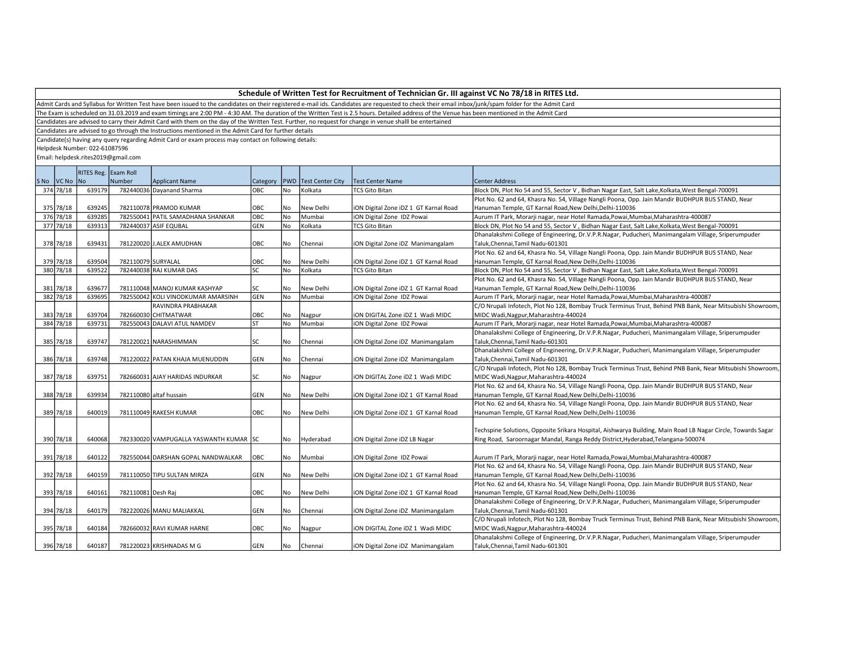Admit Cards and Syllabus for Written Test have been issued to the candidates on their registered e-mail ids. Candidates are requested to check their email inbox/junk/spam folder for the Admit Card

The Exam is scheduled on 31.03.2019 and exam timings are 2:00 PM - 4:30 AM. The duration of the Written Test is 2.5 hours. Detailed address of the Venue has been mentioned in the Admit Card

Candidates are advised to carry their Admit Card with them on the day of the Written Test. Further, no request for change in venue shalll be entertained

Candidates are advised to go through the Instructions mentioned in the Admit Card for further details

Candidate(s) having any query regarding Admit Card or exam process may contact on following details:

Helpdesk Number: 022-61087596

|            | RITES Reg. Exam Roll |                    |                                        |                |      |                         |                                       |                                                                                                              |
|------------|----------------------|--------------------|----------------------------------------|----------------|------|-------------------------|---------------------------------------|--------------------------------------------------------------------------------------------------------------|
| S No VC No | No                   | Number             | <b>Applicant Name</b>                  | Category   PWD |      | <b>Test Center City</b> | <b>Test Center Name</b>               | <b>Center Address</b>                                                                                        |
| 374 78/18  | 639179               |                    | 782440036 Dayanand Sharma              | OBC            | No   | Kolkata                 | <b>TCS Gito Bitan</b>                 | Block DN, Plot No 54 and 55, Sector V, Bidhan Nagar East, Salt Lake, Kolkata, West Bengal-700091             |
|            |                      |                    |                                        |                |      |                         |                                       | Plot No. 62 and 64, Khasra No. 54, Village Nangli Poona, Opp. Jain Mandir BUDHPUR BUS STAND, Near            |
| 375 78/18  | 639245               |                    | 782110078 PRAMOD KUMAR                 | OBC            | No   | New Delhi               | iON Digital Zone iDZ 1 GT Karnal Road | Hanuman Temple, GT Karnal Road, New Delhi, Delhi-110036                                                      |
| 376 78/18  | 639285               |                    | 782550041 PATIL SAMADHANA SHANKAR      | <b>OBC</b>     | l No | Mumbai                  | iON Digital Zone IDZ Powai            | Aurum IT Park, Morarji nagar, near Hotel Ramada, Powai, Mumbai, Maharashtra-400087                           |
| 377 78/18  | 639313               |                    | 782440037 ASIF EQUBAL                  | <b>GEN</b>     | l No | Kolkata                 | <b>TCS Gito Bitan</b>                 | Block DN, Plot No 54 and 55, Sector V, Bidhan Nagar East, Salt Lake, Kolkata, West Bengal-700091             |
|            |                      |                    |                                        |                |      |                         |                                       | Dhanalakshmi College of Engineering, Dr.V.P.R.Nagar, Puducheri, Manimangalam Village, Sriperumpuder          |
| 378 78/18  | 639431               |                    | 781220020 J.ALEX AMUDHAN               | OBC            | No   | Chennai                 | iON Digital Zone iDZ Manimangalam     | Taluk, Chennai, Tamil Nadu-601301                                                                            |
|            |                      |                    |                                        |                |      |                         |                                       | Plot No. 62 and 64, Khasra No. 54, Village Nangli Poona, Opp. Jain Mandir BUDHPUR BUS STAND, Near            |
| 379 78/18  | 639504               | 782110079 SURYALAL |                                        | OBC            | No   | New Delhi               | iON Digital Zone iDZ 1 GT Karnal Road | Hanuman Temple, GT Karnal Road, New Delhi, Delhi-110036                                                      |
| 380 78/18  | 639522               |                    | 782440038 RAJ KUMAR DAS                | <b>SC</b>      | No   | Kolkata                 | <b>TCS Gito Bitan</b>                 | Block DN, Plot No 54 and 55, Sector V, Bidhan Nagar East, Salt Lake, Kolkata, West Bengal-700091             |
|            |                      |                    |                                        |                |      |                         |                                       | Plot No. 62 and 64, Khasra No. 54, Village Nangli Poona, Opp. Jain Mandir BUDHPUR BUS STAND, Near            |
| 381 78/18  | 639677               |                    | 781110048 MANOJ KUMAR KASHYAP          | <b>SC</b>      | l No | New Delhi               | iON Digital Zone iDZ 1 GT Karnal Road | Hanuman Temple, GT Karnal Road, New Delhi, Delhi-110036                                                      |
| 382 78/18  | 639695               |                    | 782550042 KOLI VINODKUMAR AMARSINH     | GEN            | No   | Mumbai                  | iON Digital Zone IDZ Powai            | Aurum IT Park, Morarji nagar, near Hotel Ramada,Powai,Mumbai,Maharashtra-400087                              |
|            |                      |                    | RAVINDRA PRABHAKAR                     |                |      |                         |                                       | C/O Nrupali Infotech, Plot No 128, Bombay Truck Terminus Trust, Behind PNB Bank, Near Mitsubishi Showroom,   |
| 383 78/18  | 639704               |                    | 782660030 CHITMATWAR                   | OBC            | No   | Nagpur                  | ION DIGITAL Zone IDZ 1 Wadi MIDC      | MIDC Wadi, Nagpur, Maharashtra-440024                                                                        |
| 384 78/18  | 639731               |                    | 782550043 DALAVI ATUL NAMDEV           | ST             | No   | Mumbai                  | iON Digital Zone IDZ Powai            | Aurum IT Park, Morarji nagar, near Hotel Ramada, Powai, Mumbai, Maharashtra-400087                           |
|            |                      |                    |                                        |                |      |                         |                                       | Dhanalakshmi College of Engineering, Dr.V.P.R.Nagar, Puducheri, Manimangalam Village, Sriperumpuder          |
| 385 78/18  | 639747               |                    | 781220021 NARASHIMMAN                  | SC             | l No | Chennai                 | iON Digital Zone iDZ Manimangalam     | Taluk, Chennai, Tamil Nadu-601301                                                                            |
|            |                      |                    |                                        |                |      |                         |                                       | Dhanalakshmi College of Engineering, Dr.V.P.R.Nagar, Puducheri, Manimangalam Village, Sriperumpuder          |
| 386 78/18  | 639748               |                    | 781220022 PATAN KHAJA MUENUDDIN        | GEN            | No   | Chennai                 | iON Digital Zone iDZ Manimangalam     | Taluk, Chennai, Tamil Nadu-601301                                                                            |
|            |                      |                    |                                        |                |      |                         |                                       | C/O Nrupali Infotech, Plot No 128, Bombay Truck Terminus Trust, Behind PNB Bank, Near Mitsubishi Showroom,   |
| 387 78/18  | 639751               |                    | 782660031 AJAY HARIDAS INDURKAR        | lsc            | No   | Nagpur                  | ION DIGITAL Zone IDZ 1 Wadi MIDC      | MIDC Wadi, Nagpur, Maharashtra-440024                                                                        |
|            |                      |                    |                                        |                |      |                         |                                       | Plot No. 62 and 64, Khasra No. 54, Village Nangli Poona, Opp. Jain Mandir BUDHPUR BUS STAND, Near            |
| 388 78/18  | 639934               |                    | 782110080 altaf hussain                | GEN            | No   | New Delhi               | iON Digital Zone iDZ 1 GT Karnal Road | Hanuman Temple, GT Karnal Road, New Delhi, Delhi-110036                                                      |
|            |                      |                    |                                        |                |      |                         |                                       | Plot No. 62 and 64, Khasra No. 54, Village Nangli Poona, Opp. Jain Mandir BUDHPUR BUS STAND, Near            |
| 389 78/18  | 640019               |                    | 781110049 RAKESH KUMAR                 | OBC            | No   | New Delhi               | iON Digital Zone iDZ 1 GT Karnal Road | Hanuman Temple, GT Karnal Road, New Delhi, Delhi-110036                                                      |
|            |                      |                    |                                        |                |      |                         |                                       |                                                                                                              |
|            |                      |                    |                                        |                |      |                         |                                       | Techspine Solutions, Opposite Srikara Hospital, Aishwarya Building, Main Road LB Nagar Circle, Towards Sagar |
| 390 78/18  | 640068               |                    | 782330020 VAMPUGALLA YASWANTH KUMAR SC |                | l No | Hyderabad               | iON Digital Zone iDZ LB Nagar         | Ring Road, Saroornagar Mandal, Ranga Reddy District, Hyderabad, Telangana-500074                             |
|            |                      |                    |                                        |                |      |                         |                                       |                                                                                                              |
| 391 78/18  | 640122               |                    | 782550044 DARSHAN GOPAL NANDWALKAR     | OBC            | No   | Mumbai                  | iON Digital Zone IDZ Powai            | Aurum IT Park, Morarji nagar, near Hotel Ramada, Powai, Mumbai, Maharashtra-400087                           |
|            |                      |                    |                                        |                |      |                         |                                       | Plot No. 62 and 64, Khasra No. 54, Village Nangli Poona, Opp. Jain Mandir BUDHPUR BUS STAND, Near            |
| 392 78/18  | 640159               |                    | 781110050 TIPU SULTAN MIRZA            | GEN            | No   | New Delhi               | iON Digital Zone iDZ 1 GT Karnal Road | Hanuman Temple, GT Karnal Road, New Delhi, Delhi-110036                                                      |
|            |                      |                    |                                        |                |      |                         |                                       | Plot No. 62 and 64, Khasra No. 54, Village Nangli Poona, Opp. Jain Mandir BUDHPUR BUS STAND, Near            |
| 393 78/18  | 640161               | 782110081 Desh Raj |                                        | OBC            | No   | New Delhi               | iON Digital Zone iDZ 1 GT Karnal Road | Hanuman Temple, GT Karnal Road, New Delhi, Delhi-110036                                                      |
|            |                      |                    |                                        |                |      |                         |                                       | Dhanalakshmi College of Engineering, Dr.V.P.R.Nagar, Puducheri, Manimangalam Village, Sriperumpuder          |
| 394 78/18  | 640179               |                    | 782220026 MANU MALIAKKAL               | GEN            | No   | Chennai                 | iON Digital Zone iDZ Manimangalam     | Taluk, Chennai, Tamil Nadu-601301                                                                            |
|            |                      |                    |                                        |                |      |                         |                                       | C/O Nrupali Infotech, Plot No 128, Bombay Truck Terminus Trust, Behind PNB Bank, Near Mitsubishi Showroom,   |
| 395 78/18  | 640184               |                    | 782660032 RAVI KUMAR HARNE             | OBC            | No   | Nagpur                  | ION DIGITAL Zone IDZ 1 Wadi MIDC      | MIDC Wadi, Nagpur, Maharashtra-440024                                                                        |
|            |                      |                    |                                        |                |      |                         |                                       | Dhanalakshmi College of Engineering, Dr.V.P.R.Nagar, Puducheri, Manimangalam Village, Sriperumpuder          |
| 396 78/18  | 640187               |                    | 781220023 KRISHNADAS M G               | GEN            | l No | Chennai                 | iON Digital Zone iDZ Manimangalam     | Taluk, Chennai, Tamil Nadu-601301                                                                            |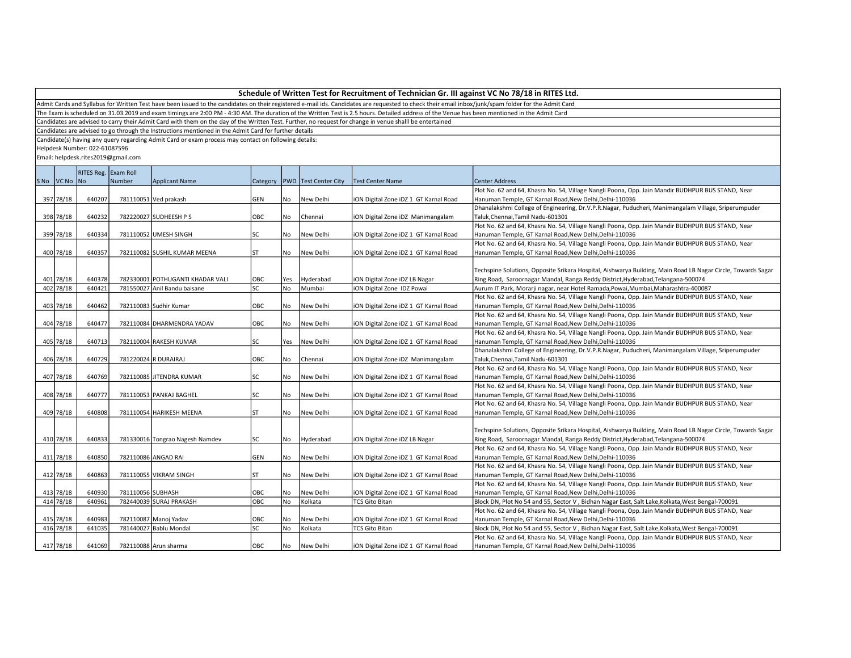Admit Cards and Syllabus for Written Test have been issued to the candidates on their registered e-mail ids. Candidates are requested to check their email inbox/junk/spam folder for the Admit Card

The Exam is scheduled on 31.03.2019 and exam timings are 2:00 PM - 4:30 AM. The duration of the Written Test is 2.5 hours. Detailed address of the Venue has been mentioned in the Admit Card

Candidates are advised to carry their Admit Card with them on the day of the Written Test. Further, no request for change in venue shalll be entertained

Candidates are advised to go through the Instructions mentioned in the Admit Card for further details

Candidate(s) having any query regarding Admit Card or exam process may contact on following details:

Helpdesk Number: 022-61087596

|             | RITES Reg. Exam Roll |                   |                                  |           |           |                               |                                       |                                                                                                              |
|-------------|----------------------|-------------------|----------------------------------|-----------|-----------|-------------------------------|---------------------------------------|--------------------------------------------------------------------------------------------------------------|
| SNo VCNo No |                      | Number            | <b>Applicant Name</b>            |           |           | Category PWD Test Center City | <b>Test Center Name</b>               | <b>Center Address</b>                                                                                        |
|             |                      |                   |                                  |           |           |                               |                                       | Plot No. 62 and 64, Khasra No. 54, Village Nangli Poona, Opp. Jain Mandir BUDHPUR BUS STAND, Near            |
| 397 78/18   | 640207               |                   | 781110051 Ved prakash            | GEN       | No        | New Delhi                     | ION Digital Zone IDZ 1 GT Karnal Road | Hanuman Temple, GT Karnal Road, New Delhi, Delhi-110036                                                      |
|             |                      |                   |                                  |           |           |                               |                                       | Dhanalakshmi College of Engineering, Dr.V.P.R.Nagar, Puducheri, Manimangalam Village, Sriperumpuder          |
| 398 78/18   | 640232               |                   | 782220027 SUDHEESH P S           | OBC       | No        | Chennai                       | ION Digital Zone IDZ Manimangalam     | Taluk, Chennai, Tamil Nadu-601301                                                                            |
|             |                      |                   |                                  |           |           |                               |                                       | Plot No. 62 and 64, Khasra No. 54, Village Nangli Poona, Opp. Jain Mandir BUDHPUR BUS STAND, Near            |
| 399 78/18   | 640334               |                   | 781110052 UMESH SINGH            | SC        | No        | New Delhi                     | ION Digital Zone IDZ 1 GT Karnal Road | Hanuman Temple, GT Karnal Road, New Delhi, Delhi-110036                                                      |
|             |                      |                   |                                  |           |           |                               |                                       | Plot No. 62 and 64, Khasra No. 54, Village Nangli Poona, Opp. Jain Mandir BUDHPUR BUS STAND, Near            |
| 400 78/18   | 640357               |                   | 782110082 SUSHIL KUMAR MEENA     | <b>ST</b> | No        | New Delhi                     | ION Digital Zone IDZ 1 GT Karnal Road | Hanuman Temple, GT Karnal Road, New Delhi, Delhi-110036                                                      |
|             |                      |                   |                                  |           |           |                               |                                       |                                                                                                              |
|             |                      |                   |                                  |           |           |                               |                                       | Techspine Solutions, Opposite Srikara Hospital, Aishwarya Building, Main Road LB Nagar Circle, Towards Sagar |
| 401 78/18   | 640378               |                   | 782330001 POTHUGANTI KHADAR VALI | OBC       | Yes       | Hyderabad                     | ION Digital Zone IDZ LB Nagar         | Ring Road, Saroornagar Mandal, Ranga Reddy District, Hyderabad, Telangana-500074                             |
| 402 78/18   | 640421               |                   | 781550027 Anil Bandu baisane     | SC        | No        | Mumbai                        | ION Digital Zone IDZ Powai            | Aurum IT Park, Morarji nagar, near Hotel Ramada, Powai, Mumbai, Maharashtra-400087                           |
|             |                      |                   |                                  |           |           |                               |                                       | Plot No. 62 and 64, Khasra No. 54, Village Nangli Poona, Opp. Jain Mandir BUDHPUR BUS STAND, Near            |
| 403 78/18   | 640462               |                   | 782110083 Sudhir Kumar           | OBC       | No        | New Delhi                     | ION Digital Zone IDZ 1 GT Karnal Road | Hanuman Temple, GT Karnal Road, New Delhi, Delhi-110036                                                      |
|             |                      |                   |                                  |           |           |                               |                                       | Plot No. 62 and 64, Khasra No. 54, Village Nangli Poona, Opp. Jain Mandir BUDHPUR BUS STAND, Near            |
| 404 78/18   | 640477               |                   | 782110084 DHARMENDRA YADAV       | OBC       | No        | New Delhi                     | ION Digital Zone IDZ 1 GT Karnal Road | Hanuman Temple, GT Karnal Road, New Delhi, Delhi-110036                                                      |
|             |                      |                   |                                  |           |           |                               |                                       | Plot No. 62 and 64, Khasra No. 54, Village Nangli Poona, Opp. Jain Mandir BUDHPUR BUS STAND, Near            |
| 405 78/18   | 640713               |                   | 782110004 RAKESH KUMAR           | SC        | Yes       | New Delhi                     | ION Digital Zone IDZ 1 GT Karnal Road | Hanuman Temple, GT Karnal Road, New Delhi, Delhi-110036                                                      |
|             |                      |                   |                                  |           |           |                               |                                       | Dhanalakshmi College of Engineering, Dr.V.P.R.Nagar, Puducheri, Manimangalam Village, Sriperumpuder          |
| 406 78/18   | 640729               |                   | 781220024 R DURAIRAJ             | OBC       | No        | Chennai                       | iON Digital Zone iDZ Manimangalam     | Taluk, Chennai, Tamil Nadu-601301                                                                            |
|             |                      |                   |                                  |           |           |                               |                                       | Plot No. 62 and 64, Khasra No. 54, Village Nangli Poona, Opp. Jain Mandir BUDHPUR BUS STAND, Near            |
| 407 78/18   | 640769               |                   | 782110085 JITENDRA KUMAR         | lsc       | No        | New Delhi                     | ION Digital Zone IDZ 1 GT Karnal Road | Hanuman Temple, GT Karnal Road, New Delhi, Delhi-110036                                                      |
|             |                      |                   |                                  |           |           |                               |                                       | Plot No. 62 and 64, Khasra No. 54, Village Nangli Poona, Opp. Jain Mandir BUDHPUR BUS STAND, Near            |
| 408 78/18   | 640777               |                   | 781110053 PANKAJ BAGHEL          | SC        | No        | New Delhi                     | ION Digital Zone IDZ 1 GT Karnal Road | Hanuman Temple, GT Karnal Road, New Delhi, Delhi-110036                                                      |
|             |                      |                   |                                  |           |           |                               |                                       | Plot No. 62 and 64, Khasra No. 54, Village Nangli Poona, Opp. Jain Mandir BUDHPUR BUS STAND, Near            |
| 409 78/18   | 640808               |                   | 781110054 HARIKESH MEENA         | <b>ST</b> | <b>No</b> | New Delhi                     | ION Digital Zone IDZ 1 GT Karnal Road | Hanuman Temple, GT Karnal Road, New Delhi, Delhi-110036                                                      |
|             |                      |                   |                                  |           |           |                               |                                       |                                                                                                              |
|             |                      |                   |                                  |           |           |                               |                                       | Techspine Solutions, Opposite Srikara Hospital, Aishwarya Building, Main Road LB Nagar Circle, Towards Sagar |
| 410 78/18   | 640833               |                   | 781330016 Tongrao Nagesh Namdev  | lsc       | No        | Hyderabad                     | ION Digital Zone IDZ LB Nagar         | Ring Road, Saroornagar Mandal, Ranga Reddy District, Hyderabad, Telangana-500074                             |
|             |                      |                   |                                  |           |           |                               |                                       | Plot No. 62 and 64, Khasra No. 54, Village Nangli Poona, Opp. Jain Mandir BUDHPUR BUS STAND, Near            |
| 411 78/18   | 640850               |                   | 782110086 ANGAD RAI              | GEN       | No        | New Delhi                     | ION Digital Zone IDZ 1 GT Karnal Road | Hanuman Temple, GT Karnal Road, New Delhi, Delhi-110036                                                      |
|             |                      |                   |                                  |           |           |                               |                                       | Plot No. 62 and 64, Khasra No. 54, Village Nangli Poona, Opp. Jain Mandir BUDHPUR BUS STAND, Near            |
| 412 78/18   | 640863               |                   | 781110055 VIKRAM SINGH           | ST        | No        | New Delhi                     | ION Digital Zone IDZ 1 GT Karnal Road | Hanuman Temple, GT Karnal Road, New Delhi, Delhi-110036                                                      |
|             |                      |                   |                                  |           |           |                               |                                       | Plot No. 62 and 64, Khasra No. 54, Village Nangli Poona, Opp. Jain Mandir BUDHPUR BUS STAND, Near            |
| 413 78/18   | 640930               | 781110056 SUBHASH |                                  | OBC       | No        | New Delhi                     | ION Digital Zone IDZ 1 GT Karnal Road | Hanuman Temple, GT Karnal Road, New Delhi, Delhi-110036                                                      |
| 414 78/18   | 640961               |                   | 782440039 SURAJ PRAKASH          | OBC       | No        | Kolkata                       | <b>TCS Gito Bitan</b>                 | Block DN, Plot No 54 and 55, Sector V, Bidhan Nagar East, Salt Lake, Kolkata, West Bengal-700091             |
|             |                      |                   |                                  |           |           |                               |                                       | Plot No. 62 and 64, Khasra No. 54, Village Nangli Poona, Opp. Jain Mandir BUDHPUR BUS STAND, Near            |
| 415 78/18   | 640983               |                   | 782110087 Manoj Yadav            | OBC       | No        | New Delhi                     | ION Digital Zone IDZ 1 GT Karnal Road | Hanuman Temple, GT Karnal Road, New Delhi, Delhi-110036                                                      |
| 416 78/18   | 641035               |                   | 781440027 Bablu Mondal           | SC        | No        | Kolkata                       | <b>TCS Gito Bitan</b>                 | Block DN, Plot No 54 and 55, Sector V, Bidhan Nagar East, Salt Lake, Kolkata, West Bengal-700091             |
|             |                      |                   |                                  |           |           |                               |                                       | Plot No. 62 and 64, Khasra No. 54, Village Nangli Poona, Opp. Jain Mandir BUDHPUR BUS STAND, Near            |
| 417 78/18   | 641069               |                   | 782110088 Arun sharma            | Іовс      | No        | New Delhi                     | ION Digital Zone IDZ 1 GT Karnal Road | Hanuman Temple. GT Karnal Road.New Delhi.Delhi-110036                                                        |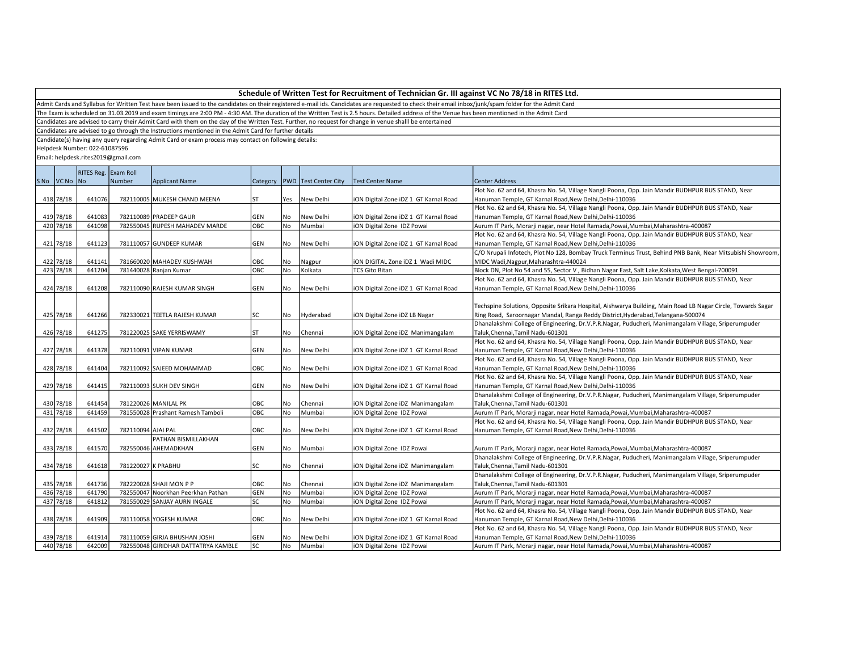Admit Cards and Syllabus for Written Test have been issued to the candidates on their registered e-mail ids. Candidates are requested to check their email inbox/junk/spam folder for the Admit Card

The Exam is scheduled on 31.03.2019 and exam timings are 2:00 PM - 4:30 AM. The duration of the Written Test is 2.5 hours. Detailed address of the Venue has been mentioned in the Admit Card

Candidates are advised to carry their Admit Card with them on the day of the Written Test. Further, no request for change in venue shalll be entertained

Candidates are advised to go through the Instructions mentioned in the Admit Card for further details

Candidate(s) having any query regarding Admit Card or exam process may contact on following details:

Helpdesk Number: 022-61087596

|             | RITES Reg. Exam Roll |                    |                                     |            |           |                                   |                                       |                                                                                                              |
|-------------|----------------------|--------------------|-------------------------------------|------------|-----------|-----------------------------------|---------------------------------------|--------------------------------------------------------------------------------------------------------------|
| SNo VCNo No |                      | Number             | <b>Applicant Name</b>               |            |           | Category   PWD   Test Center City | <b>Test Center Name</b>               | <b>Center Address</b>                                                                                        |
|             |                      |                    |                                     |            |           |                                   |                                       | Plot No. 62 and 64, Khasra No. 54, Village Nangli Poona, Opp. Jain Mandir BUDHPUR BUS STAND, Near            |
| 418 78/18   | 641076               |                    | 782110005 MUKESH CHAND MEENA        | lst        | Yes       | New Delhi                         | iON Digital Zone iDZ 1 GT Karnal Road | Hanuman Temple, GT Karnal Road, New Delhi, Delhi-110036                                                      |
|             |                      |                    |                                     |            |           |                                   |                                       | Plot No. 62 and 64, Khasra No. 54, Village Nangli Poona, Opp. Jain Mandir BUDHPUR BUS STAND, Near            |
| 419 78/18   | 641083               |                    | 782110089 PRADEEP GAUR              | GEN        | No        | New Delhi                         | ION Digital Zone IDZ 1 GT Karnal Road | Hanuman Temple, GT Karnal Road, New Delhi, Delhi-110036                                                      |
| 420 78/18   | 641098               |                    | 782550045 RUPESH MAHADEV MARDE      | ОВС        | No.       | Mumbai                            | ION Digital Zone IDZ Powai            | Aurum IT Park, Morarji nagar, near Hotel Ramada, Powai, Mumbai, Maharashtra-400087                           |
|             |                      |                    |                                     |            |           |                                   |                                       | Plot No. 62 and 64, Khasra No. 54, Village Nangli Poona, Opp. Jain Mandir BUDHPUR BUS STAND, Near            |
| 421 78/18   | 641123               |                    | 781110057 GUNDEEP KUMAR             | GEN        | No        | New Delhi                         | ION Digital Zone IDZ 1 GT Karnal Road | Hanuman Temple, GT Karnal Road, New Delhi, Delhi-110036                                                      |
|             |                      |                    |                                     |            |           |                                   |                                       | C/O Nrupali Infotech, Plot No 128, Bombay Truck Terminus Trust, Behind PNB Bank, Near Mitsubishi Showroom,   |
| 422 78/18   | 641141               |                    | 781660020 MAHADEV KUSHWAH           | OBC        | No        | Nagpur                            | iON DIGITAL Zone iDZ 1 Wadi MIDC      | MIDC Wadi, Nagpur, Maharashtra-440024                                                                        |
| 423   78/18 | 641204               |                    | 781440028 Ranjan Kumar              | OBC        | <b>No</b> | Kolkata                           | <b>TCS Gito Bitan</b>                 | Block DN, Plot No 54 and 55, Sector V, Bidhan Nagar East, Salt Lake, Kolkata, West Bengal-700091             |
|             |                      |                    |                                     |            |           |                                   |                                       | Plot No. 62 and 64, Khasra No. 54, Village Nangli Poona, Opp. Jain Mandir BUDHPUR BUS STAND, Near            |
| 424 78/18   | 641208               |                    | 782110090 RAJESH KUMAR SINGH        | GEN        | No.       | New Delhi                         | ION Digital Zone IDZ 1 GT Karnal Road | Hanuman Temple, GT Karnal Road, New Delhi, Delhi-110036                                                      |
|             |                      |                    |                                     |            |           |                                   |                                       |                                                                                                              |
|             |                      |                    |                                     |            |           |                                   |                                       | Techspine Solutions, Opposite Srikara Hospital, Aishwarya Building, Main Road LB Nagar Circle, Towards Sagar |
| 425 78/18   | 641266               |                    | 782330021 TEETLA RAJESH KUMAR       | lsc        | No        | Hyderabad                         | ION Digital Zone IDZ LB Nagar         | Ring Road, Saroornagar Mandal, Ranga Reddy District, Hyderabad, Telangana-500074                             |
|             |                      |                    |                                     |            |           |                                   |                                       | Dhanalakshmi College of Engineering, Dr.V.P.R.Nagar, Puducheri, Manimangalam Village, Sriperumpuder          |
| 426 78/18   | 641275               |                    | 781220025 SAKE YERRISWAMY           | <b>ST</b>  | <b>No</b> | Chennai                           | ION Digital Zone IDZ Manimangalam     | Taluk, Chennai, Tamil Nadu-601301                                                                            |
|             |                      |                    |                                     |            |           |                                   |                                       | Plot No. 62 and 64, Khasra No. 54, Village Nangli Poona, Opp. Jain Mandir BUDHPUR BUS STAND, Near            |
| 427 78/18   | 641378               |                    | 782110091 VIPAN KUMAR               | <b>GEN</b> | No.       | New Delhi                         | iON Digital Zone iDZ 1 GT Karnal Road | Hanuman Temple, GT Karnal Road, New Delhi, Delhi-110036                                                      |
|             |                      |                    |                                     |            |           |                                   |                                       | Plot No. 62 and 64, Khasra No. 54, Village Nangli Poona, Opp. Jain Mandir BUDHPUR BUS STAND, Near            |
| 428 78/18   | 641404               |                    | 782110092 SAJEED MOHAMMAD           | OBC        | No        | New Delhi                         | ION Digital Zone IDZ 1 GT Karnal Road | Hanuman Temple, GT Karnal Road, New Delhi, Delhi-110036                                                      |
|             |                      |                    |                                     |            |           |                                   |                                       | Plot No. 62 and 64, Khasra No. 54, Village Nangli Poona, Opp. Jain Mandir BUDHPUR BUS STAND, Near            |
| 429 78/18   | 641415               |                    | 782110093 SUKH DEV SINGH            | GEN        | No        | New Delhi                         | ION Digital Zone IDZ 1 GT Karnal Road | Hanuman Temple, GT Karnal Road, New Delhi, Delhi-110036                                                      |
|             |                      |                    |                                     |            |           |                                   |                                       | Dhanalakshmi College of Engineering, Dr.V.P.R.Nagar, Puducheri, Manimangalam Village, Sriperumpuder          |
| 430 78/18   | 641454               |                    | 781220026 MANILAL PK                | OBC        | No        | Chennai                           | ION Digital Zone IDZ Manimangalam     | Taluk, Chennai, Tamil Nadu-601301                                                                            |
| 431 78/18   | 641459               |                    | 781550028 Prashant Ramesh Tamboli   | ОВС        | No        | Mumbai                            | ION Digital Zone IDZ Powai            | Aurum IT Park, Morarji nagar, near Hotel Ramada, Powai, Mumbai, Maharashtra-400087                           |
|             |                      |                    |                                     |            |           |                                   |                                       | Plot No. 62 and 64, Khasra No. 54, Village Nangli Poona, Opp. Jain Mandir BUDHPUR BUS STAND, Near            |
| 432 78/18   | 641502               | 782110094 AJAI PAL |                                     | OBC        | No        | New Delhi                         | ION Digital Zone IDZ 1 GT Karnal Road | Hanuman Temple, GT Karnal Road, New Delhi, Delhi-110036                                                      |
|             |                      |                    | PATHAN BISMILLAKHAN                 |            |           |                                   |                                       |                                                                                                              |
| 433 78/18   | 641570               |                    | 782550046 AHEMADKHAN                | GEN        | No        | Mumbai                            | ION Digital Zone IDZ Powai            | Aurum IT Park, Morarji nagar, near Hotel Ramada,Powai,Mumbai,Maharashtra-400087                              |
|             |                      |                    |                                     |            |           |                                   |                                       | Dhanalakshmi College of Engineering, Dr.V.P.R.Nagar, Puducheri, Manimangalam Village, Sriperumpuder          |
| 434 78/18   | 641618               | 781220027 K PRABHU |                                     | SC         | No        | Chennai                           | ION Digital Zone IDZ Manimangalam     | Taluk, Chennai, Tamil Nadu-601301                                                                            |
|             |                      |                    |                                     |            |           |                                   |                                       | Dhanalakshmi College of Engineering, Dr.V.P.R.Nagar, Puducheri, Manimangalam Village, Sriperumpuder          |
| 435 78/18   | 641736               |                    | 782220028 SHAJI MON P P             | OBC        | No        | Chennai                           | ION Digital Zone IDZ Manimangalam     | Taluk, Chennai, Tamil Nadu-601301                                                                            |
| 436 78/18   | 641790               |                    | 782550047 Noorkhan Peerkhan Pathan  | GEN        | No        | Mumbai                            | ION Digital Zone IDZ Powai            | Aurum IT Park, Morarji nagar, near Hotel Ramada, Powai, Mumbai, Maharashtra-400087                           |
| 437 78/18   | 641812               |                    | 781550029 SANJAY AURN INGALE        | SC         | No        | Mumbai                            | ION Digital Zone IDZ Powai            | Aurum IT Park, Morarji nagar, near Hotel Ramada, Powai, Mumbai, Maharashtra-400087                           |
|             |                      |                    |                                     |            |           |                                   |                                       | Plot No. 62 and 64, Khasra No. 54, Village Nangli Poona, Opp. Jain Mandir BUDHPUR BUS STAND, Near            |
| 438 78/18   | 641909               |                    | 781110058 YOGESH KUMAR              | OBC        | No        | New Delhi                         | ION Digital Zone IDZ 1 GT Karnal Road | Hanuman Temple, GT Karnal Road, New Delhi, Delhi-110036                                                      |
|             |                      |                    |                                     |            |           |                                   |                                       | Plot No. 62 and 64, Khasra No. 54, Village Nangli Poona, Opp. Jain Mandir BUDHPUR BUS STAND, Near            |
| 439 78/18   | 641914               |                    | 781110059 GIRJA BHUSHAN JOSHI       | GEN        | No        | New Delhi                         | ION Digital Zone IDZ 1 GT Karnal Road | Hanuman Temple, GT Karnal Road, New Delhi, Delhi-110036                                                      |
| 440 78/18   | 642009               |                    | 782550048 GIRIDHAR DATTATRYA KAMBLE | lsc        | No        | Mumbai                            | ION Digital Zone IDZ Powai            | Aurum IT Park, Morarji nagar, near Hotel Ramada, Powai, Mumbai, Maharashtra-400087                           |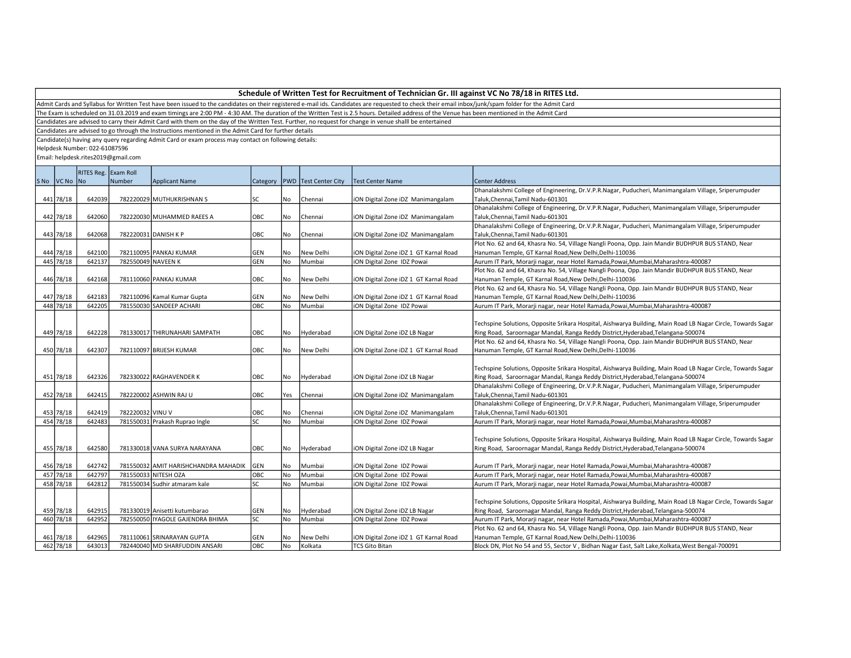Admit Cards and Syllabus for Written Test have been issued to the candidates on their registered e-mail ids. Candidates are requested to check their email inbox/junk/spam folder for the Admit Card

The Exam is scheduled on 31.03.2019 and exam timings are 2:00 PM - 4:30 AM. The duration of the Written Test is 2.5 hours. Detailed address of the Venue has been mentioned in the Admit Card

Candidates are advised to carry their Admit Card with them on the day of the Written Test. Further, no request for change in venue shalll be entertained

Candidates are advised to go through the Instructions mentioned in the Admit Card for further details

Candidate(s) having any query regarding Admit Card or exam process may contact on following details:

Helpdesk Number: 022-61087596

|             | RITES Reg. Exam Roll |                    |                                      |            |      |                                   |                                       |                                                                                                              |
|-------------|----------------------|--------------------|--------------------------------------|------------|------|-----------------------------------|---------------------------------------|--------------------------------------------------------------------------------------------------------------|
| SNo VCNo No |                      | Number             | <b>Applicant Name</b>                |            |      | Category   PWD   Test Center City | Test Center Name                      | <b>Center Address</b>                                                                                        |
|             |                      |                    |                                      |            |      |                                   |                                       | Dhanalakshmi College of Engineering, Dr.V.P.R.Nagar, Puducheri, Manimangalam Village, Sriperumpuder          |
| 441 78/18   | 642039               |                    | 782220029 MUTHUKRISHNAN S            | lsc        | No   | Chennai                           | iON Digital Zone iDZ Manimangalam     | Taluk, Chennai, Tamil Nadu-601301                                                                            |
|             |                      |                    |                                      |            |      |                                   |                                       | Dhanalakshmi College of Engineering, Dr.V.P.R.Nagar, Puducheri, Manimangalam Village, Sriperumpuder          |
| 442 78/18   | 642060               |                    | 782220030 MUHAMMED RAEES A           | OBC        | No   | Chennai                           | iON Digital Zone iDZ Manimangalam     | Taluk, Chennai, Tamil Nadu-601301                                                                            |
|             |                      |                    |                                      |            |      |                                   |                                       | Dhanalakshmi College of Engineering, Dr.V.P.R.Nagar, Puducheri, Manimangalam Village, Sriperumpuder          |
| 443 78/18   | 642068               |                    | 782220031 DANISH K P                 | OBC        | No   | Chennai                           | iON Digital Zone iDZ Manimangalam     | Taluk, Chennai, Tamil Nadu-601301                                                                            |
|             |                      |                    |                                      |            |      |                                   |                                       | Plot No. 62 and 64, Khasra No. 54, Village Nangli Poona, Opp. Jain Mandir BUDHPUR BUS STAND, Near            |
| 444 78/18   | 642100               |                    | 782110095 PANKAJ KUMAR               | <b>GEN</b> | No   | New Delhi                         | iON Digital Zone iDZ 1 GT Karnal Road | Hanuman Temple, GT Karnal Road, New Delhi, Delhi-110036                                                      |
| 445 78/18   | 642137               | 782550049 NAVEEN K |                                      | <b>GEN</b> | l No | Mumbai                            | iON Digital Zone IDZ Powai            | Aurum IT Park, Morarji nagar, near Hotel Ramada, Powai, Mumbai, Maharashtra-400087                           |
|             |                      |                    |                                      |            |      |                                   |                                       | Plot No. 62 and 64, Khasra No. 54, Village Nangli Poona, Opp. Jain Mandir BUDHPUR BUS STAND, Near            |
| 446 78/18   | 642168               |                    | 781110060 PANKAJ KUMAR               | OBC        | No   | New Delhi                         | iON Digital Zone iDZ 1 GT Karnal Road | Hanuman Temple, GT Karnal Road, New Delhi, Delhi-110036                                                      |
|             |                      |                    |                                      |            |      |                                   |                                       | Plot No. 62 and 64, Khasra No. 54, Village Nangli Poona, Opp. Jain Mandir BUDHPUR BUS STAND, Near            |
| 447 78/18   | 642183               |                    | 782110096 Kamal Kumar Gupta          | GEN        | l No | New Delhi                         | iON Digital Zone iDZ 1 GT Karnal Road | Hanuman Temple, GT Karnal Road, New Delhi, Delhi-110036                                                      |
| 448 78/18   | 642205               |                    | 781550030 SANDEEP ACHARI             | OBC        | No   | Mumbai                            | <b>iON Digital Zone IDZ Powai</b>     | Aurum IT Park, Morarji nagar, near Hotel Ramada, Powai, Mumbai, Maharashtra-400087                           |
|             |                      |                    |                                      |            |      |                                   |                                       |                                                                                                              |
|             |                      |                    |                                      |            |      |                                   |                                       | Techspine Solutions, Opposite Srikara Hospital, Aishwarya Building, Main Road LB Nagar Circle, Towards Sagar |
| 449 78/18   | 642228               |                    | 781330017 THIRUNAHARI SAMPATH        | OBC        | No   | Hyderabad                         | iON Digital Zone iDZ LB Nagar         | Ring Road, Saroornagar Mandal, Ranga Reddy District, Hyderabad, Telangana-500074                             |
|             |                      |                    |                                      |            |      |                                   |                                       | Plot No. 62 and 64, Khasra No. 54, Village Nangli Poona, Opp. Jain Mandir BUDHPUR BUS STAND, Near            |
| 450 78/18   | 642307               |                    | 782110097 BRIJESH KUMAR              | OBC        | No   | New Delhi                         | iON Digital Zone iDZ 1 GT Karnal Road | Hanuman Temple, GT Karnal Road, New Delhi, Delhi-110036                                                      |
|             |                      |                    |                                      |            |      |                                   |                                       |                                                                                                              |
|             |                      |                    |                                      |            |      |                                   |                                       | Techspine Solutions, Opposite Srikara Hospital, Aishwarya Building, Main Road LB Nagar Circle, Towards Sagar |
| 451 78/18   | 642326               |                    | 782330022 RAGHAVENDER K              | OBC        | No   | Hyderabad                         | iON Digital Zone iDZ LB Nagar         | Ring Road, Saroornagar Mandal, Ranga Reddy District, Hyderabad, Telangana-500074                             |
|             |                      |                    |                                      |            |      |                                   |                                       | Dhanalakshmi College of Engineering, Dr.V.P.R.Nagar, Puducheri, Manimangalam Village, Sriperumpuder          |
| 452 78/18   | 642415               |                    | 782220002 ASHWIN RAJ U               | OBC        | Yes  | Chennai                           | iON Digital Zone iDZ Manimangalam     | Taluk, Chennai, Tamil Nadu-601301                                                                            |
|             |                      |                    |                                      |            |      |                                   |                                       | Dhanalakshmi College of Engineering, Dr.V.P.R.Nagar, Puducheri, Manimangalam Village, Sriperumpuder          |
| 453 78/18   | 642419               | 782220032 VINU V   |                                      | OBC        | No   | Chennai                           | iON Digital Zone iDZ Manimangalam     | Taluk, Chennai, Tamil Nadu-601301                                                                            |
| 454 78/18   | 642483               |                    | 781550031 Prakash Ruprao Ingle       | <b>SC</b>  | l No | Mumbai                            | <b>iON Digital Zone IDZ Powai</b>     | Aurum IT Park, Morarji nagar, near Hotel Ramada, Powai, Mumbai, Maharashtra-400087                           |
|             |                      |                    |                                      |            |      |                                   |                                       |                                                                                                              |
|             |                      |                    |                                      |            |      |                                   |                                       | Techspine Solutions, Opposite Srikara Hospital, Aishwarya Building, Main Road LB Nagar Circle, Towards Sagar |
| 455 78/18   | 642580               |                    | 781330018 VANA SURYA NARAYANA        | <b>OBC</b> | No   | Hyderabad                         | iON Digital Zone iDZ LB Nagar         | Ring Road, Saroornagar Mandal, Ranga Reddy District, Hyderabad, Telangana-500074                             |
|             |                      |                    |                                      |            |      |                                   |                                       |                                                                                                              |
| 456 78/18   | 642742               |                    | 781550032 AMIT HARISHCHANDRA MAHADIK | GEN        | No   | Mumbai                            | iON Digital Zone IDZ Powai            | Aurum IT Park, Morarji nagar, near Hotel Ramada, Powai, Mumbai, Maharashtra-400087                           |
| 457 78/18   | 642797               |                    | 781550033 NITESH OZA                 | OBC        | No   | Mumbai                            | iON Digital Zone IDZ Powai            | Aurum IT Park, Morarji nagar, near Hotel Ramada, Powai, Mumbai, Maharashtra-400087                           |
| 458 78/18   | 642812               |                    | 781550034 Sudhir atmaram kale        | <b>SC</b>  | No   | Mumbai                            | iON Digital Zone IDZ Powai            | Aurum IT Park, Morarji nagar, near Hotel Ramada, Powai, Mumbai, Maharashtra-400087                           |
|             |                      |                    |                                      |            |      |                                   |                                       |                                                                                                              |
|             |                      |                    |                                      |            |      |                                   |                                       | Techspine Solutions, Opposite Srikara Hospital, Aishwarya Building, Main Road LB Nagar Circle, Towards Sagar |
| 459 78/18   | 642915               |                    | 781330019 Anisetti kutumbarao        | <b>GEN</b> | No   | Hyderabad                         | iON Digital Zone iDZ LB Nagar         | Ring Road, Saroornagar Mandal, Ranga Reddy District, Hyderabad, Telangana-500074                             |
| 460 78/18   | 642952               |                    | 782550050   IYAGOLE GAJENDRA BHIMA   | lsc        | l No | Mumbai                            | iON Digital Zone IDZ Powai            | Aurum IT Park, Morarji nagar, near Hotel Ramada, Powai, Mumbai, Maharashtra-400087                           |
|             |                      |                    |                                      |            |      |                                   |                                       | Plot No. 62 and 64, Khasra No. 54, Village Nangli Poona, Opp. Jain Mandir BUDHPUR BUS STAND, Near            |
| 461 78/18   | 642965               |                    | 781110061 SRINARAYAN GUPTA           | <b>GEN</b> | No   | New Delhi                         | iON Digital Zone iDZ 1 GT Karnal Road | Hanuman Temple, GT Karnal Road, New Delhi, Delhi-110036                                                      |
| 462 78/18   | 643013               |                    | 782440040 MD SHARFUDDIN ANSARI       | OBC        | l No | Kolkata                           | <b>TCS Gito Bitan</b>                 | Block DN, Plot No 54 and 55, Sector V, Bidhan Nagar East, Salt Lake, Kolkata, West Bengal-700091             |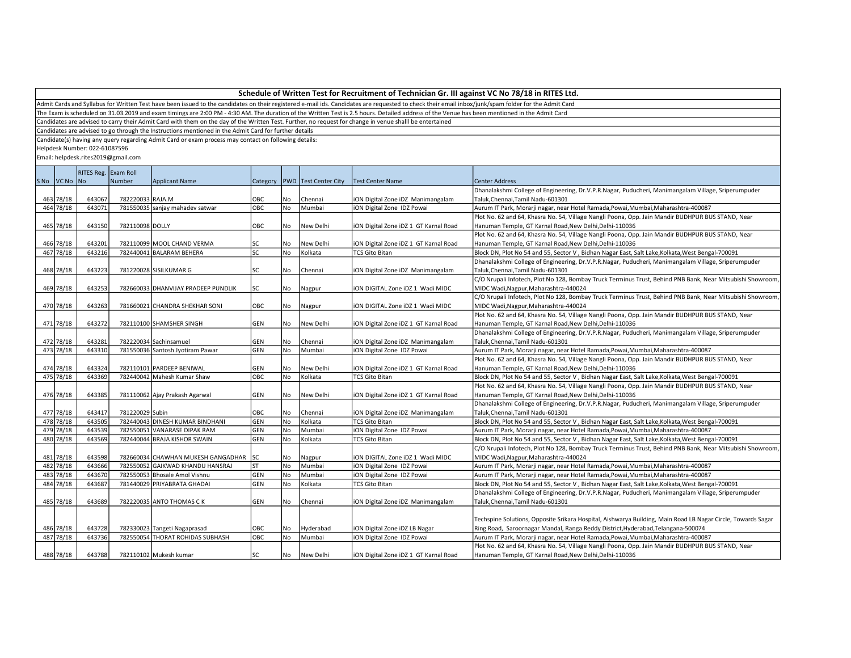Admit Cards and Syllabus for Written Test have been issued to the candidates on their registered e-mail ids. Candidates are requested to check their email inbox/junk/spam folder for the Admit Card

The Exam is scheduled on 31.03.2019 and exam timings are 2:00 PM - 4:30 AM. The duration of the Written Test is 2.5 hours. Detailed address of the Venue has been mentioned in the Admit Card

Candidates are advised to carry their Admit Card with them on the day of the Written Test. Further, no request for change in venue shalll be entertained

Candidates are advised to go through the Instructions mentioned in the Admit Card for further details

Candidate(s) having any query regarding Admit Card or exam process may contact on following details:

Helpdesk Number: 022-61087596

|             | RITES Reg. Exam Roll |                  |                                     |            |     |                                   |                                       |                                                                                                              |
|-------------|----------------------|------------------|-------------------------------------|------------|-----|-----------------------------------|---------------------------------------|--------------------------------------------------------------------------------------------------------------|
| SNo VCNo No |                      | Number           | <b>Applicant Name</b>               |            |     | Category   PWD   Test Center City | Test Center Name                      | <b>Center Address</b>                                                                                        |
|             |                      |                  |                                     |            |     |                                   |                                       | Dhanalakshmi College of Engineering, Dr.V.P.R.Nagar, Puducheri, Manimangalam Village, Sriperumpuder          |
| 463 78/18   | 643067               | 782220033 RAJA.M |                                     | OBC        | No  | Chennai                           | iON Digital Zone iDZ Manimangalam     | Taluk, Chennai, Tamil Nadu-601301                                                                            |
| 464 78/18   | 643071               |                  | 781550035 sanjay mahadev satwar     | OBC        | No  | Mumbai                            | iON Digital Zone IDZ Powai            | Aurum IT Park, Morarji nagar, near Hotel Ramada, Powai, Mumbai, Maharashtra-400087                           |
|             |                      |                  |                                     |            |     |                                   |                                       | Plot No. 62 and 64, Khasra No. 54, Village Nangli Poona, Opp. Jain Mandir BUDHPUR BUS STAND, Near            |
| 465 78/18   | 643150               | 782110098 DOLLY  |                                     | OBC        | No  | New Delhi                         | iON Digital Zone iDZ 1 GT Karnal Road | Hanuman Temple, GT Karnal Road, New Delhi, Delhi-110036                                                      |
|             |                      |                  |                                     |            |     |                                   |                                       | Plot No. 62 and 64, Khasra No. 54, Village Nangli Poona, Opp. Jain Mandir BUDHPUR BUS STAND, Near            |
| 466 78/18   | 643201               |                  | 782110099 MOOL CHAND VERMA          | lsc        | No  | New Delhi                         | iON Digital Zone iDZ 1 GT Karnal Road | Hanuman Temple, GT Karnal Road, New Delhi, Delhi-110036                                                      |
| 467 78/18   | 643216               |                  | 782440041 BALARAM BEHERA            | lsc        | No  | Kolkata                           | <b>TCS Gito Bitan</b>                 | Block DN, Plot No 54 and 55, Sector V, Bidhan Nagar East, Salt Lake, Kolkata, West Bengal-700091             |
|             |                      |                  |                                     |            |     |                                   |                                       | Dhanalakshmi College of Engineering, Dr.V.P.R.Nagar, Puducheri, Manimangalam Village, Sriperumpuder          |
| 468 78/18   | 643223               |                  | 781220028 SISILKUMAR G              | lsc        | No  | Chennai                           | iON Digital Zone iDZ Manimangalam     | Taluk, Chennai, Tamil Nadu-601301                                                                            |
|             |                      |                  |                                     |            |     |                                   |                                       | C/O Nrupali Infotech, Plot No 128, Bombay Truck Terminus Trust, Behind PNB Bank, Near Mitsubishi Showroom,   |
| 469 78/18   | 643253               |                  | 782660033 DHANVIJAY PRADEEP PUNDLIK | <b>SC</b>  | No  | Nagpur                            | ION DIGITAL Zone IDZ 1 Wadi MIDC      | MIDC Wadi, Nagpur, Maharashtra-440024                                                                        |
|             |                      |                  |                                     |            |     |                                   |                                       | C/O Nrupali Infotech, Plot No 128, Bombay Truck Terminus Trust, Behind PNB Bank, Near Mitsubishi Showroom,   |
| 470 78/18   | 643263               |                  | 781660021 CHANDRA SHEKHAR SONI      | OBC        | No  | Nagpur                            | ION DIGITAL Zone IDZ 1 Wadi MIDC      | MIDC Wadi, Nagpur, Maharashtra-440024                                                                        |
|             |                      |                  |                                     |            |     |                                   |                                       | Plot No. 62 and 64, Khasra No. 54, Village Nangli Poona, Opp. Jain Mandir BUDHPUR BUS STAND, Near            |
| 471 78/18   | 643272               |                  | 782110100 SHAMSHER SINGH            | <b>GEN</b> | No  | New Delhi                         | iON Digital Zone iDZ 1 GT Karnal Road | Hanuman Temple, GT Karnal Road, New Delhi, Delhi-110036                                                      |
|             |                      |                  |                                     |            |     |                                   |                                       | Dhanalakshmi College of Engineering, Dr.V.P.R.Nagar, Puducheri, Manimangalam Village, Sriperumpuder          |
| 472 78/18   | 643281               |                  | 782220034 Sachinsamuel              | <b>GEN</b> | No  | Chennai                           | iON Digital Zone iDZ Manimangalam     | Taluk, Chennai, Tamil Nadu-601301                                                                            |
| 473 78/18   | 643310               |                  | 781550036 Santosh Jyotiram Pawar    | GEN        | No  | Mumbai                            | iON Digital Zone IDZ Powai            | Aurum IT Park, Morarji nagar, near Hotel Ramada, Powai, Mumbai, Maharashtra-400087                           |
|             |                      |                  |                                     |            |     |                                   |                                       | Plot No. 62 and 64, Khasra No. 54, Village Nangli Poona, Opp. Jain Mandir BUDHPUR BUS STAND, Near            |
| 474 78/18   | 643324               |                  | 782110101 PARDEEP BENIWAL           | GEN        | No  | New Delhi                         | iON Digital Zone iDZ 1 GT Karnal Road | Hanuman Temple, GT Karnal Road, New Delhi, Delhi-110036                                                      |
| 475 78/18   | 643369               |                  | 782440042 Mahesh Kumar Shaw         | OBC        | No  | Kolkata                           | <b>TCS Gito Bitan</b>                 | Block DN, Plot No 54 and 55, Sector V, Bidhan Nagar East, Salt Lake, Kolkata, West Bengal-700091             |
|             |                      |                  |                                     |            |     |                                   |                                       | Plot No. 62 and 64, Khasra No. 54, Village Nangli Poona, Opp. Jain Mandir BUDHPUR BUS STAND, Near            |
| 476 78/18   | 643385               |                  | 781110062 Ajay Prakash Agarwal      | <b>GEN</b> | No  | New Delhi                         | iON Digital Zone iDZ 1 GT Karnal Road | Hanuman Temple, GT Karnal Road, New Delhi, Delhi-110036                                                      |
|             |                      |                  |                                     |            |     |                                   |                                       | Dhanalakshmi College of Engineering, Dr.V.P.R.Nagar, Puducheri, Manimangalam Village, Sriperumpuder          |
| 477 78/18   | 643417               | 781220029 Subin  |                                     | OBC        | No  | Chennai                           | iON Digital Zone iDZ Manimangalam     | Taluk, Chennai, Tamil Nadu-601301                                                                            |
| 478 78/18   | 643505               |                  | 782440043 DINESH KUMAR BINDHANI     | GEN        | No  | Kolkata                           | <b>TCS Gito Bitan</b>                 | Block DN, Plot No 54 and 55, Sector V, Bidhan Nagar East, Salt Lake, Kolkata, West Bengal-700091             |
| 479 78/18   | 643539               |                  | 782550051 VANARASE DIPAK RAM        | GEN        | No  | Mumbai                            | iON Digital Zone IDZ Powai            | Aurum IT Park, Morarji nagar, near Hotel Ramada, Powai, Mumbai, Maharashtra-400087                           |
| 480 78/18   | 643569               |                  | 782440044 BRAJA KISHOR SWAIN        | GEN        | No  | Kolkata                           | <b>TCS Gito Bitan</b>                 | Block DN, Plot No 54 and 55, Sector V, Bidhan Nagar East, Salt Lake, Kolkata, West Bengal-700091             |
|             |                      |                  |                                     |            |     |                                   |                                       | C/O Nrupali Infotech, Plot No 128, Bombay Truck Terminus Trust, Behind PNB Bank, Near Mitsubishi Showroom,   |
| 481 78/18   | 643598               |                  | 782660034 CHAWHAN MUKESH GANGADHAR  | <b>SC</b>  | No  | Nagpur                            | ION DIGITAL Zone IDZ 1 Wadi MIDC      | MIDC Wadi, Nagpur, Maharashtra-440024                                                                        |
| 482 78/18   | 643666               |                  | 782550052 GAIKWAD KHANDU HANSRAJ    | ST         | No  | Mumbai                            | <b>iON Digital Zone IDZ Powai</b>     | Aurum IT Park, Morarji nagar, near Hotel Ramada, Powai, Mumbai, Maharashtra-400087                           |
| 483 78/18   | 643670               |                  | 782550053 Bhosale Amol Vishnu       | GEN        | No  | Mumbai                            | iON Digital Zone IDZ Powai            | Aurum IT Park, Morarji nagar, near Hotel Ramada, Powai, Mumbai, Maharashtra-400087                           |
| 484 78/18   | 643687               |                  | 781440029 PRIYABRATA GHADAI         | GEN        | No  | Kolkata                           | <b>TCS Gito Bitan</b>                 | Block DN, Plot No 54 and 55, Sector V, Bidhan Nagar East, Salt Lake, Kolkata, West Bengal-700091             |
|             |                      |                  |                                     |            |     |                                   |                                       | Dhanalakshmi College of Engineering, Dr.V.P.R.Nagar, Puducheri, Manimangalam Village, Sriperumpuder          |
| 485 78/18   | 643689               |                  | 782220035 ANTO THOMAS CK            | GEN        | No  | Chennai                           | iON Digital Zone iDZ Manimangalam     | Taluk, Chennai, Tamil Nadu-601301                                                                            |
|             |                      |                  |                                     |            |     |                                   |                                       |                                                                                                              |
|             |                      |                  |                                     |            |     |                                   |                                       | Techspine Solutions, Opposite Srikara Hospital, Aishwarya Building, Main Road LB Nagar Circle, Towards Sagar |
| 486 78/18   | 643728               |                  | 782330023 Tangeti Nagaprasad        | OBC        | No  | Hyderabad                         | iON Digital Zone iDZ LB Nagar         | Ring Road, Saroornagar Mandal, Ranga Reddy District, Hyderabad, Telangana-500074                             |
| 487 78/18   | 643736               |                  | 782550054 THORAT ROHIDAS SUBHASH    | OBC        | No  | Mumbai                            | iON Digital Zone IDZ Powai            | Aurum IT Park, Morarji nagar, near Hotel Ramada, Powai, Mumbai, Maharashtra-400087                           |
|             |                      |                  |                                     |            |     |                                   |                                       | Plot No. 62 and 64, Khasra No. 54, Village Nangli Poona, Opp. Jain Mandir BUDHPUR BUS STAND, Near            |
| 488 78/18   | 643788               |                  | 782110102 Mukesh kumar              | lsc        | No. | New Delhi                         | iON Digital Zone iDZ 1 GT Karnal Road | Hanuman Temple, GT Karnal Road, New Delhi, Delhi-110036                                                      |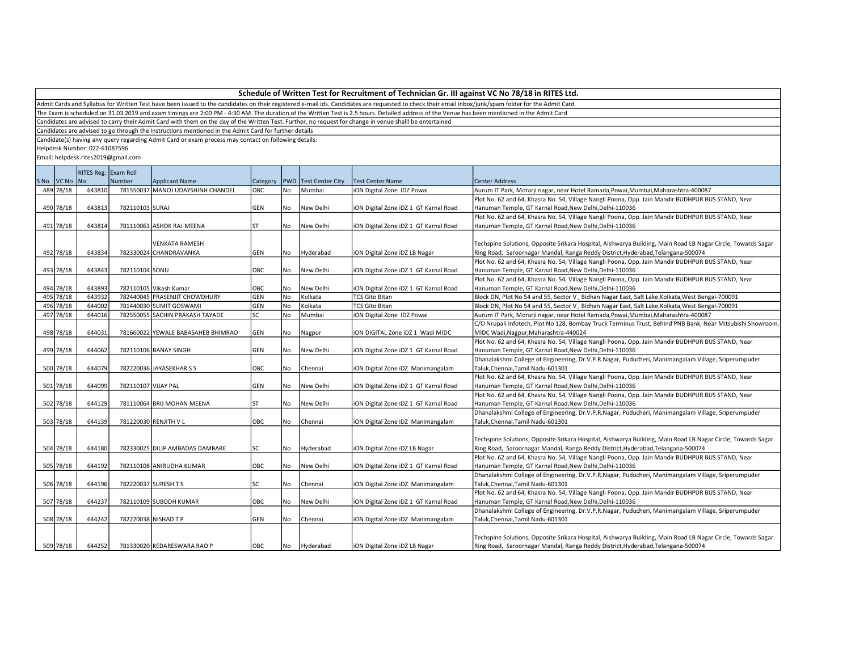Admit Cards and Syllabus for Written Test have been issued to the candidates on their registered e-mail ids. Candidates are requested to check their email inbox/junk/spam folder for the Admit Card

The Exam is scheduled on 31.03.2019 and exam timings are 2:00 PM - 4:30 AM. The duration of the Written Test is 2.5 hours. Detailed address of the Venue has been mentioned in the Admit Card

Candidates are advised to carry their Admit Card with them on the day of the Written Test. Further, no request for change in venue shalll be entertained

Candidates are advised to go through the Instructions mentioned in the Admit Card for further details

Candidate(s) having any query regarding Admit Card or exam process may contact on following details:

Helpdesk Number: 022-61087596

|             |        | RITES Reg. Exam Roll |                                    |           |      |                               |                                       |                                                                                                              |
|-------------|--------|----------------------|------------------------------------|-----------|------|-------------------------------|---------------------------------------|--------------------------------------------------------------------------------------------------------------|
| SNo VCNo No |        | Number               | Applicant Name                     |           |      | Category PWD Test Center City | Test Center Name                      | <b>Center Address</b>                                                                                        |
| 489 78/18   | 643810 |                      | 781550037 MANOJ UDAYSHINH CHANDEL  | OBC       | No   | Mumbai                        | iON Digital Zone IDZ Powai            | Aurum IT Park, Morarji nagar, near Hotel Ramada, Powai, Mumbai, Maharashtra-400087                           |
|             |        |                      |                                    |           |      |                               |                                       | Plot No. 62 and 64, Khasra No. 54, Village Nangli Poona, Opp. Jain Mandir BUDHPUR BUS STAND, Near            |
| 490 78/18   | 643813 | 782110103 SURAJ      |                                    | GEN       | No   | New Delhi                     | iON Digital Zone iDZ 1 GT Karnal Road | Hanuman Temple, GT Karnal Road, New Delhi, Delhi-110036                                                      |
|             |        |                      |                                    |           |      |                               |                                       | Plot No. 62 and 64, Khasra No. 54, Village Nangli Poona, Opp. Jain Mandir BUDHPUR BUS STAND, Near            |
| 491 78/18   | 643814 |                      | 781110063 ASHOK RAJ MEENA          | <b>ST</b> | No   | New Delhi                     | iON Digital Zone iDZ 1 GT Karnal Road | Hanuman Temple, GT Karnal Road, New Delhi, Delhi-110036                                                      |
|             |        |                      |                                    |           |      |                               |                                       |                                                                                                              |
|             |        |                      | <b>VENKATA RAMESH</b>              |           |      |                               |                                       | Techspine Solutions, Opposite Srikara Hospital, Aishwarya Building, Main Road LB Nagar Circle, Towards Sagar |
| 492 78/18   | 643834 |                      | 782330024 CHANDRAVANKA             | GEN       | No   | Hyderabad                     | iON Digital Zone iDZ LB Nagar         | Ring Road, Saroornagar Mandal, Ranga Reddy District, Hyderabad, Telangana-500074                             |
|             |        |                      |                                    |           |      |                               |                                       | Plot No. 62 and 64, Khasra No. 54, Village Nangli Poona, Opp. Jain Mandir BUDHPUR BUS STAND, Near            |
| 493 78/18   | 643843 | 782110104 SONU       |                                    | Іовс      | l No | New Delhi                     | iON Digital Zone iDZ 1 GT Karnal Road | Hanuman Temple, GT Karnal Road, New Delhi, Delhi-110036                                                      |
|             |        |                      |                                    |           |      |                               |                                       | Plot No. 62 and 64, Khasra No. 54, Village Nangli Poona, Opp. Jain Mandir BUDHPUR BUS STAND, Near            |
| 494 78/18   | 643893 |                      | 782110105 Vikash Kumar             | OBC       | No   | New Delhi                     | iON Digital Zone iDZ 1 GT Karnal Road | Hanuman Temple, GT Karnal Road, New Delhi, Delhi-110036                                                      |
| 495 78/18   | 643932 |                      | 782440045 PRASENJIT CHOWDHURY      | GEN       | No   | Kolkata                       | <b>TCS Gito Bitan</b>                 | Block DN, Plot No 54 and 55, Sector V, Bidhan Nagar East, Salt Lake, Kolkata, West Bengal-700091             |
| 496 78/18   | 644002 |                      | 781440030 SUMIT GOSWAMI            | GEN       | No   | Kolkata                       | <b>TCS Gito Bitan</b>                 | Block DN, Plot No 54 and 55, Sector V, Bidhan Nagar East, Salt Lake, Kolkata, West Bengal-700091             |
| 497 78/18   | 644016 |                      | 782550055 SACHIN PRAKASH TAYADE    | lsc       | No   | Mumbai                        | iON Digital Zone IDZ Powai            | Aurum IT Park, Morarji nagar, near Hotel Ramada, Powai, Mumbai, Maharashtra-400087                           |
|             |        |                      |                                    |           |      |                               |                                       | C/O Nrupali Infotech, Plot No 128, Bombay Truck Terminus Trust, Behind PNB Bank, Near Mitsubishi Showroom    |
| 498 78/18   | 644031 |                      | 781660022 YEWALE BABASAHEB BHIMRAO | GEN       | No   | Nagpur                        | ION DIGITAL Zone IDZ 1 Wadi MIDC      | MIDC Wadi, Nagpur, Maharashtra-440024                                                                        |
|             |        |                      |                                    |           |      |                               |                                       | Plot No. 62 and 64, Khasra No. 54, Village Nangli Poona, Opp. Jain Mandir BUDHPUR BUS STAND, Near            |
| 499 78/18   | 644062 |                      | 782110106 BANAY SINGH              | GEN       | No   | New Delhi                     | iON Digital Zone iDZ 1 GT Karnal Road | Hanuman Temple, GT Karnal Road, New Delhi, Delhi-110036                                                      |
|             |        |                      |                                    |           |      |                               |                                       | Dhanalakshmi College of Engineering, Dr.V.P.R.Nagar, Puducheri, Manimangalam Village, Sriperumpuder          |
| 500 78/18   | 644079 |                      | 782220036 JAYASEKHAR S S           | OBC       | No   | Chennai                       | iON Digital Zone iDZ Manimangalam     | Taluk, Chennai, Tamil Nadu-601301                                                                            |
|             |        |                      |                                    |           |      |                               |                                       | Plot No. 62 and 64, Khasra No. 54, Village Nangli Poona, Opp. Jain Mandir BUDHPUR BUS STAND, Near            |
| 501 78/18   | 644099 | 782110107 VIJAY PAL  |                                    | GEN       | No   | New Delhi                     | iON Digital Zone iDZ 1 GT Karnal Road | Hanuman Temple, GT Karnal Road, New Delhi, Delhi-110036                                                      |
|             |        |                      |                                    |           |      |                               |                                       | Plot No. 62 and 64, Khasra No. 54, Village Nangli Poona, Opp. Jain Mandir BUDHPUR BUS STAND, Near            |
| 502 78/18   | 644129 |                      | 781110064 BRIJ MOHAN MEENA         | <b>ST</b> | No   | New Delhi                     | iON Digital Zone iDZ 1 GT Karnal Road | Hanuman Temple, GT Karnal Road, New Delhi, Delhi-110036                                                      |
|             |        |                      |                                    |           |      |                               |                                       | Dhanalakshmi College of Engineering, Dr.V.P.R.Nagar, Puducheri, Manimangalam Village, Sriperumpuder          |
| 503 78/18   | 644139 |                      | 781220030 RENJITH V L              | OBC       | No   | Chennai                       | iON Digital Zone iDZ Manimangalam     | Taluk, Chennai, Tamil Nadu-601301                                                                            |
|             |        |                      |                                    |           |      |                               |                                       |                                                                                                              |
|             |        |                      |                                    |           |      |                               |                                       | Techspine Solutions, Opposite Srikara Hospital, Aishwarya Building, Main Road LB Nagar Circle, Towards Sagar |
| 504 78/18   | 644180 |                      | 782330025 DILIP AMBADAS DAMBARE    | lsc       | No   | Hyderabad                     | iON Digital Zone iDZ LB Nagar         | Ring Road, Saroornagar Mandal, Ranga Reddy District, Hyderabad, Telangana-500074                             |
|             |        |                      |                                    |           |      |                               |                                       | Plot No. 62 and 64, Khasra No. 54, Village Nangli Poona, Opp. Jain Mandir BUDHPUR BUS STAND, Near            |
| 505 78/18   | 644192 |                      | 782110108 ANIRUDHA KUMAR           | OBC       | No   | New Delhi                     | iON Digital Zone iDZ 1 GT Karnal Road | Hanuman Temple, GT Karnal Road, New Delhi, Delhi-110036                                                      |
|             |        |                      |                                    |           |      |                               |                                       | Dhanalakshmi College of Engineering, Dr.V.P.R.Nagar, Puducheri, Manimangalam Village, Sriperumpuder          |
| 506 78/18   | 644196 |                      | 782220037 SURESH TS                | lsc       | No   | Chennai                       | iON Digital Zone iDZ Manimangalam     | Taluk, Chennai, Tamil Nadu-601301                                                                            |
|             |        |                      |                                    |           |      |                               |                                       | Plot No. 62 and 64, Khasra No. 54, Village Nangli Poona, Opp. Jain Mandir BUDHPUR BUS STAND, Near            |
| 507 78/18   | 644237 |                      | 782110109 SUBODH KUMAR             | OBC       | l No | New Delhi                     | iON Digital Zone iDZ 1 GT Karnal Road | Hanuman Temple, GT Karnal Road, New Delhi, Delhi-110036                                                      |
|             |        |                      |                                    |           |      |                               |                                       | Dhanalakshmi College of Engineering, Dr.V.P.R.Nagar, Puducheri, Manimangalam Village, Sriperumpuder          |
| 508 78/18   | 644242 |                      | 782220038 NISHAD T P               | GEN       | No   | Chennai                       | iON Digital Zone iDZ Manimangalam     | Taluk, Chennai, Tamil Nadu-601301                                                                            |
|             |        |                      |                                    |           |      |                               |                                       |                                                                                                              |
|             |        |                      |                                    |           |      |                               |                                       | Techspine Solutions, Opposite Srikara Hospital, Aishwarya Building, Main Road LB Nagar Circle, Towards Sagar |
| 509 78/18   | 644252 |                      | 781330020 KEDARESWARA RAO P        | Іовс      | l No | Hyderabad                     | iON Digital Zone iDZ LB Nagar         | Ring Road, Saroornagar Mandal, Ranga Reddy District, Hyderabad, Telangana-500074                             |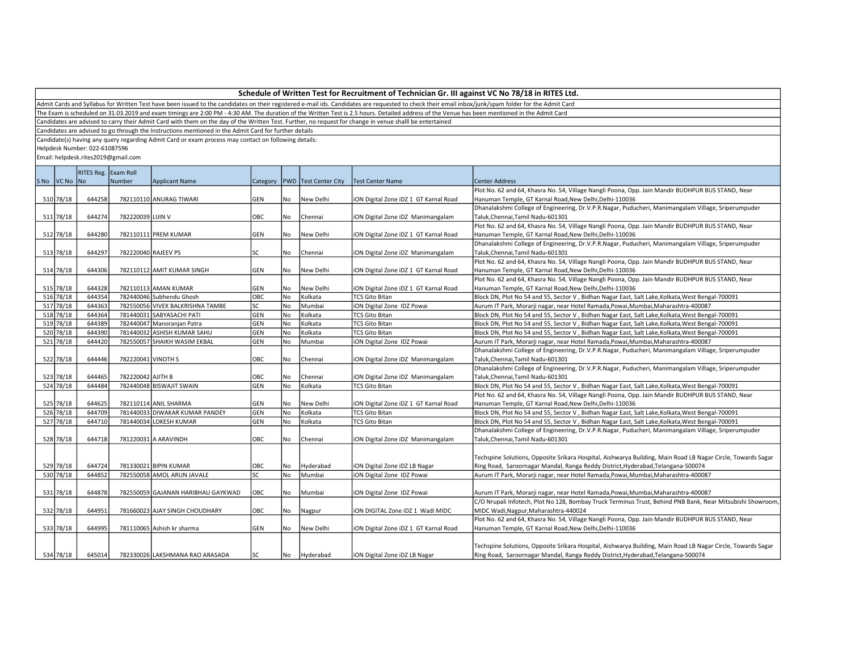Admit Cards and Syllabus for Written Test have been issued to the candidates on their registered e-mail ids. Candidates are requested to check their email inbox/junk/spam folder for the Admit Card

The Exam is scheduled on 31.03.2019 and exam timings are 2:00 PM - 4:30 AM. The duration of the Written Test is 2.5 hours. Detailed address of the Venue has been mentioned in the Admit Card

Candidates are advised to carry their Admit Card with them on the day of the Written Test. Further, no request for change in venue shalll be entertained

Candidates are advised to go through the Instructions mentioned in the Admit Card for further details

Candidate(s) having any query regarding Admit Card or exam process may contact on following details:

Helpdesk Number: 022-61087596

|             | RITES Reg. Exam Roll |                    |                                    |            |     |                                   |                                       |                                                                                                              |
|-------------|----------------------|--------------------|------------------------------------|------------|-----|-----------------------------------|---------------------------------------|--------------------------------------------------------------------------------------------------------------|
| SNo VCNo No |                      | Number             | <b>Applicant Name</b>              |            |     | Category   PWD   Test Center City | <b>Test Center Name</b>               | <b>Center Address</b>                                                                                        |
|             |                      |                    |                                    |            |     |                                   |                                       | Plot No. 62 and 64, Khasra No. 54, Village Nangli Poona, Opp. Jain Mandir BUDHPUR BUS STAND, Near            |
| 510 78/18   | 644258               |                    | 782110110 ANURAG TIWARI            | <b>GEN</b> | No  | New Delhi                         | iON Digital Zone iDZ 1 GT Karnal Road | Hanuman Temple, GT Karnal Road, New Delhi, Delhi-110036                                                      |
|             |                      |                    |                                    |            |     |                                   |                                       | Dhanalakshmi College of Engineering, Dr.V.P.R.Nagar, Puducheri, Manimangalam Village, Sriperumpuder          |
| 511 78/18   | 644274               | 782220039 LIJIN V  |                                    | OBC        | No  | Chennai                           | iON Digital Zone iDZ Manimangalam     | Taluk, Chennai, Tamil Nadu-601301                                                                            |
|             |                      |                    |                                    |            |     |                                   |                                       | Plot No. 62 and 64, Khasra No. 54, Village Nangli Poona, Opp. Jain Mandir BUDHPUR BUS STAND, Near            |
| 512 78/18   | 644280               |                    | 782110111 PREM KUMAR               | GEN        | No  | New Delhi                         | iON Digital Zone iDZ 1 GT Karnal Road | Hanuman Temple, GT Karnal Road, New Delhi, Delhi-110036                                                      |
|             |                      |                    |                                    |            |     |                                   |                                       | Dhanalakshmi College of Engineering, Dr.V.P.R.Nagar, Puducheri, Manimangalam Village, Sriperumpuder          |
| 513 78/18   | 644297               |                    | 782220040 RAJEEV PS                | <b>SC</b>  | No  | Chennai                           | iON Digital Zone iDZ Manimangalam     | Taluk, Chennai, Tamil Nadu-601301                                                                            |
|             |                      |                    |                                    |            |     |                                   |                                       | Plot No. 62 and 64, Khasra No. 54, Village Nangli Poona, Opp. Jain Mandir BUDHPUR BUS STAND, Near            |
| 514 78/18   | 644306               |                    | 782110112 AMIT KUMAR SINGH         | <b>GEN</b> | No. | New Delhi                         | iON Digital Zone iDZ 1 GT Karnal Road | Hanuman Temple, GT Karnal Road, New Delhi, Delhi-110036                                                      |
|             |                      |                    |                                    |            |     |                                   |                                       | Plot No. 62 and 64, Khasra No. 54, Village Nangli Poona, Opp. Jain Mandir BUDHPUR BUS STAND, Near            |
| 515 78/18   | 644328               |                    | 782110113 AMAN KUMAR               | GEN        | No  | New Delhi                         | iON Digital Zone iDZ 1 GT Karnal Road | Hanuman Temple, GT Karnal Road, New Delhi, Delhi-110036                                                      |
| 516 78/18   | 644354               |                    | 782440046 Subhendu Ghosh           | OBC        | No  | Kolkata                           | <b>TCS Gito Bitan</b>                 | Block DN, Plot No 54 and 55, Sector V, Bidhan Nagar East, Salt Lake, Kolkata, West Bengal-700091             |
| 517 78/18   | 644363               |                    | 782550056 VIVEK BALKRISHNA TAMBE   | <b>SC</b>  | No  | Mumbai                            | ON Digital Zone IDZ Powai             | Aurum IT Park, Morarji nagar, near Hotel Ramada, Powai, Mumbai, Maharashtra-400087                           |
| 518 78/18   | 644364               |                    | 781440031 SABYASACHI PATI          | GEN        | No  | Kolkata                           | <b>TCS Gito Bitan</b>                 | Block DN, Plot No 54 and 55, Sector V, Bidhan Nagar East, Salt Lake, Kolkata, West Bengal-700091             |
| 519 78/18   | 644389               |                    | 782440047 Manoranjan Patra         | GEN        | No  | Kolkata                           | <b>TCS Gito Bitan</b>                 | Block DN, Plot No 54 and 55, Sector V, Bidhan Nagar East, Salt Lake, Kolkata, West Bengal-700091             |
| 520 78/18   | 644390               |                    | 781440032 ASHISH KUMAR SAHU        | GEN        | No  | Kolkata                           | <b>TCS Gito Bitan</b>                 | Block DN, Plot No 54 and 55, Sector V, Bidhan Nagar East, Salt Lake, Kolkata, West Bengal-700091             |
| 521 78/18   | 644420               |                    | 782550057 SHAIKH WASIM EKBAL       | GEN        | No  | Mumbai                            | ON Digital Zone IDZ Powai             | Aurum IT Park, Morarji nagar, near Hotel Ramada, Powai, Mumbai, Maharashtra-400087                           |
|             |                      |                    |                                    |            |     |                                   |                                       | Dhanalakshmi College of Engineering, Dr.V.P.R.Nagar, Puducheri, Manimangalam Village, Sriperumpuder          |
| 522 78/18   | 644446               | 782220041 VINOTH S |                                    | OBC        | No  | Chennai                           | iON Digital Zone iDZ Manimangalam     | Taluk, Chennai, Tamil Nadu-601301                                                                            |
|             |                      |                    |                                    |            |     |                                   |                                       | Dhanalakshmi College of Engineering, Dr.V.P.R.Nagar, Puducheri, Manimangalam Village, Sriperumpuder          |
| 523 78/18   | 644465               | 782220042 AJITH B  |                                    | OBC        | No  | Chennai                           | iON Digital Zone iDZ Manimangalam     | Taluk, Chennai, Tamil Nadu-601301                                                                            |
| 524 78/18   | 644484               |                    | 782440048 BISWAJIT SWAIN           | GEN        | No  | Kolkata                           | <b>TCS Gito Bitan</b>                 | Block DN, Plot No 54 and 55, Sector V, Bidhan Nagar East, Salt Lake, Kolkata, West Bengal-700091             |
|             |                      |                    |                                    |            |     |                                   |                                       | Plot No. 62 and 64, Khasra No. 54, Village Nangli Poona, Opp. Jain Mandir BUDHPUR BUS STAND, Near            |
| 525 78/18   | 644625               |                    | 782110114 ANIL SHARMA              | GEN        | No  | New Delhi                         | iON Digital Zone iDZ 1 GT Karnal Road | Hanuman Temple, GT Karnal Road, New Delhi, Delhi-110036                                                      |
| 526 78/18   | 644709               |                    | 781440033 DIWAKAR KUMAR PANDEY     | GEN        | No  | Kolkata                           | <b>TCS Gito Bitan</b>                 | Block DN, Plot No 54 and 55, Sector V, Bidhan Nagar East, Salt Lake, Kolkata, West Bengal-700091             |
| 527 78/18   | 644710               |                    | 781440034 LOKESH KUMAR             | GEN        | No  | Kolkata                           | <b>TCS Gito Bitan</b>                 | Block DN, Plot No 54 and 55, Sector V, Bidhan Nagar East, Salt Lake, Kolkata, West Bengal-700091             |
|             |                      |                    |                                    |            |     |                                   |                                       | Dhanalakshmi College of Engineering, Dr.V.P.R.Nagar, Puducheri, Manimangalam Village, Sriperumpuder          |
| 528 78/18   | 644718               |                    | 781220031 A ARAVINDH               | OBC        | No  | Chennai                           | iON Digital Zone iDZ Manimangalam     | Taluk, Chennai, Tamil Nadu-601301                                                                            |
|             |                      |                    |                                    |            |     |                                   |                                       |                                                                                                              |
|             |                      |                    |                                    |            |     |                                   |                                       | Techspine Solutions, Opposite Srikara Hospital, Aishwarya Building, Main Road LB Nagar Circle, Towards Sagar |
| 529 78/18   | 644724               |                    | 781330021 BIPIN KUMAR              | OBC        | No  | Hyderabad                         | iON Digital Zone iDZ LB Nagar         | Ring Road, Saroornagar Mandal, Ranga Reddy District, Hyderabad, Telangana-500074                             |
| 530 78/18   | 644852               |                    | 782550058 AMOL ARUN JAVALE         | lsc        | No  | Mumbai                            | iON Digital Zone IDZ Powai            | Aurum IT Park, Morarji nagar, near Hotel Ramada, Powai, Mumbai, Maharashtra-400087                           |
|             |                      |                    |                                    |            |     |                                   |                                       |                                                                                                              |
| 531 78/18   | 644878               |                    | 782550059 GAJANAN HARIBHAU GAYKWAD | OBC        | No  | Mumbai                            | iON Digital Zone IDZ Powai            | Aurum IT Park, Morarji nagar, near Hotel Ramada, Powai, Mumbai, Maharashtra-400087                           |
|             |                      |                    |                                    |            |     |                                   |                                       | C/O Nrupali Infotech, Plot No 128, Bombay Truck Terminus Trust, Behind PNB Bank, Near Mitsubishi Showroom,   |
| 532 78/18   | 644951               |                    | 781660023 AJAY SINGH CHOUDHARY     | OBC        | No  | Nagpur                            | ION DIGITAL Zone IDZ 1 Wadi MIDC      | MIDC Wadi, Nagpur, Maharashtra-440024                                                                        |
|             |                      |                    |                                    |            |     |                                   |                                       | Plot No. 62 and 64, Khasra No. 54, Village Nangli Poona, Opp. Jain Mandir BUDHPUR BUS STAND, Near            |
| 533 78/18   | 644995               |                    | 781110065 Ashish kr sharma         | GEN        | No. | New Delhi                         | iON Digital Zone iDZ 1 GT Karnal Road | Hanuman Temple, GT Karnal Road, New Delhi, Delhi-110036                                                      |
|             |                      |                    |                                    |            |     |                                   |                                       |                                                                                                              |
|             |                      |                    |                                    |            |     |                                   |                                       | Techspine Solutions, Opposite Srikara Hospital, Aishwarya Building, Main Road LB Nagar Circle, Towards Sagar |
| 534 78/18   | 645014               |                    | 782330026 LAKSHMANA RAO ARASADA    | <b>SC</b>  | No  | Hyderabad                         | iON Digital Zone iDZ LB Nagar         | Ring Road, Saroornagar Mandal, Ranga Reddy District, Hyderabad, Telangana-500074                             |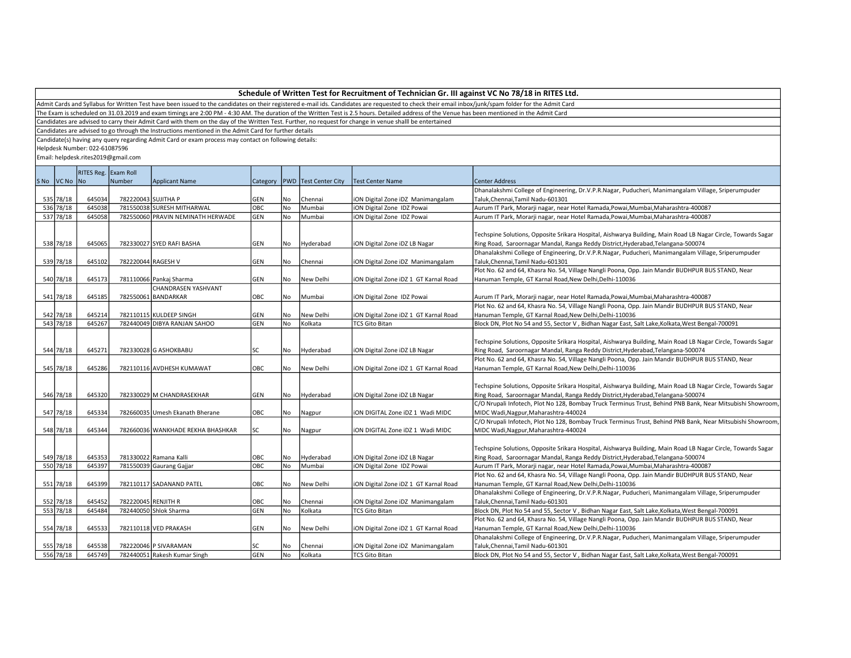Admit Cards and Syllabus for Written Test have been issued to the candidates on their registered e-mail ids. Candidates are requested to check their email inbox/junk/spam folder for the Admit Card

The Exam is scheduled on 31.03.2019 and exam timings are 2:00 PM - 4:30 AM. The duration of the Written Test is 2.5 hours. Detailed address of the Venue has been mentioned in the Admit Card

Candidates are advised to carry their Admit Card with them on the day of the Written Test. Further, no request for change in venue shalll be entertained

Candidates are advised to go through the Instructions mentioned in the Admit Card for further details

Candidate(s) having any query regarding Admit Card or exam process may contact on following details:

Helpdesk Number: 022-61087596

|             | RITES Reg. Exam Roll |                     |                                   |     |      |                                   |                                       |                                                                                                              |
|-------------|----------------------|---------------------|-----------------------------------|-----|------|-----------------------------------|---------------------------------------|--------------------------------------------------------------------------------------------------------------|
| SNo VCNo No |                      | <b>Number</b>       | Applicant Name                    |     |      | Category   PWD   Test Center City | <b>Test Center Name</b>               | <b>Center Address</b>                                                                                        |
|             |                      |                     |                                   |     |      |                                   |                                       | Dhanalakshmi College of Engineering, Dr.V.P.R.Nagar, Puducheri, Manimangalam Village, Sriperumpuder          |
| 535 78/18   | 645034               | 782220043 SUJITHA P |                                   | GEN | No   | Chennai                           | iON Digital Zone iDZ Manimangalam     | Taluk, Chennai, Tamil Nadu-601301                                                                            |
| 536 78/18   | 645038               |                     | 781550038 SURESH MITHARWAL        | OBC | No   | Mumbai                            | <b>iON Digital Zone IDZ Powai</b>     | Aurum IT Park, Morarji nagar, near Hotel Ramada, Powai, Mumbai, Maharashtra-400087                           |
| 537 78/18   | 645058               |                     | 782550060 PRAVIN NEMINATH HERWADE | GEN | l No | Mumbai                            | iON Digital Zone IDZ Powai            | Aurum IT Park, Morarji nagar, near Hotel Ramada, Powai, Mumbai, Maharashtra-400087                           |
|             |                      |                     |                                   |     |      |                                   |                                       |                                                                                                              |
|             |                      |                     |                                   |     |      |                                   |                                       | Techspine Solutions, Opposite Srikara Hospital, Aishwarya Building, Main Road LB Nagar Circle, Towards Sagar |
| 538 78/18   | 645065               |                     | 782330027 SYED RAFI BASHA         | GEN | No   | Hyderabad                         | iON Digital Zone iDZ LB Nagar         | Ring Road, Saroornagar Mandal, Ranga Reddy District, Hyderabad, Telangana-500074                             |
|             |                      |                     |                                   |     |      |                                   |                                       | Dhanalakshmi College of Engineering, Dr.V.P.R.Nagar, Puducheri, Manimangalam Village, Sriperumpuder          |
| 539 78/18   | 645102               | 782220044 RAGESH V  |                                   | GEN | No   | Chennai                           | iON Digital Zone iDZ Manimangalam     | Taluk, Chennai, Tamil Nadu-601301                                                                            |
|             |                      |                     |                                   |     |      |                                   |                                       | Plot No. 62 and 64, Khasra No. 54, Village Nangli Poona, Opp. Jain Mandir BUDHPUR BUS STAND, Near            |
| 540 78/18   | 645173               |                     | 781110066 Pankaj Sharma           | GEN | l No | New Delhi                         | iON Digital Zone iDZ 1 GT Karnal Road | Hanuman Temple, GT Karnal Road, New Delhi, Delhi-110036                                                      |
|             |                      |                     | CHANDRASEN YASHVANT               |     |      |                                   |                                       |                                                                                                              |
| 541 78/18   | 645185               |                     | 782550061 BANDARKAR               | OBC | No   | Mumbai                            | iON Digital Zone IDZ Powai            | Aurum IT Park, Morarji nagar, near Hotel Ramada, Powai, Mumbai, Maharashtra-400087                           |
|             |                      |                     |                                   |     |      |                                   |                                       | Plot No. 62 and 64, Khasra No. 54, Village Nangli Poona, Opp. Jain Mandir BUDHPUR BUS STAND, Near            |
| 542 78/18   | 645214               |                     | 782110115 KULDEEP SINGH           | GEN | No   | New Delhi                         | iON Digital Zone iDZ 1 GT Karnal Road | Hanuman Temple, GT Karnal Road, New Delhi, Delhi-110036                                                      |
| 543 78/18   | 645267               |                     | 782440049 DIBYA RANJAN SAHOO      | GEN | l No | Kolkata                           | <b>TCS Gito Bitan</b>                 | Block DN, Plot No 54 and 55, Sector V, Bidhan Nagar East, Salt Lake, Kolkata, West Bengal-700091             |
|             |                      |                     |                                   |     |      |                                   |                                       |                                                                                                              |
|             |                      |                     |                                   |     |      |                                   |                                       | Techspine Solutions, Opposite Srikara Hospital, Aishwarya Building, Main Road LB Nagar Circle, Towards Sagar |
| 544 78/18   | 645271               |                     | 782330028 G ASHOKBABU             | lsc | No   | Hyderabad                         | iON Digital Zone iDZ LB Nagar         | Ring Road, Saroornagar Mandal, Ranga Reddy District, Hyderabad, Telangana-500074                             |
|             |                      |                     |                                   |     |      |                                   |                                       | Plot No. 62 and 64, Khasra No. 54, Village Nangli Poona, Opp. Jain Mandir BUDHPUR BUS STAND, Near            |
| 545 78/18   | 645286               |                     | 782110116 AVDHESH KUMAWAT         | OBC | No   | New Delhi                         | iON Digital Zone iDZ 1 GT Karnal Road | Hanuman Temple, GT Karnal Road, New Delhi, Delhi-110036                                                      |
|             |                      |                     |                                   |     |      |                                   |                                       |                                                                                                              |
|             |                      |                     |                                   |     |      |                                   |                                       | Techspine Solutions, Opposite Srikara Hospital, Aishwarya Building, Main Road LB Nagar Circle, Towards Sagar |
| 546 78/18   | 645320               |                     | 782330029 M CHANDRASEKHAR         | GEN | No   | Hyderabad                         | iON Digital Zone iDZ LB Nagar         | Ring Road, Saroornagar Mandal, Ranga Reddy District, Hyderabad, Telangana-500074                             |
|             |                      |                     |                                   |     |      |                                   |                                       | C/O Nrupali Infotech, Plot No 128, Bombay Truck Terminus Trust, Behind PNB Bank, Near Mitsubishi Showroom    |
| 547 78/18   | 645334               |                     | 782660035 Umesh Ekanath Bherane   | OBC | No   | Nagpur                            | ION DIGITAL Zone IDZ 1 Wadi MIDC      | MIDC Wadi, Nagpur, Maharashtra-440024                                                                        |
|             |                      |                     |                                   |     |      |                                   |                                       | C/O Nrupali Infotech, Plot No 128, Bombay Truck Terminus Trust, Behind PNB Bank, Near Mitsubishi Showroom    |
| 548 78/18   | 645344               |                     | 782660036 WANKHADE REKHA BHASHKAR | lsc | No   | Nagpur                            | ION DIGITAL Zone IDZ 1 Wadi MIDC      | MIDC Wadi, Nagpur, Maharashtra-440024                                                                        |
|             |                      |                     |                                   |     |      |                                   |                                       |                                                                                                              |
|             |                      |                     |                                   |     |      |                                   |                                       | Techspine Solutions, Opposite Srikara Hospital, Aishwarya Building, Main Road LB Nagar Circle, Towards Sagar |
| 549 78/18   | 645353               |                     | 781330022 Ramana Kalli            | OBC | No   | Hyderabad                         | iON Digital Zone iDZ LB Nagar         | Ring Road, Saroornagar Mandal, Ranga Reddy District, Hyderabad, Telangana-500074                             |
| 550 78/18   | 645397               |                     | 781550039 Gaurang Gajjar          | Овс | No   | Mumbai                            | iON Digital Zone IDZ Powai            | Aurum IT Park, Morarji nagar, near Hotel Ramada, Powai, Mumbai, Maharashtra-400087                           |
|             |                      |                     |                                   |     |      |                                   |                                       | Plot No. 62 and 64, Khasra No. 54, Village Nangli Poona, Opp. Jain Mandir BUDHPUR BUS STAND, Near            |
| 551 78/18   | 645399               |                     | 782110117 SADANAND PATEL          | OBC | No   | New Delhi                         | iON Digital Zone iDZ 1 GT Karnal Road | Hanuman Temple, GT Karnal Road, New Delhi, Delhi-110036                                                      |
|             |                      |                     |                                   |     |      |                                   |                                       | Dhanalakshmi College of Engineering, Dr.V.P.R.Nagar, Puducheri, Manimangalam Village, Sriperumpuder          |
| 552 78/18   | 645452               | 782220045 RENJITH R |                                   | OBC | No   | Chennai                           | iON Digital Zone iDZ Manimangalam     | Taluk, Chennai, Tamil Nadu-601301                                                                            |
| 553 78/18   | 645484               |                     | 782440050 Shlok Sharma            | GEN | No   | Kolkata                           | <b>TCS Gito Bitan</b>                 | Block DN, Plot No 54 and 55, Sector V, Bidhan Nagar East, Salt Lake, Kolkata, West Bengal-700091             |
|             |                      |                     |                                   |     |      |                                   |                                       | Plot No. 62 and 64, Khasra No. 54, Village Nangli Poona, Opp. Jain Mandir BUDHPUR BUS STAND, Near            |
| 554 78/18   | 645533               |                     | 782110118 VED PRAKASH             | GEN | l No | New Delhi                         | iON Digital Zone iDZ 1 GT Karnal Road | Hanuman Temple, GT Karnal Road, New Delhi, Delhi-110036                                                      |
|             |                      |                     |                                   |     |      |                                   |                                       | Dhanalakshmi College of Engineering, Dr.V.P.R.Nagar, Puducheri, Manimangalam Village, Sriperumpuder          |
| 555 78/18   | 645538               |                     | 782220046 P SIVARAMAN             | lsc | No   | Chennai                           | iON Digital Zone iDZ Manimangalam     | Taluk, Chennai, Tamil Nadu-601301                                                                            |
| 556 78/18   | 645749               |                     | 782440051 Rakesh Kumar Singh      | GEN | No   | Kolkata                           | <b>TCS Gito Bitan</b>                 | Block DN, Plot No 54 and 55, Sector V, Bidhan Nagar East, Salt Lake, Kolkata, West Bengal-700091             |